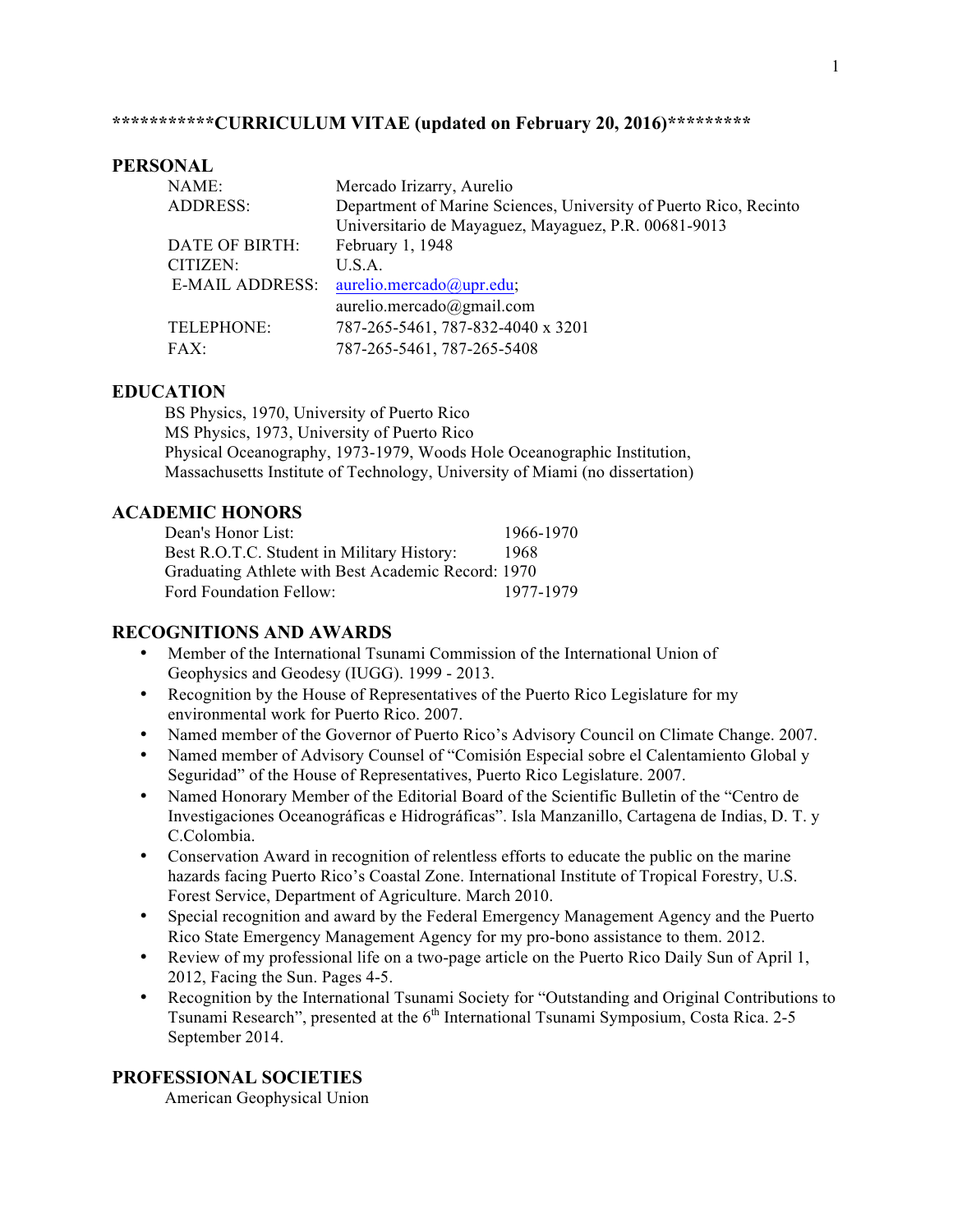# **\*\*\*\*\*\*\*\*\*\*\*CURRICULUM VITAE (updated on February 20, 2016)\*\*\*\*\*\*\*\*\***

#### **PERSONAL**

| NAME:           | Mercado Irizarry, Aurelio                                         |
|-----------------|-------------------------------------------------------------------|
| <b>ADDRESS:</b> | Department of Marine Sciences, University of Puerto Rico, Recinto |
|                 | Universitario de Mayaguez, Mayaguez, P.R. 00681-9013              |
| DATE OF BIRTH:  | February 1, 1948                                                  |
| CITIZEN:        | U.S.A.                                                            |
| E-MAIL ADDRESS: | aurelio.mercado@upr.edu;                                          |
|                 | aurelio.mercado@gmail.com                                         |
| TELEPHONE:      | 787-265-5461, 787-832-4040 x 3201                                 |
| FAX:            | 787-265-5461, 787-265-5408                                        |

### **EDUCATION**

BS Physics, 1970, University of Puerto Rico MS Physics, 1973, University of Puerto Rico Physical Oceanography, 1973-1979, Woods Hole Oceanographic Institution, Massachusetts Institute of Technology, University of Miami (no dissertation)

### **ACADEMIC HONORS**

| Dean's Honor List:                                 | 1966-1970 |  |
|----------------------------------------------------|-----------|--|
| Best R.O.T.C. Student in Military History:         | 1968      |  |
| Graduating Athlete with Best Academic Record: 1970 |           |  |
| Ford Foundation Fellow:                            | 1977-1979 |  |

### **RECOGNITIONS AND AWARDS**

- Member of the International Tsunami Commission of the International Union of Geophysics and Geodesy (IUGG). 1999 - 2013.
- Recognition by the House of Representatives of the Puerto Rico Legislature for my environmental work for Puerto Rico. 2007.
- Named member of the Governor of Puerto Rico's Advisory Council on Climate Change. 2007.
- Named member of Advisory Counsel of "Comisión Especial sobre el Calentamiento Global y Seguridad" of the House of Representatives, Puerto Rico Legislature. 2007.
- Named Honorary Member of the Editorial Board of the Scientific Bulletin of the "Centro de Investigaciones Oceanográficas e Hidrográficas". Isla Manzanillo, Cartagena de Indias, D. T. y C.Colombia.
- Conservation Award in recognition of relentless efforts to educate the public on the marine hazards facing Puerto Rico's Coastal Zone. International Institute of Tropical Forestry, U.S. Forest Service, Department of Agriculture. March 2010.
- Special recognition and award by the Federal Emergency Management Agency and the Puerto Rico State Emergency Management Agency for my pro-bono assistance to them. 2012.
- Review of my professional life on a two-page article on the Puerto Rico Daily Sun of April 1, 2012, Facing the Sun. Pages 4-5.
- Recognition by the International Tsunami Society for "Outstanding and Original Contributions to Tsunami Research", presented at the 6<sup>th</sup> International Tsunami Symposium, Costa Rica. 2-5 September 2014.

# **PROFESSIONAL SOCIETIES**

American Geophysical Union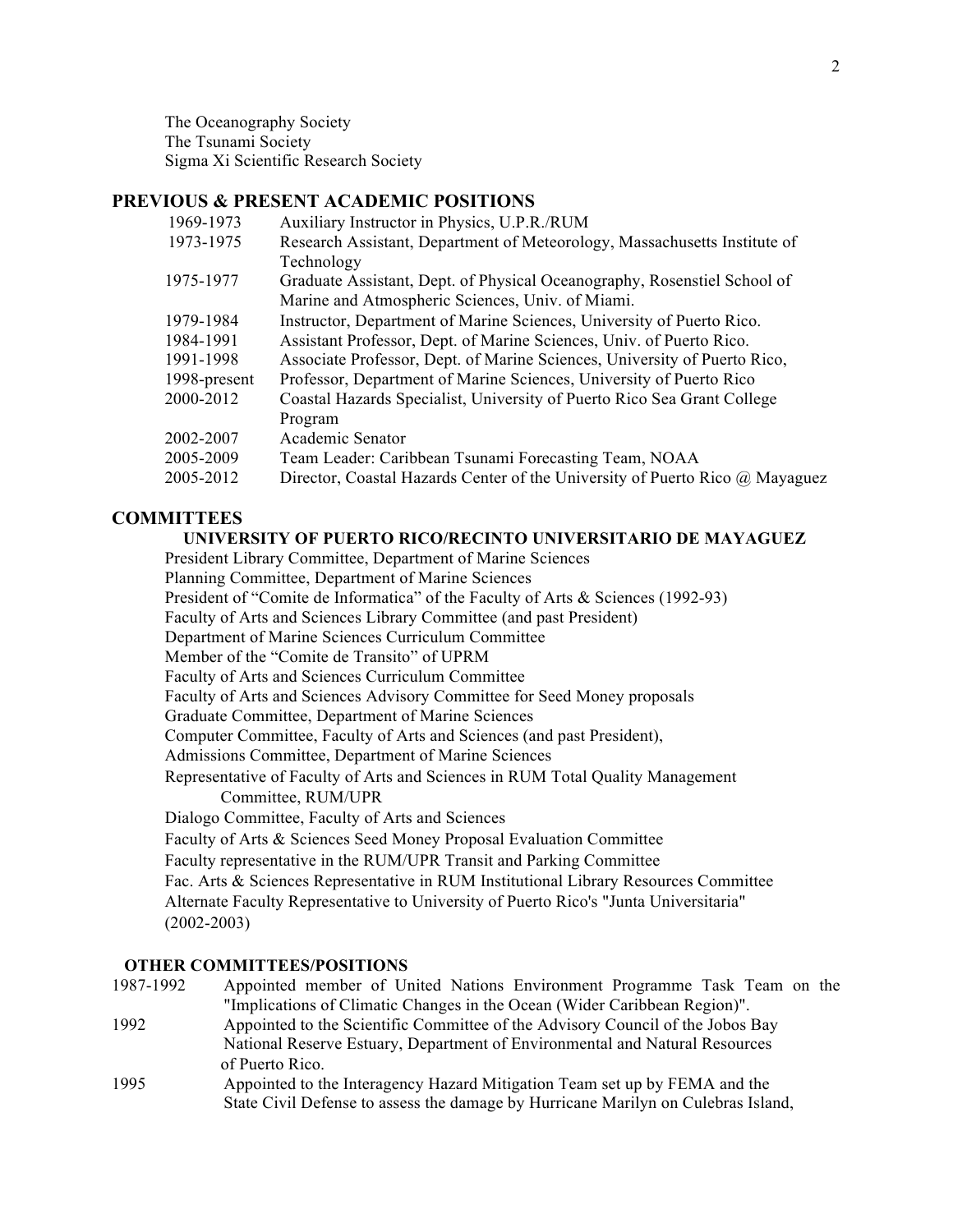The Oceanography Society The Tsunami Society Sigma Xi Scientific Research Society

# **PREVIOUS & PRESENT ACADEMIC POSITIONS**

| 1969-1973    | Auxiliary Instructor in Physics, U.P.R./RUM                                  |
|--------------|------------------------------------------------------------------------------|
| 1973-1975    | Research Assistant, Department of Meteorology, Massachusetts Institute of    |
|              | Technology                                                                   |
| 1975-1977    | Graduate Assistant, Dept. of Physical Oceanography, Rosenstiel School of     |
|              | Marine and Atmospheric Sciences, Univ. of Miami.                             |
| 1979-1984    | Instructor, Department of Marine Sciences, University of Puerto Rico.        |
| 1984-1991    | Assistant Professor, Dept. of Marine Sciences, Univ. of Puerto Rico.         |
| 1991-1998    | Associate Professor, Dept. of Marine Sciences, University of Puerto Rico,    |
| 1998-present | Professor, Department of Marine Sciences, University of Puerto Rico          |
| 2000-2012    | Coastal Hazards Specialist, University of Puerto Rico Sea Grant College      |
|              | Program                                                                      |
| 2002-2007    | Academic Senator                                                             |
| 2005-2009    | Team Leader: Caribbean Tsunami Forecasting Team, NOAA                        |
| 2005-2012    | Director, Coastal Hazards Center of the University of Puerto Rico @ Mayaguez |
|              |                                                                              |

## **COMMITTEES**

# **UNIVERSITY OF PUERTO RICO/RECINTO UNIVERSITARIO DE MAYAGUEZ**

President Library Committee, Department of Marine Sciences

Planning Committee, Department of Marine Sciences

President of "Comite de Informatica" of the Faculty of Arts & Sciences (1992-93)

Faculty of Arts and Sciences Library Committee (and past President)

Department of Marine Sciences Curriculum Committee

Member of the "Comite de Transito" of UPRM

Faculty of Arts and Sciences Curriculum Committee

Faculty of Arts and Sciences Advisory Committee for Seed Money proposals

Graduate Committee, Department of Marine Sciences

Computer Committee, Faculty of Arts and Sciences (and past President),

Admissions Committee, Department of Marine Sciences

Representative of Faculty of Arts and Sciences in RUM Total Quality Management Committee, RUM/UPR

Dialogo Committee, Faculty of Arts and Sciences

Faculty of Arts & Sciences Seed Money Proposal Evaluation Committee

Faculty representative in the RUM/UPR Transit and Parking Committee

Fac. Arts & Sciences Representative in RUM Institutional Library Resources Committee Alternate Faculty Representative to University of Puerto Rico's "Junta Universitaria" (2002-2003)

#### **OTHER COMMITTEES/POSITIONS**

| 1987-1992 | Appointed member of United Nations Environment Programme Task Team on the         |
|-----------|-----------------------------------------------------------------------------------|
|           | "Implications of Climatic Changes in the Ocean (Wider Caribbean Region)".         |
| 1992      | Appointed to the Scientific Committee of the Advisory Council of the Jobos Bay    |
|           | National Reserve Estuary, Department of Environmental and Natural Resources       |
|           | of Puerto Rico.                                                                   |
| 1995      | Appointed to the Interagency Hazard Mitigation Team set up by FEMA and the        |
|           | State Civil Defense to assess the damage by Hurricane Marilyn on Culebras Island, |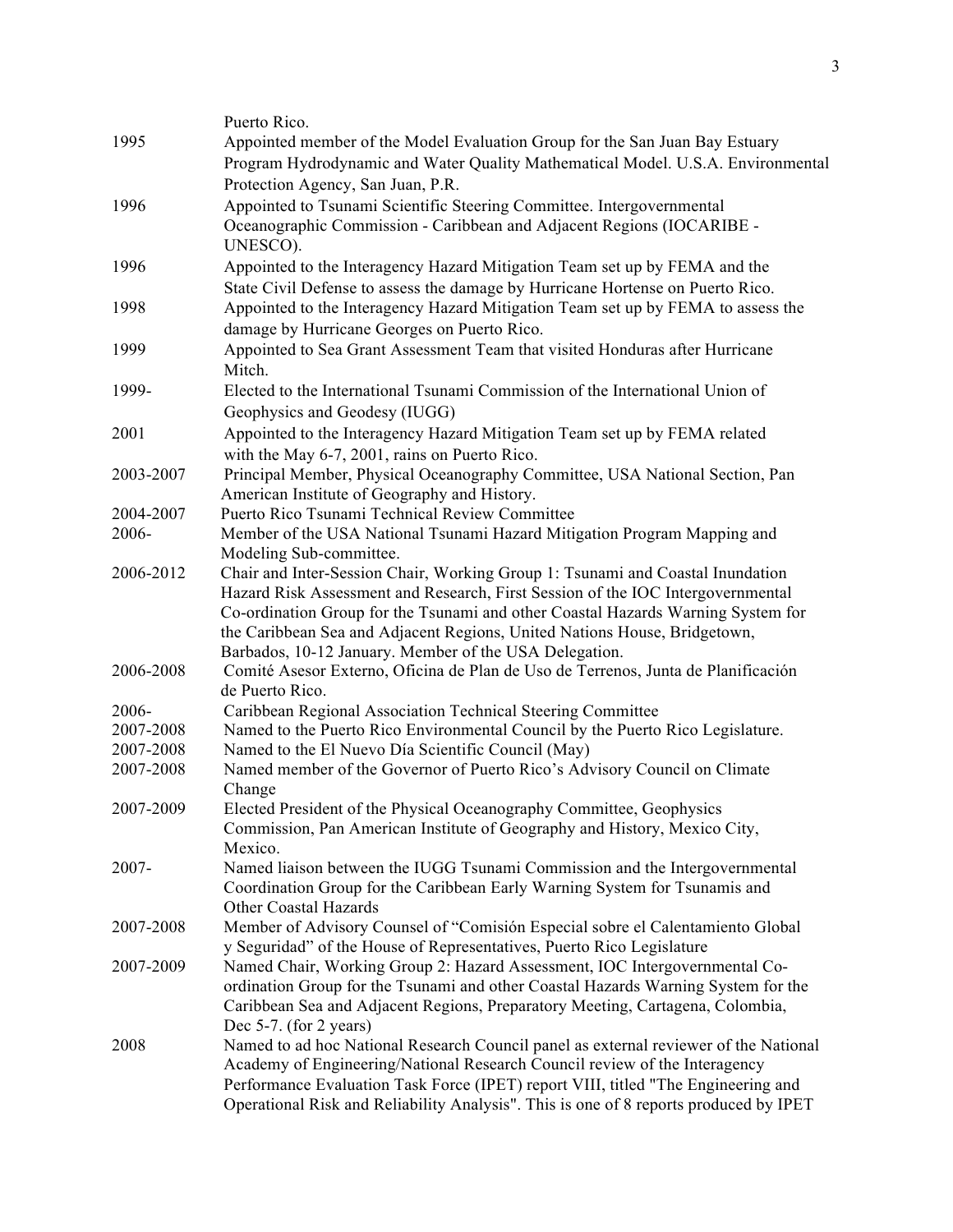|           | Puerto Rico.                                                                          |
|-----------|---------------------------------------------------------------------------------------|
| 1995      | Appointed member of the Model Evaluation Group for the San Juan Bay Estuary           |
|           | Program Hydrodynamic and Water Quality Mathematical Model. U.S.A. Environmental       |
|           | Protection Agency, San Juan, P.R.                                                     |
| 1996      | Appointed to Tsunami Scientific Steering Committee. Intergovernmental                 |
|           |                                                                                       |
|           | Oceanographic Commission - Caribbean and Adjacent Regions (IOCARIBE -                 |
|           | UNESCO).                                                                              |
| 1996      | Appointed to the Interagency Hazard Mitigation Team set up by FEMA and the            |
|           | State Civil Defense to assess the damage by Hurricane Hortense on Puerto Rico.        |
| 1998      | Appointed to the Interagency Hazard Mitigation Team set up by FEMA to assess the      |
|           | damage by Hurricane Georges on Puerto Rico.                                           |
| 1999      | Appointed to Sea Grant Assessment Team that visited Honduras after Hurricane          |
|           | Mitch.                                                                                |
| 1999-     | Elected to the International Tsunami Commission of the International Union of         |
|           | Geophysics and Geodesy (IUGG)                                                         |
| 2001      | Appointed to the Interagency Hazard Mitigation Team set up by FEMA related            |
|           | with the May 6-7, 2001, rains on Puerto Rico.                                         |
| 2003-2007 | Principal Member, Physical Oceanography Committee, USA National Section, Pan          |
|           | American Institute of Geography and History.                                          |
| 2004-2007 | Puerto Rico Tsunami Technical Review Committee                                        |
| 2006-     | Member of the USA National Tsunami Hazard Mitigation Program Mapping and              |
|           | Modeling Sub-committee.                                                               |
| 2006-2012 | Chair and Inter-Session Chair, Working Group 1: Tsunami and Coastal Inundation        |
|           | Hazard Risk Assessment and Research, First Session of the IOC Intergovernmental       |
|           | Co-ordination Group for the Tsunami and other Coastal Hazards Warning System for      |
|           | the Caribbean Sea and Adjacent Regions, United Nations House, Bridgetown,             |
|           | Barbados, 10-12 January. Member of the USA Delegation.                                |
| 2006-2008 | Comité Asesor Externo, Oficina de Plan de Uso de Terrenos, Junta de Planificación     |
|           | de Puerto Rico.                                                                       |
| 2006-     | Caribbean Regional Association Technical Steering Committee                           |
| 2007-2008 | Named to the Puerto Rico Environmental Council by the Puerto Rico Legislature.        |
| 2007-2008 | Named to the El Nuevo Día Scientific Council (May)                                    |
| 2007-2008 | Named member of the Governor of Puerto Rico's Advisory Council on Climate             |
|           | Change                                                                                |
| 2007-2009 | Elected President of the Physical Oceanography Committee, Geophysics                  |
|           | Commission, Pan American Institute of Geography and History, Mexico City,             |
|           | Mexico.                                                                               |
| 2007-     | Named liaison between the IUGG Tsunami Commission and the Intergovernmental           |
|           | Coordination Group for the Caribbean Early Warning System for Tsunamis and            |
|           | Other Coastal Hazards                                                                 |
| 2007-2008 | Member of Advisory Counsel of "Comisión Especial sobre el Calentamiento Global        |
|           | y Seguridad" of the House of Representatives, Puerto Rico Legislature                 |
| 2007-2009 | Named Chair, Working Group 2: Hazard Assessment, IOC Intergovernmental Co-            |
|           | ordination Group for the Tsunami and other Coastal Hazards Warning System for the     |
|           | Caribbean Sea and Adjacent Regions, Preparatory Meeting, Cartagena, Colombia,         |
|           | Dec $5-7$ . (for 2 years)                                                             |
| 2008      | Named to ad hoc National Research Council panel as external reviewer of the National  |
|           | Academy of Engineering/National Research Council review of the Interagency            |
|           | Performance Evaluation Task Force (IPET) report VIII, titled "The Engineering and     |
|           | Operational Risk and Reliability Analysis". This is one of 8 reports produced by IPET |
|           |                                                                                       |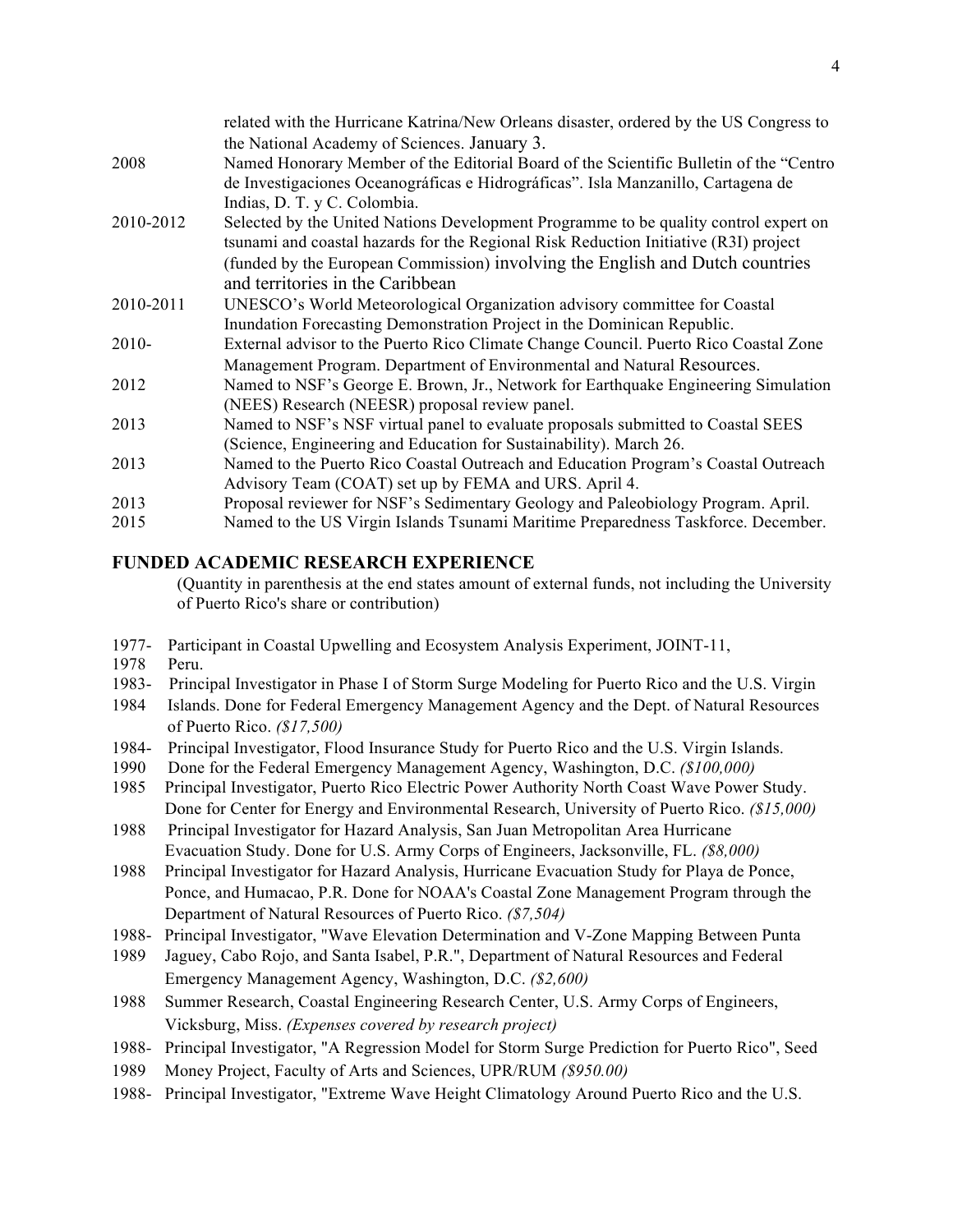|           | related with the Hurricane Katrina/New Orleans disaster, ordered by the US Congress to |
|-----------|----------------------------------------------------------------------------------------|
|           | the National Academy of Sciences. January 3.                                           |
| 2008      | Named Honorary Member of the Editorial Board of the Scientific Bulletin of the "Centro |
|           | de Investigaciones Oceanográficas e Hidrográficas". Isla Manzanillo, Cartagena de      |
|           | Indias, D. T. y C. Colombia.                                                           |
| 2010-2012 | Selected by the United Nations Development Programme to be quality control expert on   |
|           | tsunami and coastal hazards for the Regional Risk Reduction Initiative (R3I) project   |
|           | (funded by the European Commission) involving the English and Dutch countries          |
|           | and territories in the Caribbean                                                       |
| 2010-2011 | UNESCO's World Meteorological Organization advisory committee for Coastal              |
|           | Inundation Forecasting Demonstration Project in the Dominican Republic.                |
| $2010-$   | External advisor to the Puerto Rico Climate Change Council. Puerto Rico Coastal Zone   |
|           | Management Program. Department of Environmental and Natural Resources.                 |
| 2012      | Named to NSF's George E. Brown, Jr., Network for Earthquake Engineering Simulation     |
|           | (NEES) Research (NEESR) proposal review panel.                                         |
| 2013      | Named to NSF's NSF virtual panel to evaluate proposals submitted to Coastal SEES       |
|           | (Science, Engineering and Education for Sustainability). March 26.                     |
| 2013      | Named to the Puerto Rico Coastal Outreach and Education Program's Coastal Outreach     |
|           | Advisory Team (COAT) set up by FEMA and URS. April 4.                                  |
| 2013      | Proposal reviewer for NSF's Sedimentary Geology and Paleobiology Program. April.       |
| 2015      | Named to the US Virgin Islands Tsunami Maritime Preparedness Taskforce. December.      |
|           |                                                                                        |

# **FUNDED ACADEMIC RESEARCH EXPERIENCE**

(Quantity in parenthesis at the end states amount of external funds, not including the University of Puerto Rico's share or contribution)

- 1977- Participant in Coastal Upwelling and Ecosystem Analysis Experiment, JOINT-11,
- 1978 Peru.
- 1983- Principal Investigator in Phase I of Storm Surge Modeling for Puerto Rico and the U.S. Virgin
- 1984 Islands. Done for Federal Emergency Management Agency and the Dept. of Natural Resources of Puerto Rico. *(\$17,500)*
- 1984- Principal Investigator, Flood Insurance Study for Puerto Rico and the U.S. Virgin Islands.
- 1990 Done for the Federal Emergency Management Agency, Washington, D.C. *(\$100,000)*
- 1985 Principal Investigator, Puerto Rico Electric Power Authority North Coast Wave Power Study. Done for Center for Energy and Environmental Research, University of Puerto Rico. *(\$15,000)*
- 1988 Principal Investigator for Hazard Analysis, San Juan Metropolitan Area Hurricane Evacuation Study. Done for U.S. Army Corps of Engineers, Jacksonville, FL. *(\$8,000)*
- 1988 Principal Investigator for Hazard Analysis, Hurricane Evacuation Study for Playa de Ponce, Ponce, and Humacao, P.R. Done for NOAA's Coastal Zone Management Program through the Department of Natural Resources of Puerto Rico. *(\$7,504)*
- 1988- Principal Investigator, "Wave Elevation Determination and V-Zone Mapping Between Punta
- 1989 Jaguey, Cabo Rojo, and Santa Isabel, P.R.", Department of Natural Resources and Federal Emergency Management Agency, Washington, D.C. *(\$2,600)*
- 1988 Summer Research, Coastal Engineering Research Center, U.S. Army Corps of Engineers, Vicksburg, Miss. *(Expenses covered by research project)*
- 1988*-* Principal Investigator, "A Regression Model for Storm Surge Prediction for Puerto Rico", Seed
- 1989 Money Project, Faculty of Arts and Sciences, UPR/RUM *(\$950.00)*
- 1988- Principal Investigator, "Extreme Wave Height Climatology Around Puerto Rico and the U.S.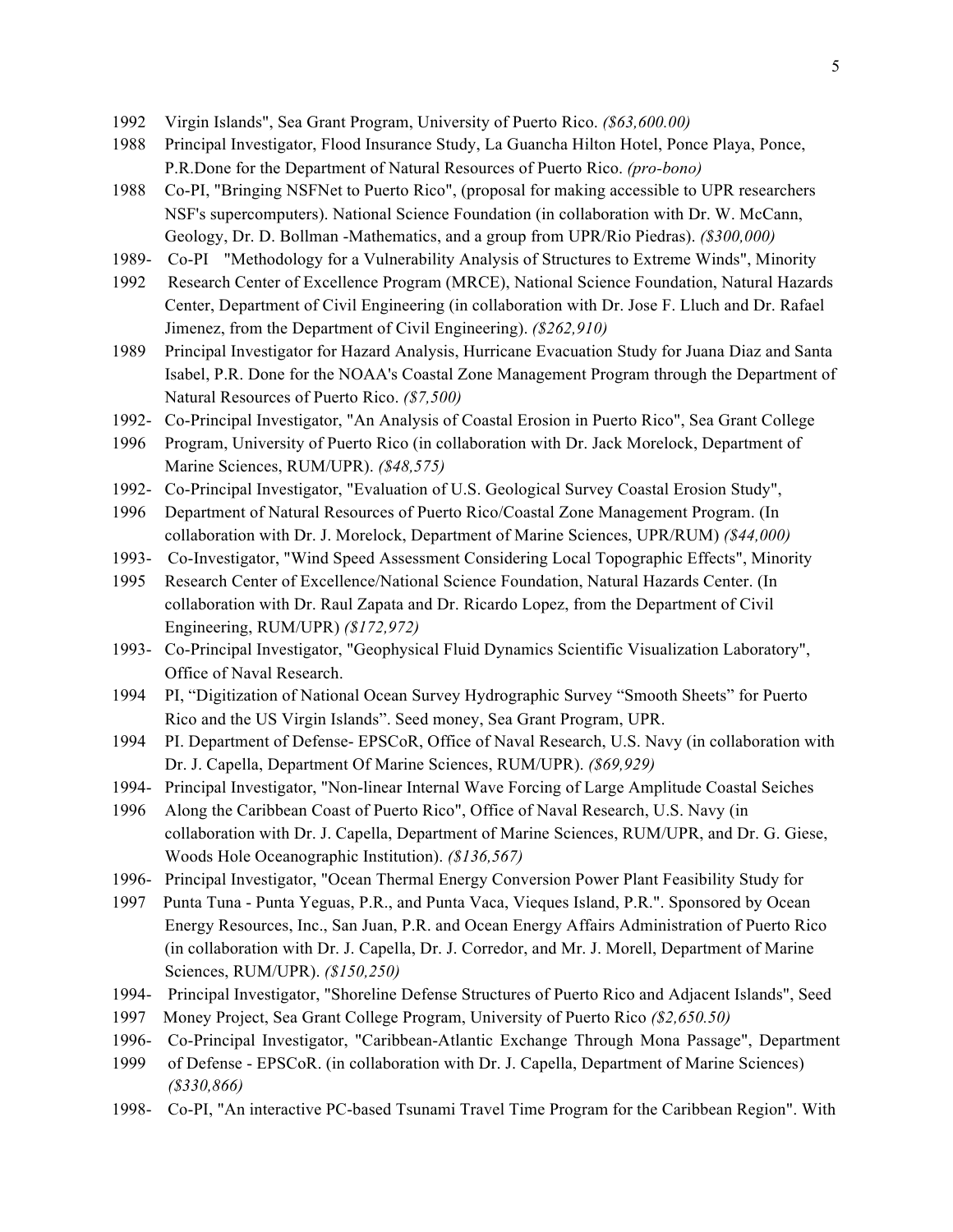- 1992 Virgin Islands", Sea Grant Program, University of Puerto Rico. *(\$63,600.00)*
- 1988 Principal Investigator, Flood Insurance Study, La Guancha Hilton Hotel, Ponce Playa, Ponce, P.R.Done for the Department of Natural Resources of Puerto Rico. *(pro-bono)*
- 1988 Co-PI, "Bringing NSFNet to Puerto Rico", (proposal for making accessible to UPR researchers NSF's supercomputers). National Science Foundation (in collaboration with Dr. W. McCann, Geology, Dr. D. Bollman -Mathematics, and a group from UPR/Rio Piedras). *(\$300,000)*
- 1989- Co-PI "Methodology for a Vulnerability Analysis of Structures to Extreme Winds", Minority
- 1992 Research Center of Excellence Program (MRCE), National Science Foundation, Natural Hazards Center, Department of Civil Engineering (in collaboration with Dr. Jose F. Lluch and Dr. Rafael Jimenez, from the Department of Civil Engineering). *(\$262,910)*
- 1989 Principal Investigator for Hazard Analysis, Hurricane Evacuation Study for Juana Diaz and Santa Isabel, P.R. Done for the NOAA's Coastal Zone Management Program through the Department of Natural Resources of Puerto Rico. *(\$7,500)*
- 1992- Co-Principal Investigator, "An Analysis of Coastal Erosion in Puerto Rico", Sea Grant College
- 1996 Program, University of Puerto Rico (in collaboration with Dr. Jack Morelock, Department of Marine Sciences, RUM/UPR). *(\$48,575)*
- 1992- Co-Principal Investigator, "Evaluation of U.S. Geological Survey Coastal Erosion Study",
- 1996 Department of Natural Resources of Puerto Rico/Coastal Zone Management Program. (In collaboration with Dr. J. Morelock, Department of Marine Sciences, UPR/RUM) *(\$44,000)*
- 1993- Co-Investigator, "Wind Speed Assessment Considering Local Topographic Effects", Minority
- 1995 Research Center of Excellence/National Science Foundation, Natural Hazards Center. (In collaboration with Dr. Raul Zapata and Dr. Ricardo Lopez, from the Department of Civil Engineering, RUM/UPR) *(\$172,972)*
- 1993- Co-Principal Investigator, "Geophysical Fluid Dynamics Scientific Visualization Laboratory", Office of Naval Research.
- 1994 PI, "Digitization of National Ocean Survey Hydrographic Survey "Smooth Sheets" for Puerto Rico and the US Virgin Islands". Seed money, Sea Grant Program, UPR.
- 1994 PI. Department of Defense- EPSCoR, Office of Naval Research, U.S. Navy (in collaboration with Dr. J. Capella, Department Of Marine Sciences, RUM/UPR). *(\$69,929)*
- 1994- Principal Investigator, "Non-linear Internal Wave Forcing of Large Amplitude Coastal Seiches
- 1996 Along the Caribbean Coast of Puerto Rico", Office of Naval Research, U.S. Navy (in collaboration with Dr. J. Capella, Department of Marine Sciences, RUM/UPR, and Dr. G. Giese, Woods Hole Oceanographic Institution). *(\$136,567)*
- 1996- Principal Investigator, "Ocean Thermal Energy Conversion Power Plant Feasibility Study for
- 1997 Punta Tuna Punta Yeguas, P.R., and Punta Vaca, Vieques Island, P.R.". Sponsored by Ocean Energy Resources, Inc., San Juan, P.R. and Ocean Energy Affairs Administration of Puerto Rico (in collaboration with Dr. J. Capella, Dr. J. Corredor, and Mr. J. Morell, Department of Marine Sciences, RUM/UPR). *(\$150,250)*
- 1994- Principal Investigator, "Shoreline Defense Structures of Puerto Rico and Adjacent Islands", Seed
- 1997 Money Project, Sea Grant College Program, University of Puerto Rico *(\$2,650.50)*
- 1996- Co-Principal Investigator, "Caribbean-Atlantic Exchange Through Mona Passage", Department
- 1999 of Defense EPSCoR. (in collaboration with Dr. J. Capella, Department of Marine Sciences) *(\$330,866)*
- 1998- Co-PI, "An interactive PC-based Tsunami Travel Time Program for the Caribbean Region". With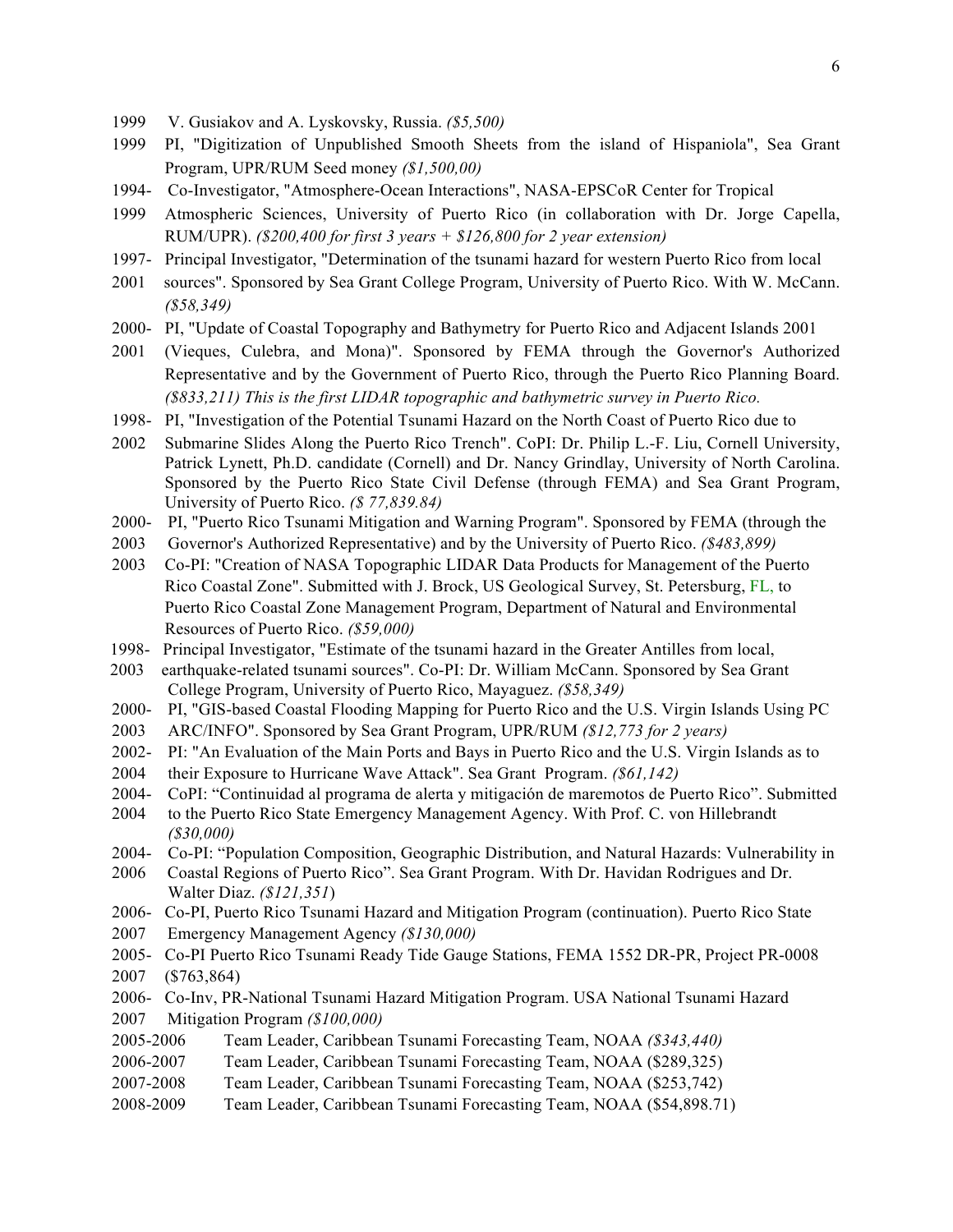- 1999 V. Gusiakov and A. Lyskovsky, Russia. *(\$5,500)*
- 1999 PI, "Digitization of Unpublished Smooth Sheets from the island of Hispaniola", Sea Grant Program, UPR/RUM Seed money *(\$1,500,00)*
- 1994- Co-Investigator, "Atmosphere-Ocean Interactions", NASA-EPSCoR Center for Tropical
- 1999 Atmospheric Sciences, University of Puerto Rico (in collaboration with Dr. Jorge Capella, RUM/UPR). *(\$200,400 for first 3 years + \$126,800 for 2 year extension)*
- 1997- Principal Investigator, "Determination of the tsunami hazard for western Puerto Rico from local
- 2001 sources". Sponsored by Sea Grant College Program, University of Puerto Rico. With W. McCann. *(\$58,349)*
- 2000- PI, "Update of Coastal Topography and Bathymetry for Puerto Rico and Adjacent Islands 2001
- 2001 (Vieques, Culebra, and Mona)". Sponsored by FEMA through the Governor's Authorized Representative and by the Government of Puerto Rico, through the Puerto Rico Planning Board. *(\$833,211) This is the first LIDAR topographic and bathymetric survey in Puerto Rico.*
- 1998- PI, "Investigation of the Potential Tsunami Hazard on the North Coast of Puerto Rico due to
- 2002 Submarine Slides Along the Puerto Rico Trench". CoPI: Dr. Philip L.-F. Liu, Cornell University, Patrick Lynett, Ph.D. candidate (Cornell) and Dr. Nancy Grindlay, University of North Carolina. Sponsored by the Puerto Rico State Civil Defense (through FEMA) and Sea Grant Program, University of Puerto Rico. *(\$ 77,839.84)*
- 2000- PI, "Puerto Rico Tsunami Mitigation and Warning Program". Sponsored by FEMA (through the
- 2003 Governor's Authorized Representative) and by the University of Puerto Rico. *(\$483,899)*
- 2003 Co-PI: "Creation of NASA Topographic LIDAR Data Products for Management of the Puerto Rico Coastal Zone". Submitted with J. Brock, US Geological Survey, St. Petersburg, FL, to Puerto Rico Coastal Zone Management Program, Department of Natural and Environmental Resources of Puerto Rico. *(\$59,000)*
- 1998- Principal Investigator, "Estimate of the tsunami hazard in the Greater Antilles from local,
- 2003 earthquake-related tsunami sources". Co-PI: Dr. William McCann. Sponsored by Sea Grant College Program, University of Puerto Rico, Mayaguez. *(\$58,349)*
- 2000- PI, "GIS-based Coastal Flooding Mapping for Puerto Rico and the U.S. Virgin Islands Using PC
- 2003 ARC/INFO". Sponsored by Sea Grant Program, UPR/RUM *(\$12,773 for 2 years)*
- 2002- PI: "An Evaluation of the Main Ports and Bays in Puerto Rico and the U.S. Virgin Islands as to
- 2004 their Exposure to Hurricane Wave Attack". Sea Grant Program. *(\$61,142)*
- 2004- CoPI: "Continuidad al programa de alerta y mitigación de maremotos de Puerto Rico". Submitted
- 2004 to the Puerto Rico State Emergency Management Agency. With Prof. C. von Hillebrandt *(\$30,000)*
- 2004- Co-PI: "Population Composition, Geographic Distribution, and Natural Hazards: Vulnerability in
- 2006 Coastal Regions of Puerto Rico". Sea Grant Program. With Dr. Havidan Rodrigues and Dr. Walter Diaz. *(\$121,351*)
- 2006- Co-PI, Puerto Rico Tsunami Hazard and Mitigation Program (continuation). Puerto Rico State
- 2007 Emergency Management Agency *(\$130,000)*
- 2005- Co-PI Puerto Rico Tsunami Ready Tide Gauge Stations, FEMA 1552 DR-PR, Project PR-0008 2007 (\$763,864)
- 2006- Co-Inv, PR-National Tsunami Hazard Mitigation Program. USA National Tsunami Hazard
- 2007 Mitigation Program *(\$100,000)*
- 2005-2006 Team Leader, Caribbean Tsunami Forecasting Team, NOAA *(\$343,440)*
- 2006-2007 Team Leader, Caribbean Tsunami Forecasting Team, NOAA (\$289,325)
- 2007-2008 Team Leader, Caribbean Tsunami Forecasting Team, NOAA (\$253,742)
- 2008-2009 Team Leader, Caribbean Tsunami Forecasting Team, NOAA (\$54,898.71)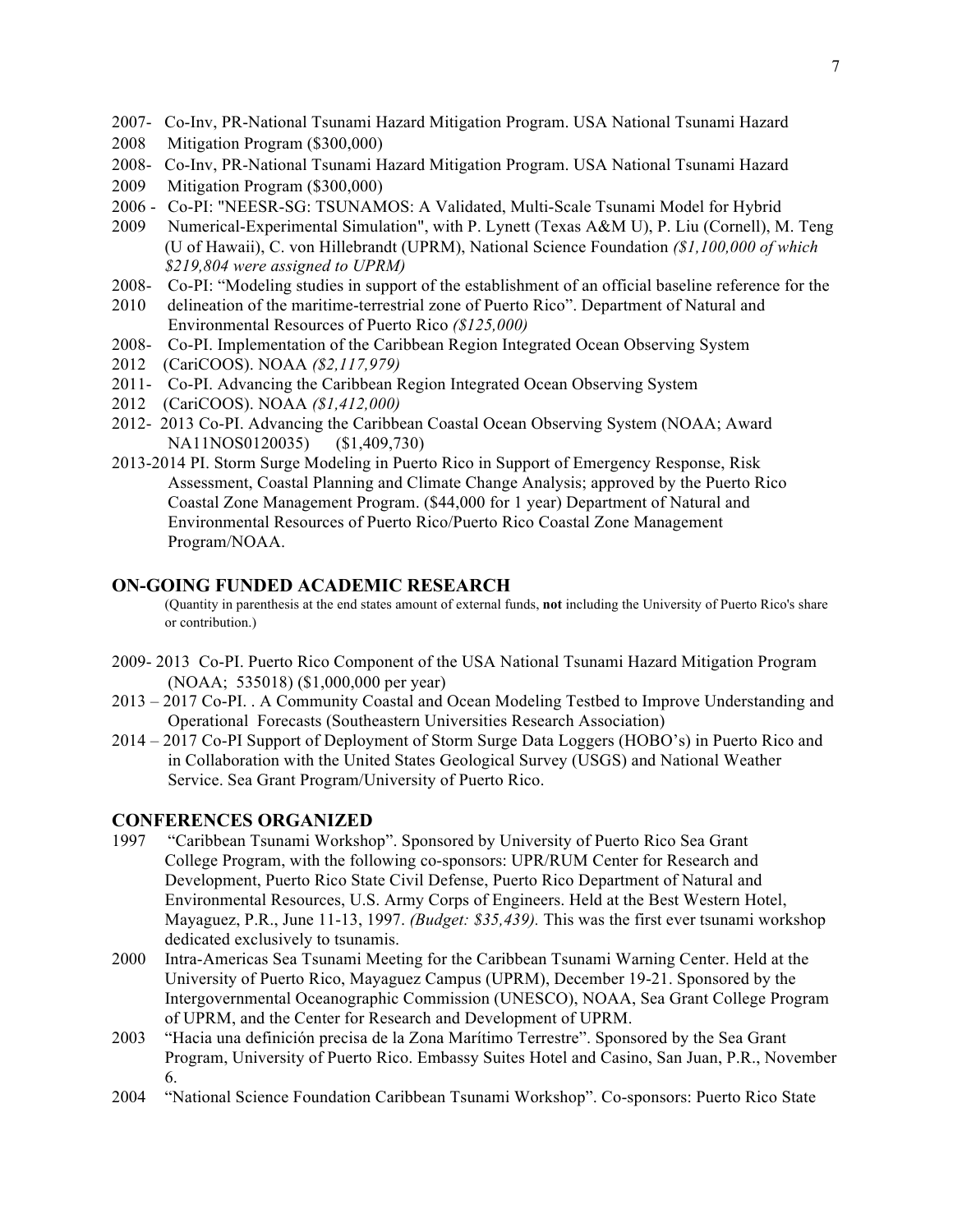- 2007- Co-Inv, PR-National Tsunami Hazard Mitigation Program. USA National Tsunami Hazard
- 2008 Mitigation Program (\$300,000)
- 2008- Co-Inv, PR-National Tsunami Hazard Mitigation Program. USA National Tsunami Hazard
- 2009 Mitigation Program (\$300,000)
- 2006 Co-PI: "NEESR-SG: TSUNAMOS: A Validated, Multi-Scale Tsunami Model for Hybrid
- 2009 Numerical-Experimental Simulation", with P. Lynett (Texas A&M U), P. Liu (Cornell), M. Teng (U of Hawaii), C. von Hillebrandt (UPRM), National Science Foundation *(\$1,100,000 of which \$219,804 were assigned to UPRM)*
- 2008- Co-PI: "Modeling studies in support of the establishment of an official baseline reference for the
- 2010 delineation of the maritime-terrestrial zone of Puerto Rico". Department of Natural and Environmental Resources of Puerto Rico *(\$125,000)*
- 2008- Co-PI. Implementation of the Caribbean Region Integrated Ocean Observing System
- 2012 (CariCOOS). NOAA *(\$2,117,979)*
- 2011- Co-PI. Advancing the Caribbean Region Integrated Ocean Observing System
- 2012 (CariCOOS). NOAA *(\$1,412,000)*
- 2012- 2013 Co-PI. Advancing the Caribbean Coastal Ocean Observing System (NOAA; Award NA11NOS0120035) (\$1,409,730)
- 2013-2014 PI. Storm Surge Modeling in Puerto Rico in Support of Emergency Response, Risk Assessment, Coastal Planning and Climate Change Analysis; approved by the Puerto Rico Coastal Zone Management Program. (\$44,000 for 1 year) Department of Natural and Environmental Resources of Puerto Rico/Puerto Rico Coastal Zone Management Program/NOAA.

# **ON-GOING FUNDED ACADEMIC RESEARCH**

(Quantity in parenthesis at the end states amount of external funds, **not** including the University of Puerto Rico's share or contribution.)

- 2009- 2013 Co-PI. Puerto Rico Component of the USA National Tsunami Hazard Mitigation Program (NOAA; 535018) (\$1,000,000 per year)
- 2013 2017 Co-PI. . A Community Coastal and Ocean Modeling Testbed to Improve Understanding and Operational Forecasts (Southeastern Universities Research Association)
- 2014 2017 Co-PI Support of Deployment of Storm Surge Data Loggers (HOBO's) in Puerto Rico and in Collaboration with the United States Geological Survey (USGS) and National Weather Service. Sea Grant Program/University of Puerto Rico.

# **CONFERENCES ORGANIZED**

- 1997 "Caribbean Tsunami Workshop". Sponsored by University of Puerto Rico Sea Grant College Program, with the following co-sponsors: UPR/RUM Center for Research and Development, Puerto Rico State Civil Defense, Puerto Rico Department of Natural and Environmental Resources, U.S. Army Corps of Engineers. Held at the Best Western Hotel, Mayaguez, P.R., June 11-13, 1997. *(Budget: \$35,439).* This was the first ever tsunami workshop dedicated exclusively to tsunamis.
- 2000 Intra-Americas Sea Tsunami Meeting for the Caribbean Tsunami Warning Center. Held at the University of Puerto Rico, Mayaguez Campus (UPRM), December 19-21. Sponsored by the Intergovernmental Oceanographic Commission (UNESCO), NOAA, Sea Grant College Program of UPRM, and the Center for Research and Development of UPRM.
- 2003 "Hacia una definición precisa de la Zona Marítimo Terrestre". Sponsored by the Sea Grant Program, University of Puerto Rico. Embassy Suites Hotel and Casino, San Juan, P.R., November 6.
- 2004 "National Science Foundation Caribbean Tsunami Workshop". Co-sponsors: Puerto Rico State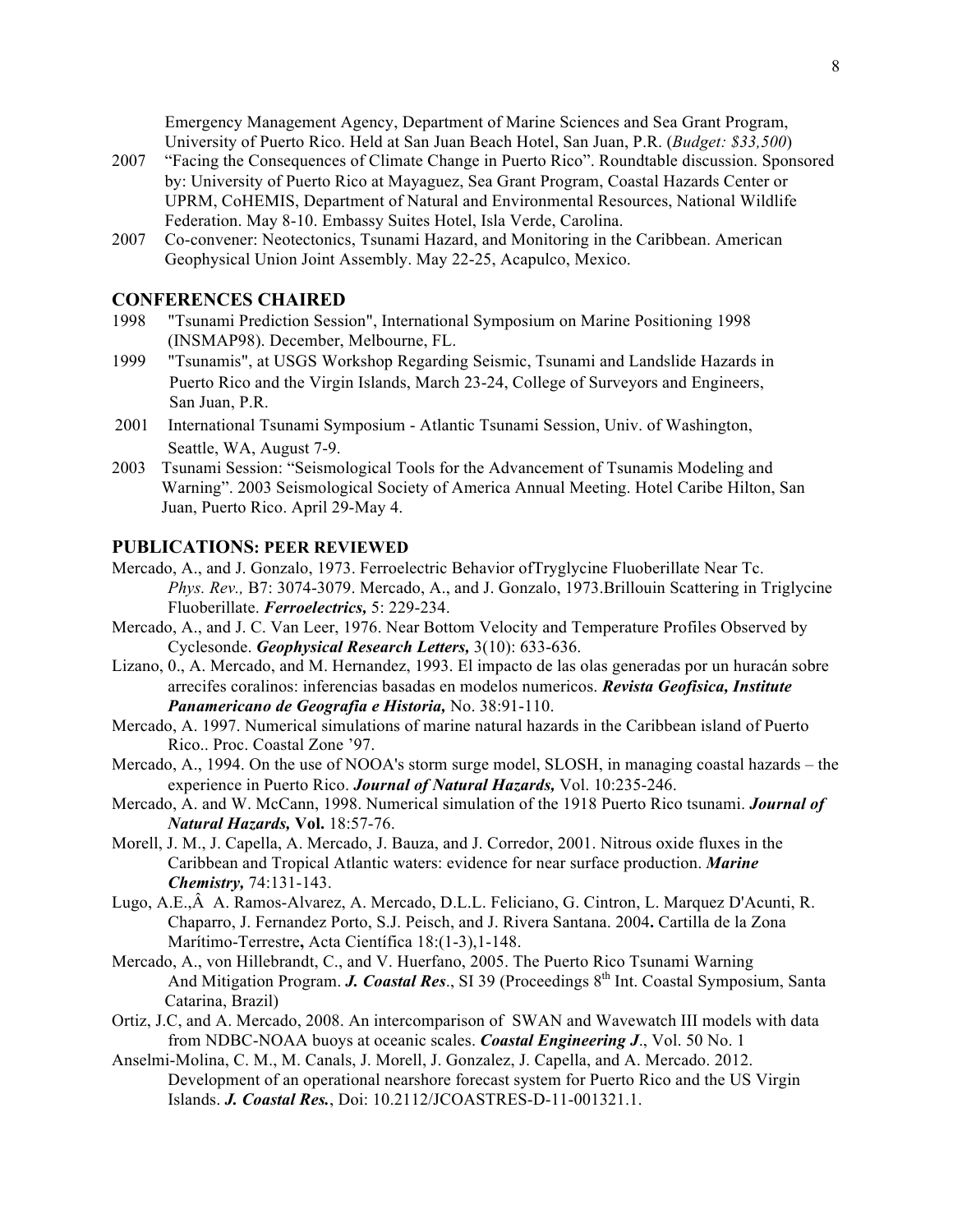Emergency Management Agency, Department of Marine Sciences and Sea Grant Program, University of Puerto Rico. Held at San Juan Beach Hotel, San Juan, P.R. (*Budget: \$33,500*)

- 2007 "Facing the Consequences of Climate Change in Puerto Rico". Roundtable discussion. Sponsored by: University of Puerto Rico at Mayaguez, Sea Grant Program, Coastal Hazards Center or UPRM, CoHEMIS, Department of Natural and Environmental Resources, National Wildlife Federation. May 8-10. Embassy Suites Hotel, Isla Verde, Carolina.
- 2007 Co-convener: Neotectonics, Tsunami Hazard, and Monitoring in the Caribbean. American Geophysical Union Joint Assembly. May 22-25, Acapulco, Mexico.

#### **CONFERENCES CHAIRED**

- 1998 "Tsunami Prediction Session", International Symposium on Marine Positioning 1998 (INSMAP98). December, Melbourne, FL.
- 1999 "Tsunamis", at USGS Workshop Regarding Seismic, Tsunami and Landslide Hazards in Puerto Rico and the Virgin Islands, March 23-24, College of Surveyors and Engineers, San Juan, P.R.
- 2001 International Tsunami Symposium Atlantic Tsunami Session, Univ. of Washington, Seattle, WA, August 7-9.
- 2003 Tsunami Session: "Seismological Tools for the Advancement of Tsunamis Modeling and Warning". 2003 Seismological Society of America Annual Meeting. Hotel Caribe Hilton, San Juan, Puerto Rico. April 29-May 4.

### **PUBLICATIONS: PEER REVIEWED**

- Mercado, A., and J. Gonzalo, 1973. Ferroelectric Behavior ofTryglycine Fluoberillate Near Tc. *Phys. Rev.,* B7: 3074-3079. Mercado, A., and J. Gonzalo, 1973.Brillouin Scattering in Triglycine Fluoberillate. *Ferroelectrics,* 5: 229-234.
- Mercado, A., and J. C. Van Leer, 1976. Near Bottom Velocity and Temperature Profiles Observed by Cyclesonde. *Geophysical Research Letters,* 3(10): 633-636.
- Lizano, 0., A. Mercado, and M. Hernandez, 1993. El impacto de las olas generadas por un huracán sobre arrecifes coralinos: inferencias basadas en modelos numericos. *Revista Geofisica, Institute Panamericano de Geografia e Historia,* No. 38:91-110.
- Mercado, A. 1997. Numerical simulations of marine natural hazards in the Caribbean island of Puerto Rico.. Proc. Coastal Zone '97.
- Mercado, A., 1994. On the use of NOOA's storm surge model, SLOSH, in managing coastal hazards the experience in Puerto Rico. *Journal of Natural Hazards,* Vol. 10:235-246.
- Mercado, A. and W. McCann, 1998. Numerical simulation of the 1918 Puerto Rico tsunami. *Journal of Natural Hazards,* **Vol.** 18:57-76.
- Morell, J. M., J. Capella, A. Mercado, J. Bauza, and J. Corredor, 2001. Nitrous oxide fluxes in the Caribbean and Tropical Atlantic waters: evidence for near surface production. *Marine Chemistry,* 74:131-143.
- Lugo, A.E.,Â A. Ramos-Alvarez, A. Mercado, D.L.L. Feliciano, G. Cintron, L. Marquez D'Acunti, R. Chaparro, J. Fernandez Porto, S.J. Peisch, and J. Rivera Santana. 2004**.** Cartilla de la Zona Marítimo-Terrestre**,** Acta Científica 18:(1-3),1-148.
- Mercado, A., von Hillebrandt, C., and V. Huerfano, 2005. The Puerto Rico Tsunami Warning And Mitigation Program. *J. Coastal Res.*, SI 39 (Proceedings 8<sup>th</sup> Int. Coastal Symposium, Santa Catarina, Brazil)
- Ortiz, J.C, and A. Mercado, 2008. An intercomparison of SWAN and Wavewatch III models with data from NDBC-NOAA buoys at oceanic scales. *Coastal Engineering J*., Vol. 50 No. 1
- Anselmi-Molina, C. M., M. Canals, J. Morell, J. Gonzalez, J. Capella, and A. Mercado. 2012. Development of an operational nearshore forecast system for Puerto Rico and the US Virgin Islands. *J. Coastal Res.*, Doi: 10.2112/JCOASTRES-D-11-001321.1.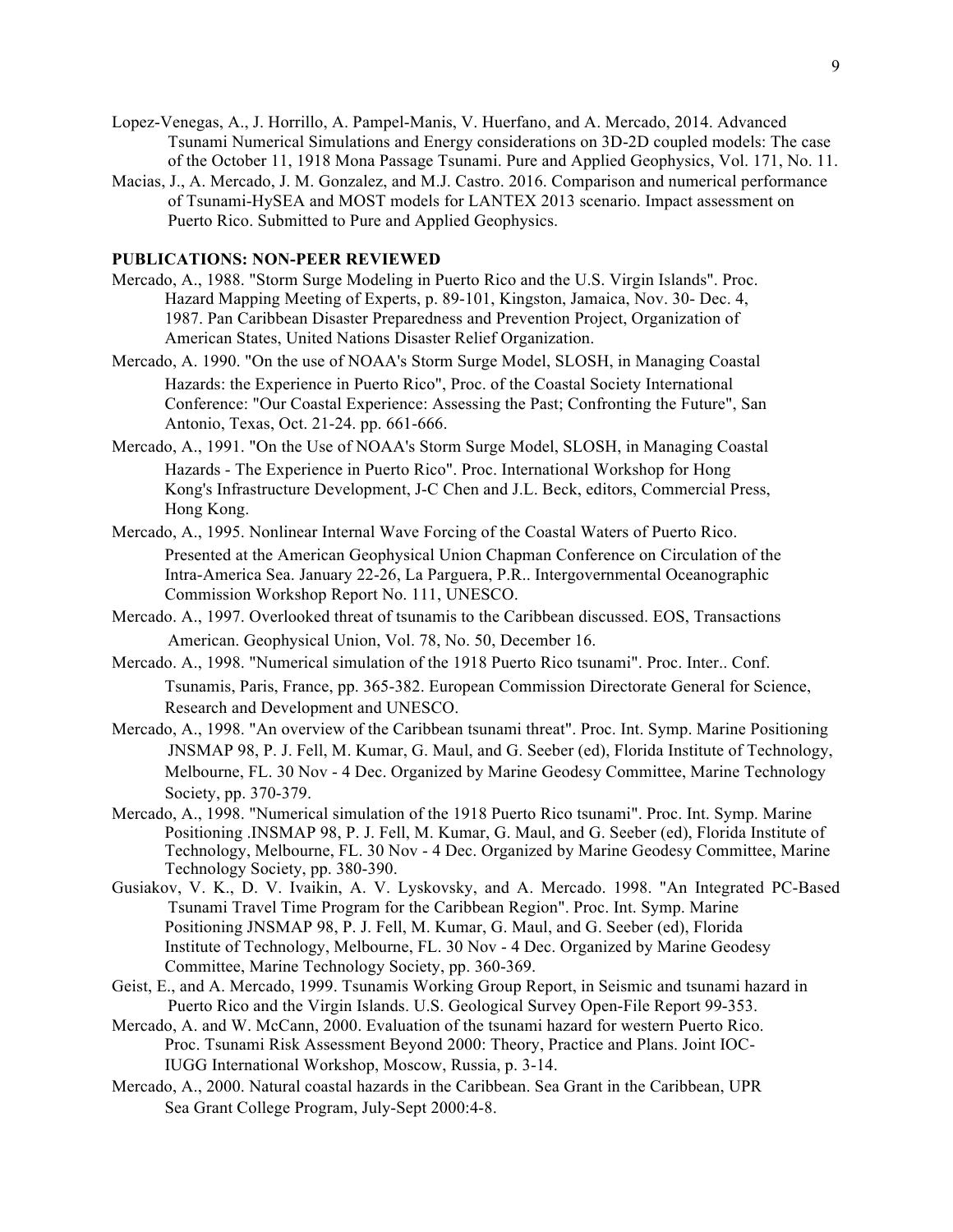- Lopez-Venegas, A., J. Horrillo, A. Pampel-Manis, V. Huerfano, and A. Mercado, 2014. Advanced Tsunami Numerical Simulations and Energy considerations on 3D-2D coupled models: The case of the October 11, 1918 Mona Passage Tsunami. Pure and Applied Geophysics, Vol. 171, No. 11.
- Macias, J., A. Mercado, J. M. Gonzalez, and M.J. Castro. 2016. Comparison and numerical performance of Tsunami-HySEA and MOST models for LANTEX 2013 scenario. Impact assessment on Puerto Rico. Submitted to Pure and Applied Geophysics.

#### **PUBLICATIONS: NON-PEER REVIEWED**

- Mercado, A., 1988. "Storm Surge Modeling in Puerto Rico and the U.S. Virgin Islands". Proc. Hazard Mapping Meeting of Experts, p. 89-101, Kingston, Jamaica, Nov. 30- Dec. 4, 1987. Pan Caribbean Disaster Preparedness and Prevention Project, Organization of American States, United Nations Disaster Relief Organization.
- Mercado, A. 1990. "On the use of NOAA's Storm Surge Model, SLOSH, in Managing Coastal Hazards: the Experience in Puerto Rico", Proc. of the Coastal Society International Conference: "Our Coastal Experience: Assessing the Past; Confronting the Future", San Antonio, Texas, Oct. 21-24. pp. 661-666.
- Mercado, A., 1991. "On the Use of NOAA's Storm Surge Model, SLOSH, in Managing Coastal Hazards - The Experience in Puerto Rico". Proc. International Workshop for Hong Kong's Infrastructure Development, J-C Chen and J.L. Beck, editors, Commercial Press, Hong Kong.
- Mercado, A., 1995. Nonlinear Internal Wave Forcing of the Coastal Waters of Puerto Rico. Presented at the American Geophysical Union Chapman Conference on Circulation of the Intra-America Sea. January 22-26, La Parguera, P.R.. Intergovernmental Oceanographic Commission Workshop Report No. 111, UNESCO.
- Mercado. A., 1997. Overlooked threat of tsunamis to the Caribbean discussed. EOS, Transactions American. Geophysical Union, Vol. 78, No. 50, December 16.
- Mercado. A., 1998. "Numerical simulation of the 1918 Puerto Rico tsunami". Proc. Inter.. Conf. Tsunamis, Paris, France, pp. 365-382. European Commission Directorate General for Science, Research and Development and UNESCO.
- Mercado, A., 1998. "An overview of the Caribbean tsunami threat". Proc. Int. Symp. Marine Positioning JNSMAP 98, P. J. Fell, M. Kumar, G. Maul, and G. Seeber (ed), Florida Institute of Technology, Melbourne, FL. 30 Nov - 4 Dec. Organized by Marine Geodesy Committee, Marine Technology Society, pp. 370-379.
- Mercado, A., 1998. "Numerical simulation of the 1918 Puerto Rico tsunami". Proc. Int. Symp. Marine Positioning .INSMAP 98, P. J. Fell, M. Kumar, G. Maul, and G. Seeber (ed), Florida Institute of Technology, Melbourne, FL. 30 Nov - 4 Dec. Organized by Marine Geodesy Committee, Marine Technology Society, pp. 380-390.
- Gusiakov, V. K., D. V. Ivaikin, A. V. Lyskovsky, and A. Mercado. 1998. "An Integrated PC-Based Tsunami Travel Time Program for the Caribbean Region". Proc. Int. Symp. Marine Positioning JNSMAP 98, P. J. Fell, M. Kumar, G. Maul, and G. Seeber (ed), Florida Institute of Technology, Melbourne, FL. 30 Nov - 4 Dec. Organized by Marine Geodesy Committee, Marine Technology Society, pp. 360-369.
- Geist, E., and A. Mercado, 1999. Tsunamis Working Group Report, in Seismic and tsunami hazard in Puerto Rico and the Virgin Islands. U.S. Geological Survey Open-File Report 99-353.
- Mercado, A. and W. McCann, 2000. Evaluation of the tsunami hazard for western Puerto Rico. Proc. Tsunami Risk Assessment Beyond 2000: Theory, Practice and Plans. Joint IOC-IUGG International Workshop, Moscow, Russia, p. 3-14.
- Mercado, A., 2000. Natural coastal hazards in the Caribbean. Sea Grant in the Caribbean, UPR Sea Grant College Program, July-Sept 2000:4-8.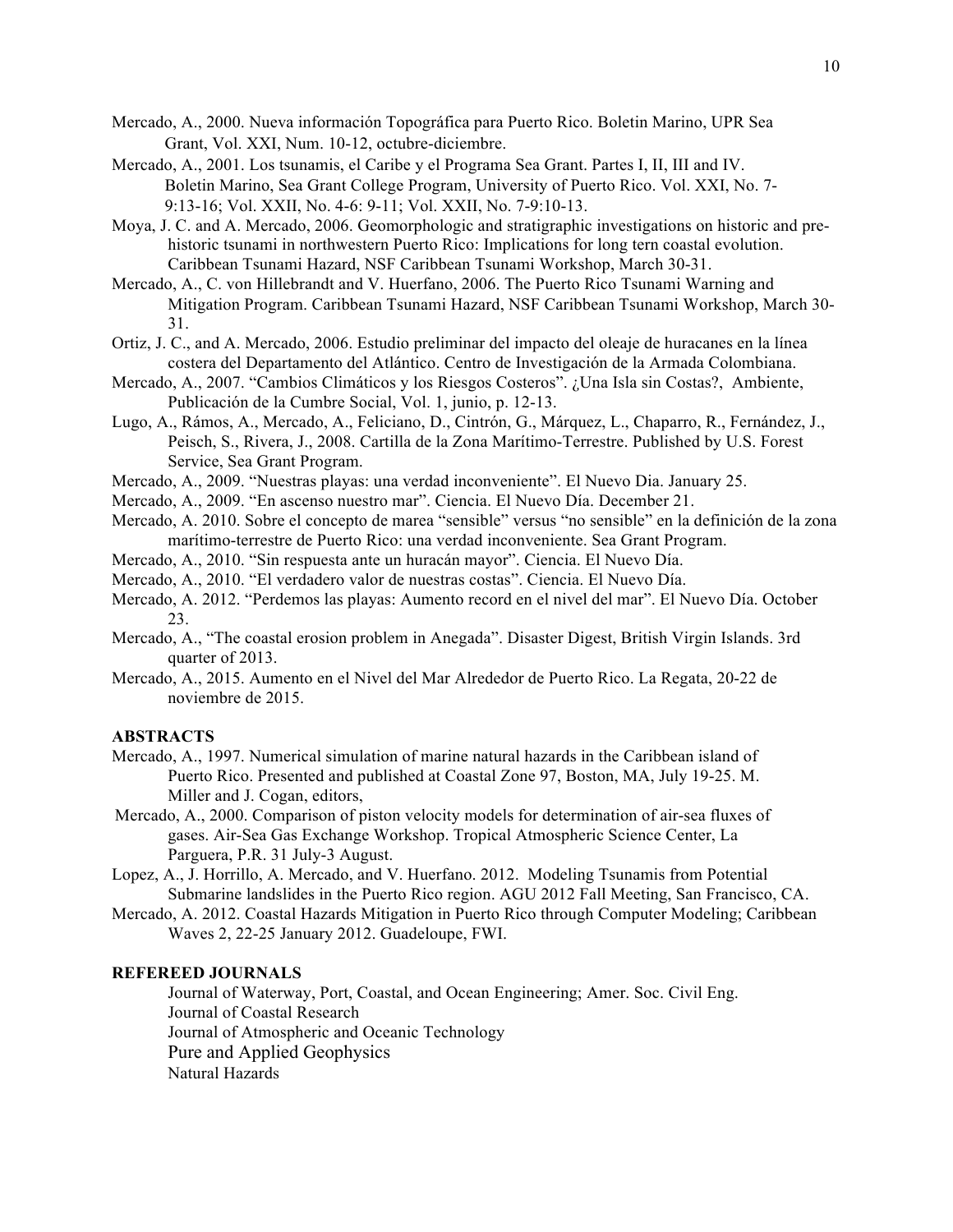- Mercado, A., 2000. Nueva información Topográfica para Puerto Rico. Boletin Marino, UPR Sea Grant, Vol. XXI, Num. 10-12, octubre-diciembre.
- Mercado, A., 2001. Los tsunamis, el Caribe y el Programa Sea Grant. Partes I, II, III and IV. Boletin Marino, Sea Grant College Program, University of Puerto Rico. Vol. XXI, No. 7- 9:13-16; Vol. XXII, No. 4-6: 9-11; Vol. XXII, No. 7-9:10-13.
- Moya, J. C. and A. Mercado, 2006. Geomorphologic and stratigraphic investigations on historic and prehistoric tsunami in northwestern Puerto Rico: Implications for long tern coastal evolution. Caribbean Tsunami Hazard, NSF Caribbean Tsunami Workshop, March 30-31.
- Mercado, A., C. von Hillebrandt and V. Huerfano, 2006. The Puerto Rico Tsunami Warning and Mitigation Program. Caribbean Tsunami Hazard, NSF Caribbean Tsunami Workshop, March 30- 31.
- Ortiz, J. C., and A. Mercado, 2006. Estudio preliminar del impacto del oleaje de huracanes en la línea costera del Departamento del Atlántico. Centro de Investigación de la Armada Colombiana.
- Mercado, A., 2007. "Cambios Climáticos y los Riesgos Costeros". ¿Una Isla sin Costas?, Ambiente, Publicación de la Cumbre Social, Vol. 1, junio, p. 12-13.
- Lugo, A., Rámos, A., Mercado, A., Feliciano, D., Cintrón, G., Márquez, L., Chaparro, R., Fernández, J., Peisch, S., Rivera, J., 2008. Cartilla de la Zona Marítimo-Terrestre. Published by U.S. Forest Service, Sea Grant Program.
- Mercado, A., 2009. "Nuestras playas: una verdad inconveniente". El Nuevo Dia. January 25.
- Mercado, A., 2009. "En ascenso nuestro mar". Ciencia. El Nuevo Día. December 21.
- Mercado, A. 2010. Sobre el concepto de marea "sensible" versus "no sensible" en la definición de la zona marítimo-terrestre de Puerto Rico: una verdad inconveniente. Sea Grant Program.
- Mercado, A., 2010. "Sin respuesta ante un huracán mayor". Ciencia. El Nuevo Día.
- Mercado, A., 2010. "El verdadero valor de nuestras costas". Ciencia. El Nuevo Día.
- Mercado, A. 2012. "Perdemos las playas: Aumento record en el nivel del mar". El Nuevo Día. October 23.
- Mercado, A., "The coastal erosion problem in Anegada". Disaster Digest, British Virgin Islands. 3rd quarter of 2013.
- Mercado, A., 2015. Aumento en el Nivel del Mar Alrededor de Puerto Rico. La Regata, 20-22 de noviembre de 2015.

### **ABSTRACTS**

- Mercado, A., 1997. Numerical simulation of marine natural hazards in the Caribbean island of Puerto Rico. Presented and published at Coastal Zone 97, Boston, MA, July 19-25. M. Miller and J. Cogan, editors,
- Mercado, A., 2000. Comparison of piston velocity models for determination of air-sea fluxes of gases. Air-Sea Gas Exchange Workshop. Tropical Atmospheric Science Center, La Parguera, P.R. 31 July-3 August.
- Lopez, A., J. Horrillo, A. Mercado, and V. Huerfano. 2012. Modeling Tsunamis from Potential Submarine landslides in the Puerto Rico region. AGU 2012 Fall Meeting, San Francisco, CA.
- Mercado, A. 2012. Coastal Hazards Mitigation in Puerto Rico through Computer Modeling; Caribbean Waves 2, 22-25 January 2012. Guadeloupe, FWI.

#### **REFEREED JOURNALS**

Journal of Waterway, Port, Coastal, and Ocean Engineering; Amer. Soc. Civil Eng. Journal of Coastal Research Journal of Atmospheric and Oceanic Technology Pure and Applied Geophysics Natural Hazards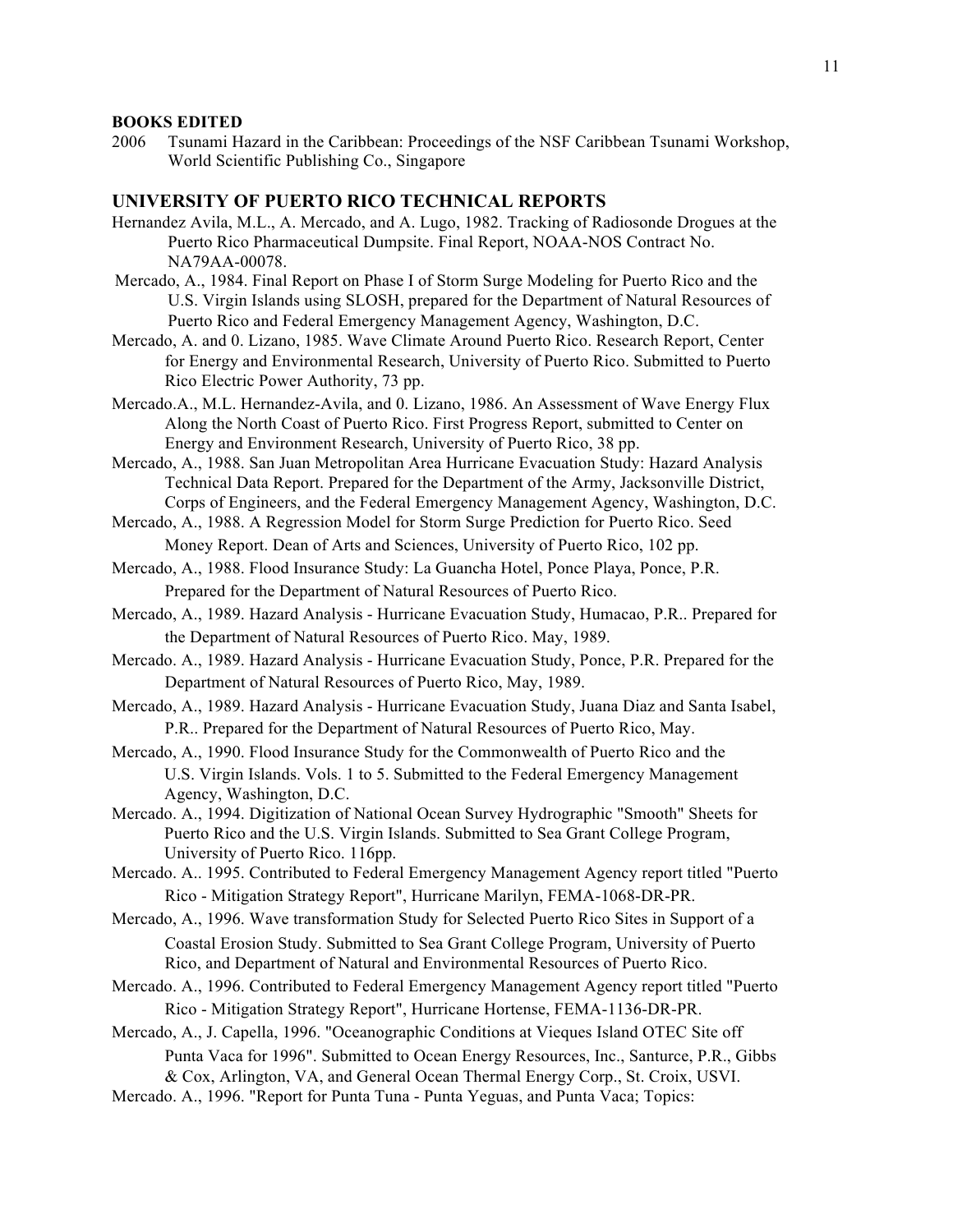#### **BOOKS EDITED**

2006 Tsunami Hazard in the Caribbean: Proceedings of the NSF Caribbean Tsunami Workshop, World Scientific Publishing Co., Singapore

### **UNIVERSITY OF PUERTO RICO TECHNICAL REPORTS**

- Hernandez Avila, M.L., A. Mercado, and A. Lugo, 1982. Tracking of Radiosonde Drogues at the Puerto Rico Pharmaceutical Dumpsite. Final Report, NOAA-NOS Contract No. NA79AA-00078.
- Mercado, A., 1984. Final Report on Phase I of Storm Surge Modeling for Puerto Rico and the U.S. Virgin Islands using SLOSH, prepared for the Department of Natural Resources of Puerto Rico and Federal Emergency Management Agency, Washington, D.C.
- Mercado, A. and 0. Lizano, 1985. Wave Climate Around Puerto Rico. Research Report, Center for Energy and Environmental Research, University of Puerto Rico. Submitted to Puerto Rico Electric Power Authority, 73 pp.
- Mercado.A., M.L. Hernandez-Avila, and 0. Lizano, 1986. An Assessment of Wave Energy Flux Along the North Coast of Puerto Rico. First Progress Report, submitted to Center on Energy and Environment Research, University of Puerto Rico, 38 pp.
- Mercado, A., 1988. San Juan Metropolitan Area Hurricane Evacuation Study: Hazard Analysis Technical Data Report. Prepared for the Department of the Army, Jacksonville District, Corps of Engineers, and the Federal Emergency Management Agency, Washington, D.C.
- Mercado, A., 1988. A Regression Model for Storm Surge Prediction for Puerto Rico. Seed Money Report. Dean of Arts and Sciences, University of Puerto Rico, 102 pp.
- Mercado, A., 1988. Flood Insurance Study: La Guancha Hotel, Ponce Playa, Ponce, P.R. Prepared for the Department of Natural Resources of Puerto Rico.
- Mercado, A., 1989. Hazard Analysis Hurricane Evacuation Study, Humacao, P.R.. Prepared for the Department of Natural Resources of Puerto Rico. May, 1989.
- Mercado. A., 1989. Hazard Analysis Hurricane Evacuation Study, Ponce, P.R. Prepared for the Department of Natural Resources of Puerto Rico, May, 1989.
- Mercado, A., 1989. Hazard Analysis Hurricane Evacuation Study, Juana Diaz and Santa Isabel, P.R.. Prepared for the Department of Natural Resources of Puerto Rico, May.
- Mercado, A., 1990. Flood Insurance Study for the Commonwealth of Puerto Rico and the U.S. Virgin Islands. Vols. 1 to 5. Submitted to the Federal Emergency Management Agency, Washington, D.C.
- Mercado. A., 1994. Digitization of National Ocean Survey Hydrographic "Smooth" Sheets for Puerto Rico and the U.S. Virgin Islands. Submitted to Sea Grant College Program, University of Puerto Rico. 116pp.
- Mercado. A.. 1995. Contributed to Federal Emergency Management Agency report titled "Puerto Rico - Mitigation Strategy Report", Hurricane Marilyn, FEMA-1068-DR-PR.
- Mercado, A., 1996. Wave transformation Study for Selected Puerto Rico Sites in Support of a Coastal Erosion Study. Submitted to Sea Grant College Program, University of Puerto Rico, and Department of Natural and Environmental Resources of Puerto Rico.
- Mercado. A., 1996. Contributed to Federal Emergency Management Agency report titled "Puerto Rico - Mitigation Strategy Report", Hurricane Hortense, FEMA-1136-DR-PR.
- Mercado, A., J. Capella, 1996. "Oceanographic Conditions at Vieques Island OTEC Site off Punta Vaca for 1996". Submitted to Ocean Energy Resources, Inc., Santurce, P.R., Gibbs & Cox, Arlington, VA, and General Ocean Thermal Energy Corp., St. Croix, USVI.
- Mercado. A., 1996. "Report for Punta Tuna Punta Yeguas, and Punta Vaca; Topics: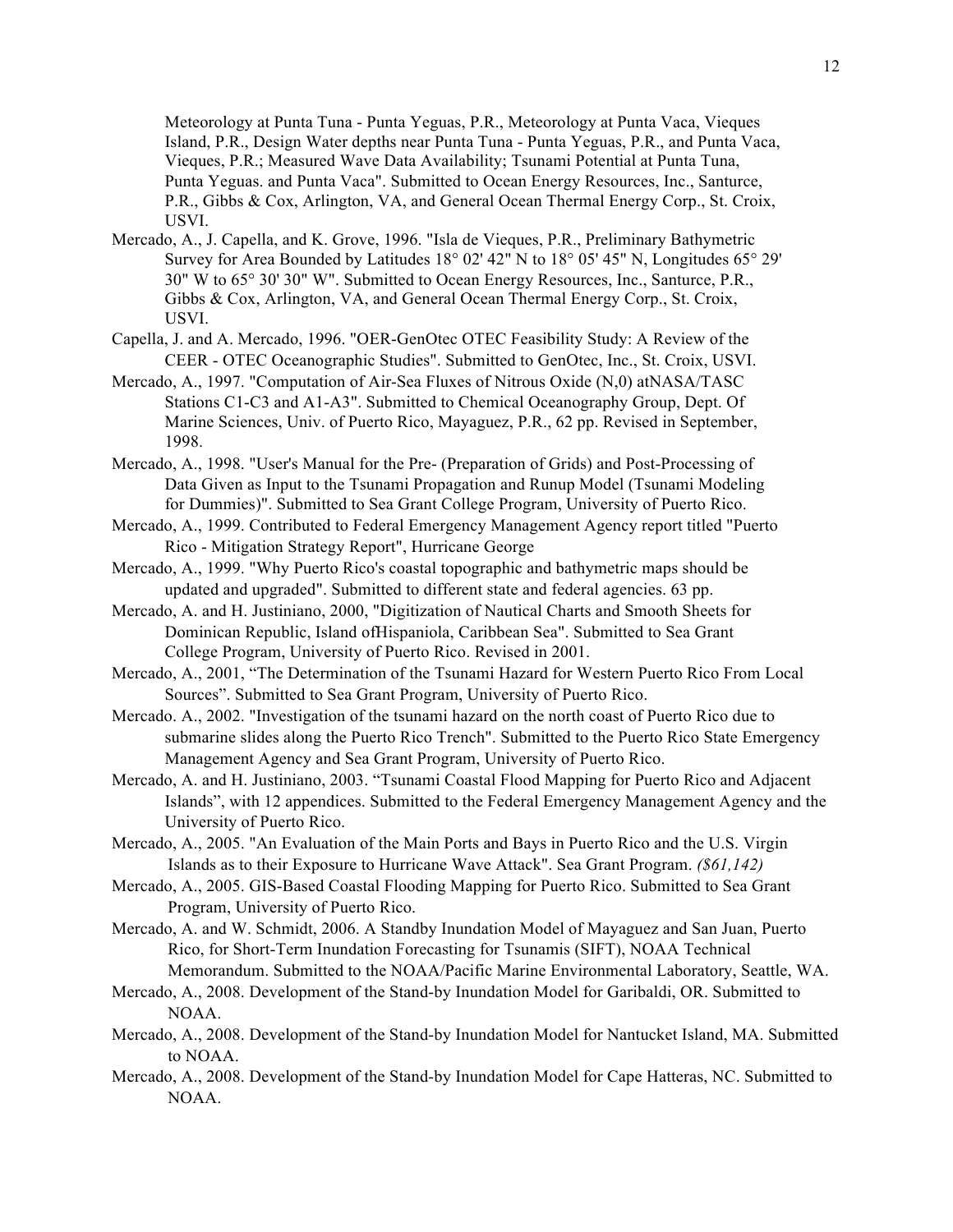Meteorology at Punta Tuna - Punta Yeguas, P.R., Meteorology at Punta Vaca, Vieques Island, P.R., Design Water depths near Punta Tuna - Punta Yeguas, P.R., and Punta Vaca, Vieques, P.R.; Measured Wave Data Availability; Tsunami Potential at Punta Tuna, Punta Yeguas. and Punta Vaca". Submitted to Ocean Energy Resources, Inc., Santurce, P.R., Gibbs & Cox, Arlington, VA, and General Ocean Thermal Energy Corp., St. Croix, USVI.

- Mercado, A., J. Capella, and K. Grove, 1996. "Isla de Vieques, P.R., Preliminary Bathymetric Survey for Area Bounded by Latitudes 18° 02' 42" N to 18° 05' 45" N, Longitudes 65° 29' 30" W to 65° 30' 30" W". Submitted to Ocean Energy Resources, Inc., Santurce, P.R., Gibbs & Cox, Arlington, VA, and General Ocean Thermal Energy Corp., St. Croix, USVI.
- Capella, J. and A. Mercado, 1996. "OER-GenOtec OTEC Feasibility Study: A Review of the CEER - OTEC Oceanographic Studies". Submitted to GenOtec, Inc., St. Croix, USVI.
- Mercado, A., 1997. "Computation of Air-Sea Fluxes of Nitrous Oxide (N,0) atNASA/TASC Stations C1-C3 and A1-A3". Submitted to Chemical Oceanography Group, Dept. Of Marine Sciences, Univ. of Puerto Rico, Mayaguez, P.R., 62 pp. Revised in September, 1998.
- Mercado, A., 1998. "User's Manual for the Pre- (Preparation of Grids) and Post-Processing of Data Given as Input to the Tsunami Propagation and Runup Model (Tsunami Modeling for Dummies)". Submitted to Sea Grant College Program, University of Puerto Rico.
- Mercado, A., 1999. Contributed to Federal Emergency Management Agency report titled "Puerto Rico - Mitigation Strategy Report", Hurricane George
- Mercado, A., 1999. "Why Puerto Rico's coastal topographic and bathymetric maps should be updated and upgraded". Submitted to different state and federal agencies. 63 pp.
- Mercado, A. and H. Justiniano, 2000, "Digitization of Nautical Charts and Smooth Sheets for Dominican Republic, Island ofHispaniola, Caribbean Sea". Submitted to Sea Grant College Program, University of Puerto Rico. Revised in 2001.
- Mercado, A., 2001, "The Determination of the Tsunami Hazard for Western Puerto Rico From Local Sources". Submitted to Sea Grant Program, University of Puerto Rico.
- Mercado. A., 2002. "Investigation of the tsunami hazard on the north coast of Puerto Rico due to submarine slides along the Puerto Rico Trench". Submitted to the Puerto Rico State Emergency Management Agency and Sea Grant Program, University of Puerto Rico.
- Mercado, A. and H. Justiniano, 2003. "Tsunami Coastal Flood Mapping for Puerto Rico and Adjacent Islands", with 12 appendices. Submitted to the Federal Emergency Management Agency and the University of Puerto Rico.
- Mercado, A., 2005. "An Evaluation of the Main Ports and Bays in Puerto Rico and the U.S. Virgin Islands as to their Exposure to Hurricane Wave Attack". Sea Grant Program. *(\$61,142)*
- Mercado, A., 2005. GIS-Based Coastal Flooding Mapping for Puerto Rico. Submitted to Sea Grant Program, University of Puerto Rico.
- Mercado, A. and W. Schmidt, 2006. A Standby Inundation Model of Mayaguez and San Juan, Puerto Rico, for Short-Term Inundation Forecasting for Tsunamis (SIFT), NOAA Technical Memorandum. Submitted to the NOAA/Pacific Marine Environmental Laboratory, Seattle, WA.
- Mercado, A., 2008. Development of the Stand-by Inundation Model for Garibaldi, OR. Submitted to NOAA.
- Mercado, A., 2008. Development of the Stand-by Inundation Model for Nantucket Island, MA. Submitted to NOAA.
- Mercado, A., 2008. Development of the Stand-by Inundation Model for Cape Hatteras, NC. Submitted to NOAA.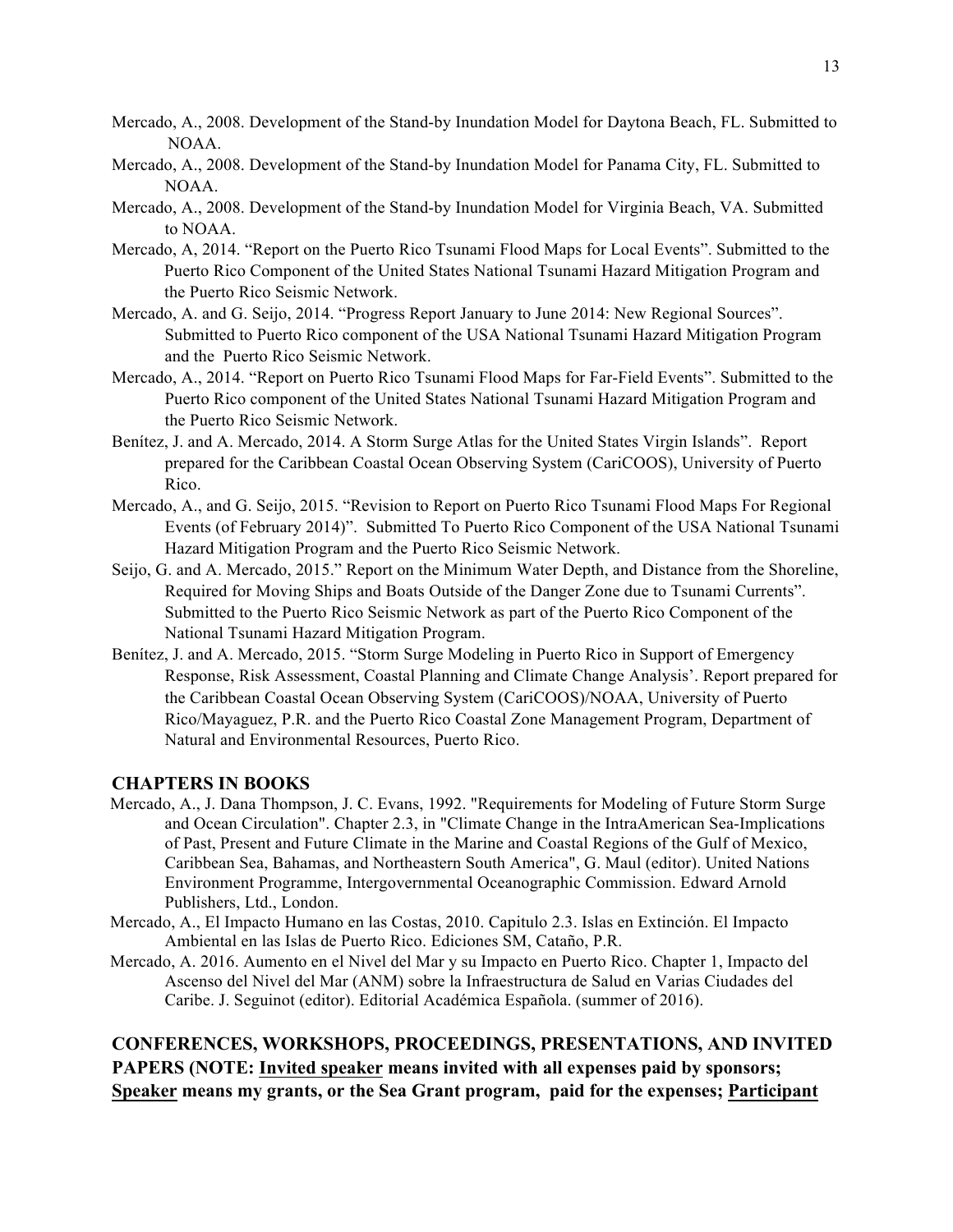- Mercado, A., 2008. Development of the Stand-by Inundation Model for Daytona Beach, FL. Submitted to NOAA.
- Mercado, A., 2008. Development of the Stand-by Inundation Model for Panama City, FL. Submitted to NOAA.
- Mercado, A., 2008. Development of the Stand-by Inundation Model for Virginia Beach, VA. Submitted to NOAA.
- Mercado, A, 2014. "Report on the Puerto Rico Tsunami Flood Maps for Local Events". Submitted to the Puerto Rico Component of the United States National Tsunami Hazard Mitigation Program and the Puerto Rico Seismic Network.
- Mercado, A. and G. Seijo, 2014. "Progress Report January to June 2014: New Regional Sources". Submitted to Puerto Rico component of the USA National Tsunami Hazard Mitigation Program and the Puerto Rico Seismic Network.
- Mercado, A., 2014. "Report on Puerto Rico Tsunami Flood Maps for Far-Field Events". Submitted to the Puerto Rico component of the United States National Tsunami Hazard Mitigation Program and the Puerto Rico Seismic Network.
- Benítez, J. and A. Mercado, 2014. A Storm Surge Atlas for the United States Virgin Islands". Report prepared for the Caribbean Coastal Ocean Observing System (CariCOOS), University of Puerto Rico.
- Mercado, A., and G. Seijo, 2015. "Revision to Report on Puerto Rico Tsunami Flood Maps For Regional Events (of February 2014)". Submitted To Puerto Rico Component of the USA National Tsunami Hazard Mitigation Program and the Puerto Rico Seismic Network.
- Seijo, G. and A. Mercado, 2015." Report on the Minimum Water Depth, and Distance from the Shoreline, Required for Moving Ships and Boats Outside of the Danger Zone due to Tsunami Currents". Submitted to the Puerto Rico Seismic Network as part of the Puerto Rico Component of the National Tsunami Hazard Mitigation Program.
- Benítez, J. and A. Mercado, 2015. "Storm Surge Modeling in Puerto Rico in Support of Emergency Response, Risk Assessment, Coastal Planning and Climate Change Analysis'. Report prepared for the Caribbean Coastal Ocean Observing System (CariCOOS)/NOAA, University of Puerto Rico/Mayaguez, P.R. and the Puerto Rico Coastal Zone Management Program, Department of Natural and Environmental Resources, Puerto Rico.

### **CHAPTERS IN BOOKS**

- Mercado, A., J. Dana Thompson, J. C. Evans, 1992. "Requirements for Modeling of Future Storm Surge and Ocean Circulation". Chapter 2.3, in "Climate Change in the IntraAmerican Sea-Implications of Past, Present and Future Climate in the Marine and Coastal Regions of the Gulf of Mexico, Caribbean Sea, Bahamas, and Northeastern South America", G. Maul (editor). United Nations Environment Programme, Intergovernmental Oceanographic Commission. Edward Arnold Publishers, Ltd., London.
- Mercado, A., El Impacto Humano en las Costas, 2010. Capitulo 2.3. Islas en Extinción. El Impacto Ambiental en las Islas de Puerto Rico. Ediciones SM, Cataño, P.R.
- Mercado, A. 2016. Aumento en el Nivel del Mar y su Impacto en Puerto Rico. Chapter 1, Impacto del Ascenso del Nivel del Mar (ANM) sobre la Infraestructura de Salud en Varias Ciudades del Caribe. J. Seguinot (editor). Editorial Académica Española. (summer of 2016).

**CONFERENCES, WORKSHOPS, PROCEEDINGS, PRESENTATIONS, AND INVITED PAPERS (NOTE: Invited speaker means invited with all expenses paid by sponsors; Speaker means my grants, or the Sea Grant program, paid for the expenses; Participant**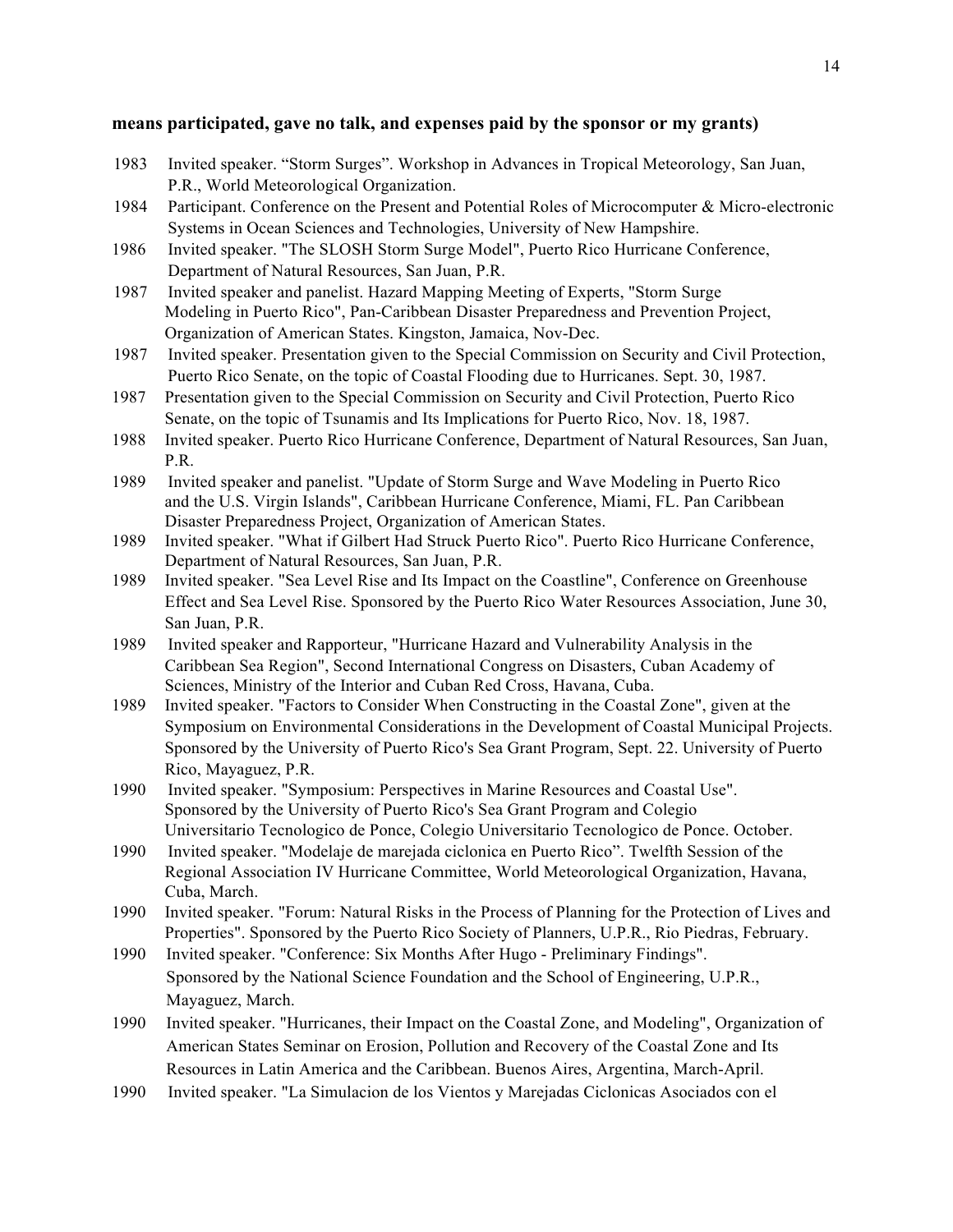### **means participated, gave no talk, and expenses paid by the sponsor or my grants)**

- 1983 Invited speaker. "Storm Surges". Workshop in Advances in Tropical Meteorology, San Juan, P.R., World Meteorological Organization.
- 1984 Participant. Conference on the Present and Potential Roles of Microcomputer & Micro-electronic Systems in Ocean Sciences and Technologies, University of New Hampshire.
- 1986 Invited speaker. "The SLOSH Storm Surge Model", Puerto Rico Hurricane Conference, Department of Natural Resources, San Juan, P.R.
- 1987 Invited speaker and panelist. Hazard Mapping Meeting of Experts, "Storm Surge Modeling in Puerto Rico", Pan-Caribbean Disaster Preparedness and Prevention Project, Organization of American States. Kingston, Jamaica, Nov-Dec.
- 1987 Invited speaker. Presentation given to the Special Commission on Security and Civil Protection, Puerto Rico Senate, on the topic of Coastal Flooding due to Hurricanes. Sept. 30, 1987.
- 1987 Presentation given to the Special Commission on Security and Civil Protection, Puerto Rico Senate, on the topic of Tsunamis and Its Implications for Puerto Rico, Nov. 18, 1987.
- 1988 Invited speaker. Puerto Rico Hurricane Conference, Department of Natural Resources, San Juan, P.R.
- 1989 Invited speaker and panelist. "Update of Storm Surge and Wave Modeling in Puerto Rico and the U.S. Virgin Islands", Caribbean Hurricane Conference, Miami, FL. Pan Caribbean Disaster Preparedness Project, Organization of American States.
- 1989 Invited speaker. "What if Gilbert Had Struck Puerto Rico". Puerto Rico Hurricane Conference, Department of Natural Resources, San Juan, P.R.
- 1989 Invited speaker. "Sea Level Rise and Its Impact on the Coastline", Conference on Greenhouse Effect and Sea Level Rise. Sponsored by the Puerto Rico Water Resources Association, June 30, San Juan, P.R.
- 1989 Invited speaker and Rapporteur, "Hurricane Hazard and Vulnerability Analysis in the Caribbean Sea Region", Second International Congress on Disasters, Cuban Academy of Sciences, Ministry of the Interior and Cuban Red Cross, Havana, Cuba.
- 1989 Invited speaker. "Factors to Consider When Constructing in the Coastal Zone", given at the Symposium on Environmental Considerations in the Development of Coastal Municipal Projects. Sponsored by the University of Puerto Rico's Sea Grant Program, Sept. 22. University of Puerto Rico, Mayaguez, P.R.
- 1990 Invited speaker. "Symposium: Perspectives in Marine Resources and Coastal Use". Sponsored by the University of Puerto Rico's Sea Grant Program and Colegio Universitario Tecnologico de Ponce, Colegio Universitario Tecnologico de Ponce. October.
- 1990 Invited speaker. "Modelaje de marejada ciclonica en Puerto Rico". Twelfth Session of the Regional Association IV Hurricane Committee, World Meteorological Organization, Havana, Cuba, March.
- 1990 Invited speaker. "Forum: Natural Risks in the Process of Planning for the Protection of Lives and Properties". Sponsored by the Puerto Rico Society of Planners, U.P.R., Rio Piedras, February.
- 1990 Invited speaker. "Conference: Six Months After Hugo Preliminary Findings". Sponsored by the National Science Foundation and the School of Engineering, U.P.R., Mayaguez, March.
- 1990 Invited speaker. "Hurricanes, their Impact on the Coastal Zone, and Modeling", Organization of American States Seminar on Erosion, Pollution and Recovery of the Coastal Zone and Its Resources in Latin America and the Caribbean. Buenos Aires, Argentina, March-April.
- 1990 Invited speaker. "La Simulacion de los Vientos y Marejadas Ciclonicas Asociados con el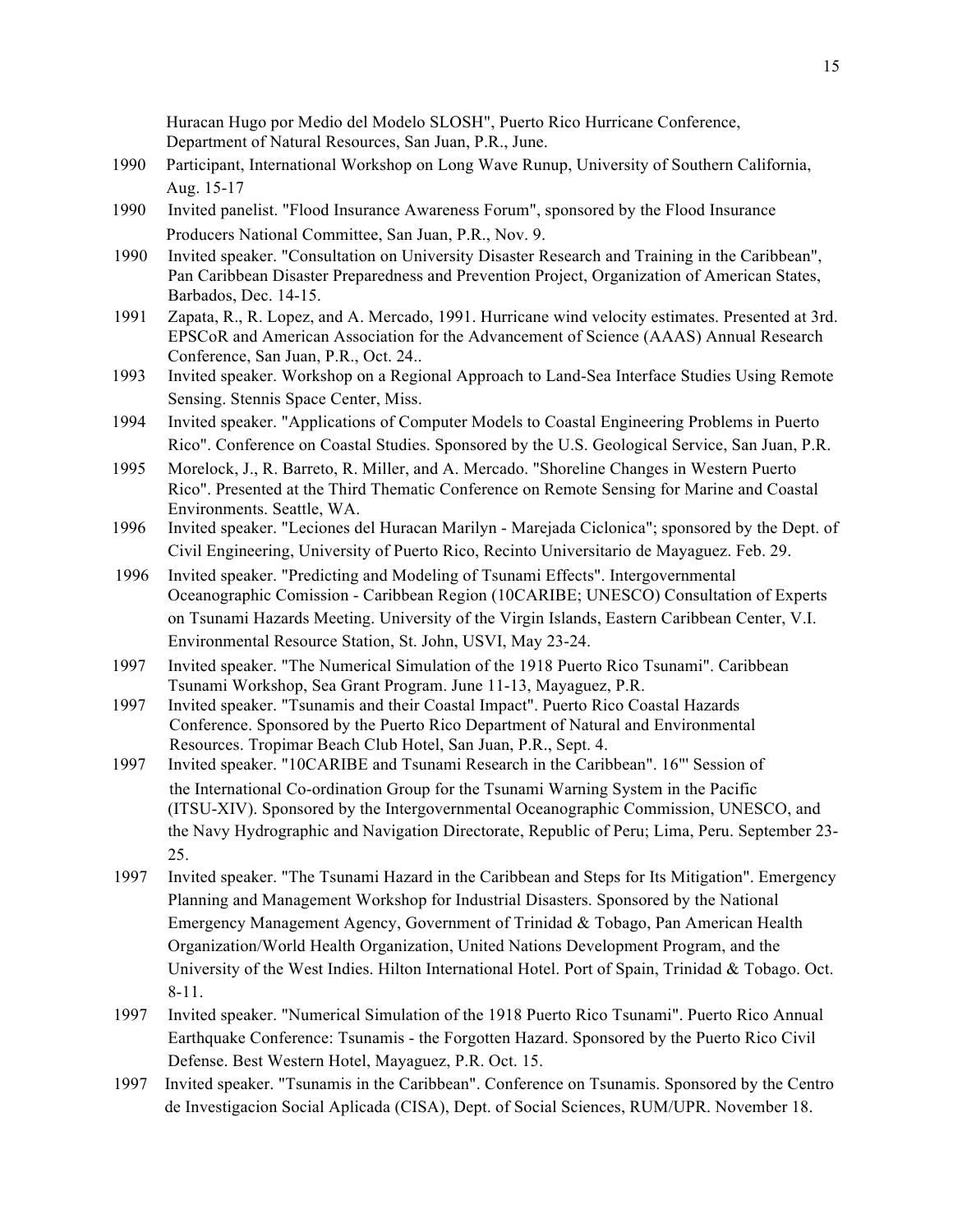Huracan Hugo por Medio del Modelo SLOSH", Puerto Rico Hurricane Conference, Department of Natural Resources, San Juan, P.R., June.

- 1990 Participant, International Workshop on Long Wave Runup, University of Southern California, Aug. 15-17
- 1990 Invited panelist. "Flood Insurance Awareness Forum", sponsored by the Flood Insurance Producers National Committee, San Juan, P.R., Nov. 9.
- 1990 Invited speaker. "Consultation on University Disaster Research and Training in the Caribbean", Pan Caribbean Disaster Preparedness and Prevention Project, Organization of American States, Barbados, Dec. 14-15.
- 1991 Zapata, R., R. Lopez, and A. Mercado, 1991. Hurricane wind velocity estimates. Presented at 3rd. EPSCoR and American Association for the Advancement of Science (AAAS) Annual Research Conference, San Juan, P.R., Oct. 24..
- 1993 Invited speaker. Workshop on a Regional Approach to Land-Sea Interface Studies Using Remote Sensing. Stennis Space Center, Miss.
- 1994 Invited speaker. "Applications of Computer Models to Coastal Engineering Problems in Puerto Rico". Conference on Coastal Studies. Sponsored by the U.S. Geological Service, San Juan, P.R.
- 1995 Morelock, J., R. Barreto, R. Miller, and A. Mercado. "Shoreline Changes in Western Puerto Rico". Presented at the Third Thematic Conference on Remote Sensing for Marine and Coastal Environments. Seattle, WA.
- 1996 Invited speaker. "Leciones del Huracan Marilyn Marejada Ciclonica"; sponsored by the Dept. of Civil Engineering, University of Puerto Rico, Recinto Universitario de Mayaguez. Feb. 29.
- 1996 Invited speaker. "Predicting and Modeling of Tsunami Effects". Intergovernmental Oceanographic Comission - Caribbean Region (10CARIBE; UNESCO) Consultation of Experts on Tsunami Hazards Meeting. University of the Virgin Islands, Eastern Caribbean Center, V.I. Environmental Resource Station, St. John, USVI, May 23-24.
- 1997 Invited speaker. "The Numerical Simulation of the 1918 Puerto Rico Tsunami". Caribbean Tsunami Workshop, Sea Grant Program. June 11-13, Mayaguez, P.R.
- 1997 Invited speaker. "Tsunamis and their Coastal Impact". Puerto Rico Coastal Hazards Conference. Sponsored by the Puerto Rico Department of Natural and Environmental Resources. Tropimar Beach Club Hotel, San Juan, P.R., Sept. 4.
- 1997 Invited speaker. "10CARIBE and Tsunami Research in the Caribbean". 16"' Session of the International Co-ordination Group for the Tsunami Warning System in the Pacific (ITSU-XIV). Sponsored by the Intergovernmental Oceanographic Commission, UNESCO, and the Navy Hydrographic and Navigation Directorate, Republic of Peru; Lima, Peru. September 23- 25.
- 1997 Invited speaker. "The Tsunami Hazard in the Caribbean and Steps for Its Mitigation". Emergency Planning and Management Workshop for Industrial Disasters. Sponsored by the National Emergency Management Agency, Government of Trinidad & Tobago, Pan American Health Organization/World Health Organization, United Nations Development Program, and the University of the West Indies. Hilton International Hotel. Port of Spain, Trinidad & Tobago. Oct. 8-11.
- 1997 Invited speaker. "Numerical Simulation of the 1918 Puerto Rico Tsunami". Puerto Rico Annual Earthquake Conference: Tsunamis - the Forgotten Hazard. Sponsored by the Puerto Rico Civil Defense. Best Western Hotel, Mayaguez, P.R. Oct. 15.
- 1997 Invited speaker. "Tsunamis in the Caribbean". Conference on Tsunamis. Sponsored by the Centro de Investigacion Social Aplicada (CISA), Dept. of Social Sciences, RUM/UPR. November 18.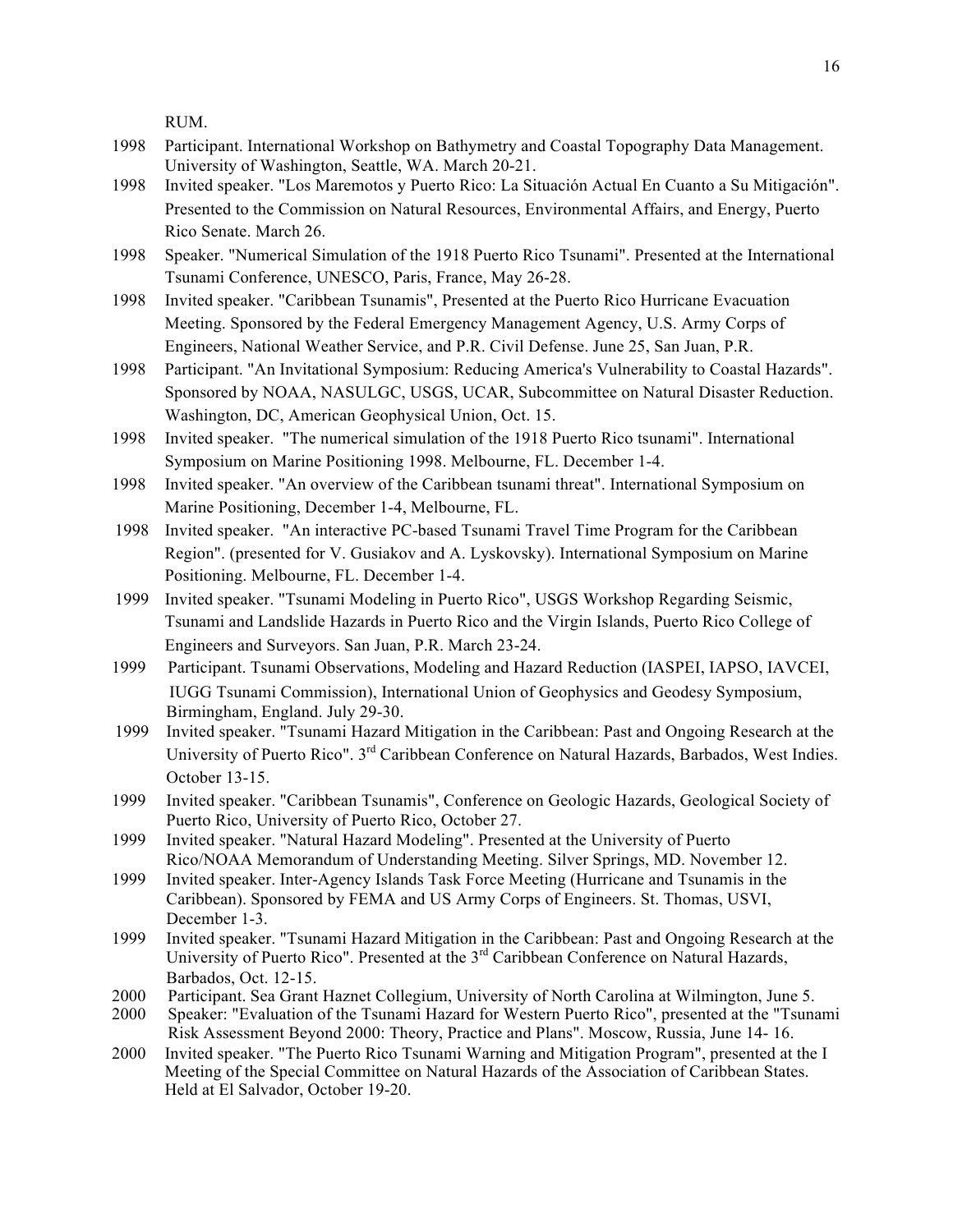RUM.

- 1998 Participant. International Workshop on Bathymetry and Coastal Topography Data Management. University of Washington, Seattle, WA. March 20-21.
- 1998 Invited speaker. "Los Maremotos y Puerto Rico: La Situación Actual En Cuanto a Su Mitigación". Presented to the Commission on Natural Resources, Environmental Affairs, and Energy, Puerto Rico Senate. March 26.
- 1998 Speaker. "Numerical Simulation of the 1918 Puerto Rico Tsunami". Presented at the International Tsunami Conference, UNESCO, Paris, France, May 26-28.
- 1998 Invited speaker. "Caribbean Tsunamis", Presented at the Puerto Rico Hurricane Evacuation Meeting. Sponsored by the Federal Emergency Management Agency, U.S. Army Corps of Engineers, National Weather Service, and P.R. Civil Defense. June 25, San Juan, P.R.
- 1998 Participant. "An Invitational Symposium: Reducing America's Vulnerability to Coastal Hazards". Sponsored by NOAA, NASULGC, USGS, UCAR, Subcommittee on Natural Disaster Reduction. Washington, DC, American Geophysical Union, Oct. 15.
- 1998 Invited speaker. "The numerical simulation of the 1918 Puerto Rico tsunami". International Symposium on Marine Positioning 1998. Melbourne, FL. December 1-4.
- 1998 Invited speaker. "An overview of the Caribbean tsunami threat". International Symposium on Marine Positioning, December 1-4, Melbourne, FL.
- 1998 Invited speaker. "An interactive PC-based Tsunami Travel Time Program for the Caribbean Region". (presented for V. Gusiakov and A. Lyskovsky). International Symposium on Marine Positioning. Melbourne, FL. December 1-4.
- 1999 Invited speaker. "Tsunami Modeling in Puerto Rico", USGS Workshop Regarding Seismic, Tsunami and Landslide Hazards in Puerto Rico and the Virgin Islands, Puerto Rico College of Engineers and Surveyors. San Juan, P.R. March 23-24.
- 1999 Participant. Tsunami Observations, Modeling and Hazard Reduction (IASPEI, IAPSO, IAVCEI, IUGG Tsunami Commission), International Union of Geophysics and Geodesy Symposium, Birmingham, England. July 29-30.
- 1999 Invited speaker. "Tsunami Hazard Mitigation in the Caribbean: Past and Ongoing Research at the University of Puerto Rico". 3rd Caribbean Conference on Natural Hazards, Barbados, West Indies. October 13-15.
- 1999 Invited speaker. "Caribbean Tsunamis", Conference on Geologic Hazards, Geological Society of Puerto Rico, University of Puerto Rico, October 27.
- 1999 Invited speaker. "Natural Hazard Modeling". Presented at the University of Puerto Rico/NOAA Memorandum of Understanding Meeting. Silver Springs, MD. November 12.
- 1999 Invited speaker. Inter-Agency Islands Task Force Meeting (Hurricane and Tsunamis in the Caribbean). Sponsored by FEMA and US Army Corps of Engineers. St. Thomas, USVI, December 1-3.
- 1999 Invited speaker. "Tsunami Hazard Mitigation in the Caribbean: Past and Ongoing Research at the University of Puerto Rico". Presented at the 3<sup>rd</sup> Caribbean Conference on Natural Hazards, Barbados, Oct. 12-15.
- 2000 Participant. Sea Grant Haznet Collegium, University of North Carolina at Wilmington, June 5.
- 2000 Speaker: "Evaluation of the Tsunami Hazard for Western Puerto Rico", presented at the "Tsunami Risk Assessment Beyond 2000: Theory, Practice and Plans". Moscow, Russia, June 14- 16.
- 2000 Invited speaker. "The Puerto Rico Tsunami Warning and Mitigation Program", presented at the I Meeting of the Special Committee on Natural Hazards of the Association of Caribbean States. Held at El Salvador, October 19-20.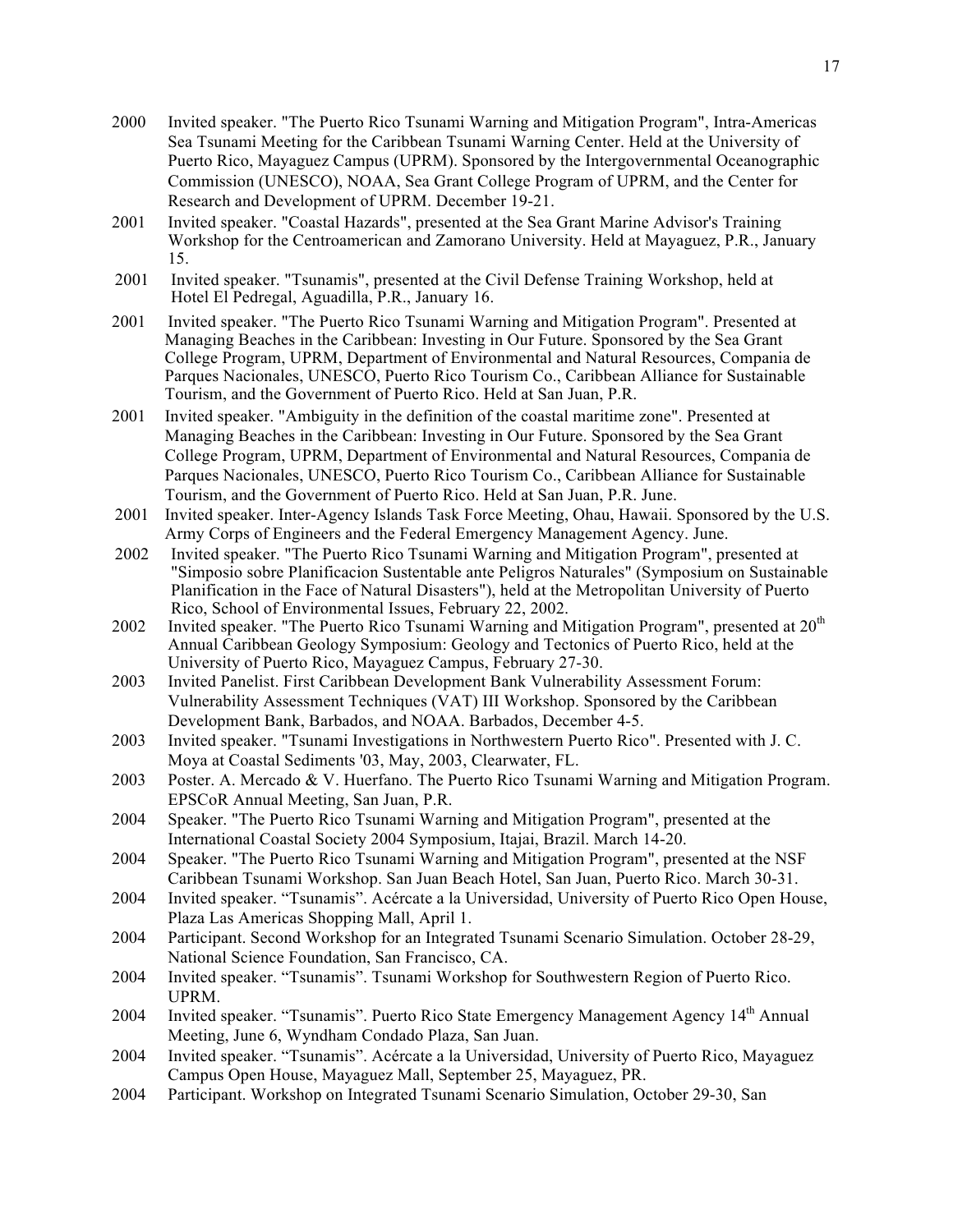- 2000 Invited speaker. "The Puerto Rico Tsunami Warning and Mitigation Program", Intra-Americas Sea Tsunami Meeting for the Caribbean Tsunami Warning Center. Held at the University of Puerto Rico, Mayaguez Campus (UPRM). Sponsored by the Intergovernmental Oceanographic Commission (UNESCO), NOAA, Sea Grant College Program of UPRM, and the Center for Research and Development of UPRM. December 19-21.
- 2001 Invited speaker. "Coastal Hazards", presented at the Sea Grant Marine Advisor's Training Workshop for the Centroamerican and Zamorano University. Held at Mayaguez, P.R., January 15.
- 2001 Invited speaker. "Tsunamis", presented at the Civil Defense Training Workshop, held at Hotel El Pedregal, Aguadilla, P.R., January 16.
- 2001 Invited speaker. "The Puerto Rico Tsunami Warning and Mitigation Program". Presented at Managing Beaches in the Caribbean: Investing in Our Future. Sponsored by the Sea Grant College Program, UPRM, Department of Environmental and Natural Resources, Compania de Parques Nacionales, UNESCO, Puerto Rico Tourism Co., Caribbean Alliance for Sustainable Tourism, and the Government of Puerto Rico. Held at San Juan, P.R.
- 2001 Invited speaker. "Ambiguity in the definition of the coastal maritime zone". Presented at Managing Beaches in the Caribbean: Investing in Our Future. Sponsored by the Sea Grant College Program, UPRM, Department of Environmental and Natural Resources, Compania de Parques Nacionales, UNESCO, Puerto Rico Tourism Co., Caribbean Alliance for Sustainable Tourism, and the Government of Puerto Rico. Held at San Juan, P.R. June.
- 2001 Invited speaker. Inter-Agency Islands Task Force Meeting, Ohau, Hawaii. Sponsored by the U.S. Army Corps of Engineers and the Federal Emergency Management Agency. June.
- 2002 Invited speaker. "The Puerto Rico Tsunami Warning and Mitigation Program", presented at "Simposio sobre Planificacion Sustentable ante Peligros Naturales" (Symposium on Sustainable Planification in the Face of Natural Disasters"), held at the Metropolitan University of Puerto Rico, School of Environmental Issues, February 22, 2002.
- 2002 Invited speaker. "The Puerto Rico Tsunami Warning and Mitigation Program", presented at 20<sup>th</sup> Annual Caribbean Geology Symposium: Geology and Tectonics of Puerto Rico, held at the University of Puerto Rico, Mayaguez Campus, February 27-30.
- 2003 Invited Panelist. First Caribbean Development Bank Vulnerability Assessment Forum: Vulnerability Assessment Techniques (VAT) III Workshop. Sponsored by the Caribbean Development Bank, Barbados, and NOAA. Barbados, December 4-5.
- 2003 Invited speaker. "Tsunami Investigations in Northwestern Puerto Rico". Presented with J. C. Moya at Coastal Sediments '03, May, 2003, Clearwater, FL.
- 2003 Poster. A. Mercado & V. Huerfano. The Puerto Rico Tsunami Warning and Mitigation Program. EPSCoR Annual Meeting, San Juan, P.R.
- 2004 Speaker. "The Puerto Rico Tsunami Warning and Mitigation Program", presented at the International Coastal Society 2004 Symposium, Itajai, Brazil. March 14-20.
- 2004 Speaker. "The Puerto Rico Tsunami Warning and Mitigation Program", presented at the NSF Caribbean Tsunami Workshop. San Juan Beach Hotel, San Juan, Puerto Rico. March 30-31.
- 2004 Invited speaker. "Tsunamis". Acércate a la Universidad, University of Puerto Rico Open House, Plaza Las Americas Shopping Mall, April 1.
- 2004 Participant. Second Workshop for an Integrated Tsunami Scenario Simulation. October 28-29, National Science Foundation, San Francisco, CA.
- 2004 Invited speaker. "Tsunamis". Tsunami Workshop for Southwestern Region of Puerto Rico. UPRM.
- 2004 Invited speaker. "Tsunamis". Puerto Rico State Emergency Management Agency 14<sup>th</sup> Annual Meeting, June 6, Wyndham Condado Plaza, San Juan.
- 2004 Invited speaker. "Tsunamis". Acércate a la Universidad, University of Puerto Rico, Mayaguez Campus Open House, Mayaguez Mall, September 25, Mayaguez, PR.
- 2004 Participant. Workshop on Integrated Tsunami Scenario Simulation, October 29-30, San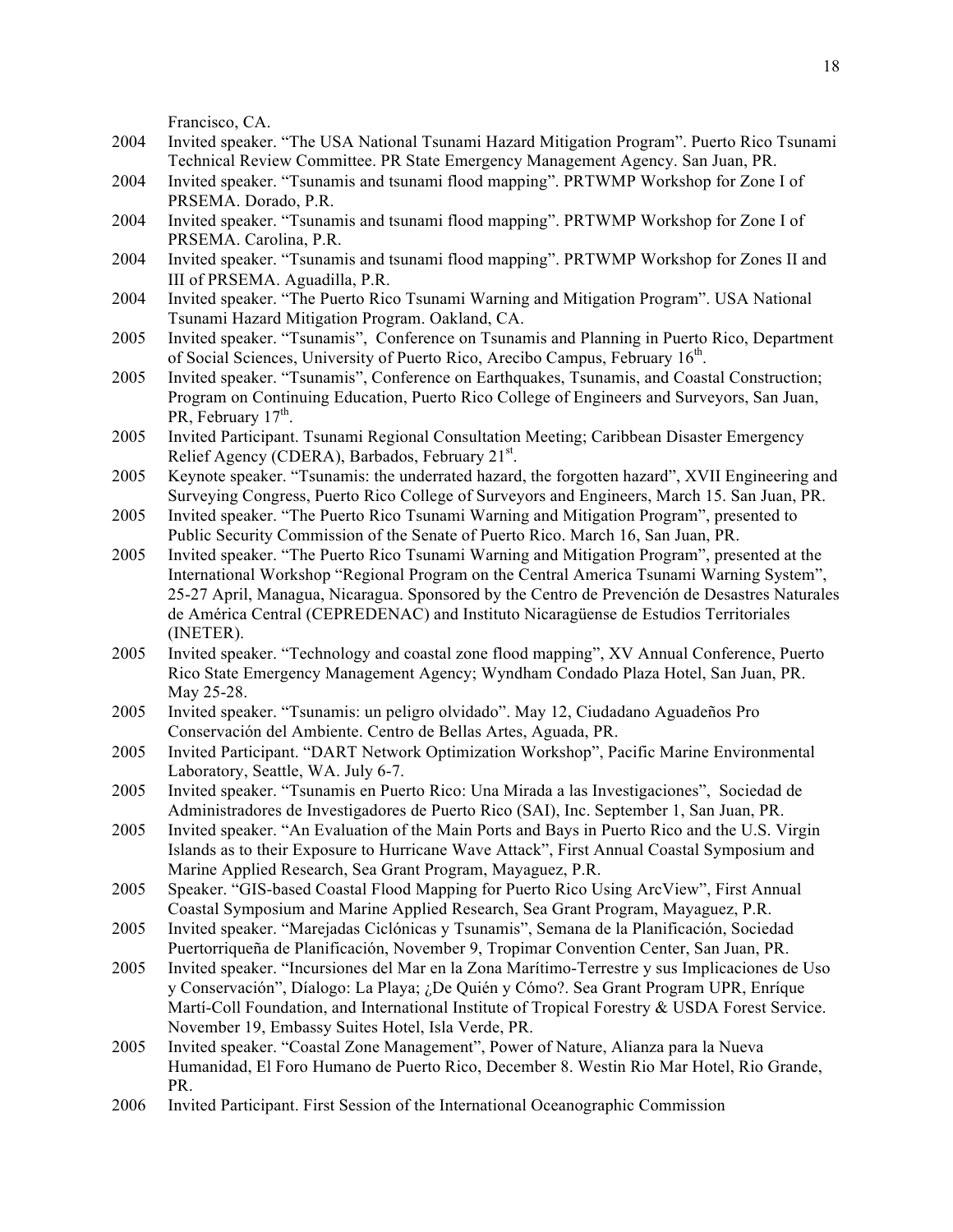Francisco, CA.

- 2004 Invited speaker. "The USA National Tsunami Hazard Mitigation Program". Puerto Rico Tsunami Technical Review Committee. PR State Emergency Management Agency. San Juan, PR.
- 2004 Invited speaker. "Tsunamis and tsunami flood mapping". PRTWMP Workshop for Zone I of PRSEMA. Dorado, P.R.
- 2004 Invited speaker. "Tsunamis and tsunami flood mapping". PRTWMP Workshop for Zone I of PRSEMA. Carolina, P.R.
- 2004 Invited speaker. "Tsunamis and tsunami flood mapping". PRTWMP Workshop for Zones II and III of PRSEMA. Aguadilla, P.R.
- 2004 Invited speaker. "The Puerto Rico Tsunami Warning and Mitigation Program". USA National Tsunami Hazard Mitigation Program. Oakland, CA.
- 2005 Invited speaker. "Tsunamis", Conference on Tsunamis and Planning in Puerto Rico, Department of Social Sciences, University of Puerto Rico, Arecibo Campus, February 16<sup>th</sup>.
- 2005 Invited speaker. "Tsunamis", Conference on Earthquakes, Tsunamis, and Coastal Construction; Program on Continuing Education, Puerto Rico College of Engineers and Surveyors, San Juan, PR, February  $17<sup>th</sup>$ .
- 2005 Invited Participant. Tsunami Regional Consultation Meeting; Caribbean Disaster Emergency Relief Agency (CDERA), Barbados, February 21<sup>st</sup>.
- 2005 Keynote speaker. "Tsunamis: the underrated hazard, the forgotten hazard", XVII Engineering and Surveying Congress, Puerto Rico College of Surveyors and Engineers, March 15. San Juan, PR.
- 2005 Invited speaker. "The Puerto Rico Tsunami Warning and Mitigation Program", presented to Public Security Commission of the Senate of Puerto Rico. March 16, San Juan, PR.
- 2005 Invited speaker. "The Puerto Rico Tsunami Warning and Mitigation Program", presented at the International Workshop "Regional Program on the Central America Tsunami Warning System", 25-27 April, Managua, Nicaragua. Sponsored by the Centro de Prevención de Desastres Naturales de América Central (CEPREDENAC) and Instituto Nicaragüense de Estudios Territoriales (INETER).
- 2005 Invited speaker. "Technology and coastal zone flood mapping", XV Annual Conference, Puerto Rico State Emergency Management Agency; Wyndham Condado Plaza Hotel, San Juan, PR. May 25-28.
- 2005 Invited speaker. "Tsunamis: un peligro olvidado". May 12, Ciudadano Aguadeños Pro Conservación del Ambiente. Centro de Bellas Artes, Aguada, PR.
- 2005 Invited Participant. "DART Network Optimization Workshop", Pacific Marine Environmental Laboratory, Seattle, WA. July 6-7.
- 2005 Invited speaker. "Tsunamis en Puerto Rico: Una Mirada a las Investigaciones", Sociedad de Administradores de Investigadores de Puerto Rico (SAI), Inc. September 1, San Juan, PR.
- 2005 Invited speaker. "An Evaluation of the Main Ports and Bays in Puerto Rico and the U.S. Virgin Islands as to their Exposure to Hurricane Wave Attack", First Annual Coastal Symposium and Marine Applied Research, Sea Grant Program, Mayaguez, P.R.
- 2005 Speaker. "GIS-based Coastal Flood Mapping for Puerto Rico Using ArcView", First Annual Coastal Symposium and Marine Applied Research, Sea Grant Program, Mayaguez, P.R.
- 2005 Invited speaker. "Marejadas Ciclónicas y Tsunamis", Semana de la Planificación, Sociedad Puertorriqueña de Planificación, November 9, Tropimar Convention Center, San Juan, PR.
- 2005 Invited speaker. "Incursiones del Mar en la Zona Marítimo-Terrestre y sus Implicaciones de Uso y Conservación", Díalogo: La Playa; ¿De Quién y Cómo?. Sea Grant Program UPR, Enríque Martí-Coll Foundation, and International Institute of Tropical Forestry & USDA Forest Service. November 19, Embassy Suites Hotel, Isla Verde, PR.
- 2005 Invited speaker. "Coastal Zone Management", Power of Nature, Alianza para la Nueva Humanidad, El Foro Humano de Puerto Rico, December 8. Westin Rio Mar Hotel, Rio Grande, PR.
- 2006 Invited Participant. First Session of the International Oceanographic Commission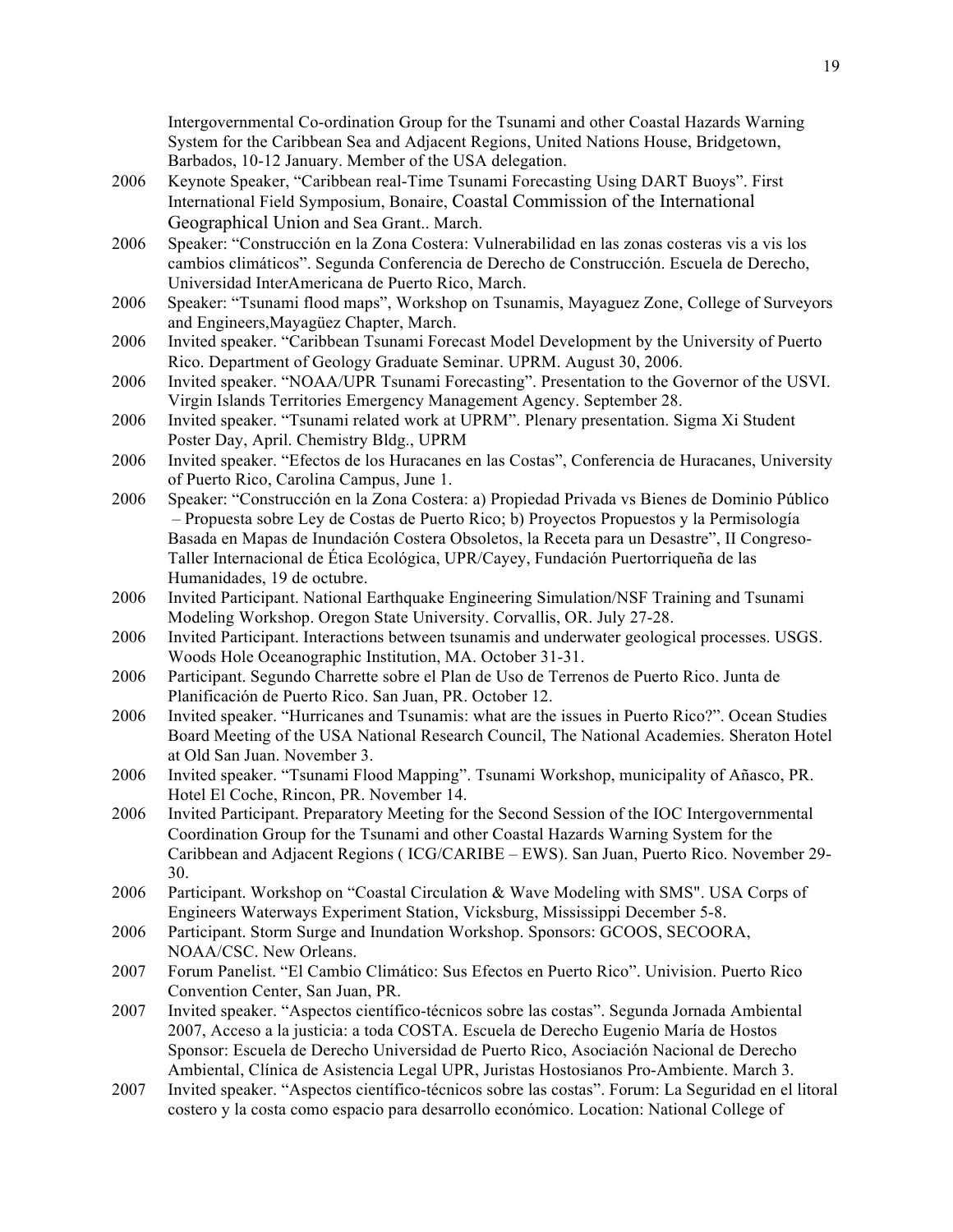Intergovernmental Co-ordination Group for the Tsunami and other Coastal Hazards Warning System for the Caribbean Sea and Adjacent Regions, United Nations House, Bridgetown, Barbados, 10-12 January. Member of the USA delegation.

- 2006 Keynote Speaker, "Caribbean real-Time Tsunami Forecasting Using DART Buoys". First International Field Symposium, Bonaire, Coastal Commission of the International Geographical Union and Sea Grant.. March.
- 2006 Speaker: "Construcción en la Zona Costera: Vulnerabilidad en las zonas costeras vis a vis los cambios climáticos". Segunda Conferencia de Derecho de Construcción. Escuela de Derecho, Universidad InterAmericana de Puerto Rico, March.
- 2006 Speaker: "Tsunami flood maps", Workshop on Tsunamis, Mayaguez Zone, College of Surveyors and Engineers,Mayagüez Chapter, March.
- 2006 Invited speaker. "Caribbean Tsunami Forecast Model Development by the University of Puerto Rico. Department of Geology Graduate Seminar. UPRM. August 30, 2006.
- 2006 Invited speaker. "NOAA/UPR Tsunami Forecasting". Presentation to the Governor of the USVI. Virgin Islands Territories Emergency Management Agency. September 28.
- 2006 Invited speaker. "Tsunami related work at UPRM". Plenary presentation. Sigma Xi Student Poster Day, April. Chemistry Bldg., UPRM
- 2006 Invited speaker. "Efectos de los Huracanes en las Costas", Conferencia de Huracanes, University of Puerto Rico, Carolina Campus, June 1.
- 2006 Speaker: "Construcción en la Zona Costera: a) Propiedad Privada vs Bienes de Dominio Público – Propuesta sobre Ley de Costas de Puerto Rico; b) Proyectos Propuestos y la Permisología Basada en Mapas de Inundación Costera Obsoletos, la Receta para un Desastre", II Congreso-Taller Internacional de Ética Ecológica, UPR/Cayey, Fundación Puertorriqueña de las Humanidades, 19 de octubre.
- 2006 Invited Participant. National Earthquake Engineering Simulation/NSF Training and Tsunami Modeling Workshop. Oregon State University. Corvallis, OR. July 27-28.
- 2006 Invited Participant. Interactions between tsunamis and underwater geological processes. USGS. Woods Hole Oceanographic Institution, MA. October 31-31.
- 2006 Participant. Segundo Charrette sobre el Plan de Uso de Terrenos de Puerto Rico. Junta de Planificación de Puerto Rico. San Juan, PR. October 12.
- 2006 Invited speaker. "Hurricanes and Tsunamis: what are the issues in Puerto Rico?". Ocean Studies Board Meeting of the USA National Research Council, The National Academies. Sheraton Hotel at Old San Juan. November 3.
- 2006 Invited speaker. "Tsunami Flood Mapping". Tsunami Workshop, municipality of Añasco, PR. Hotel El Coche, Rincon, PR. November 14.
- 2006 Invited Participant. Preparatory Meeting for the Second Session of the IOC Intergovernmental Coordination Group for the Tsunami and other Coastal Hazards Warning System for the Caribbean and Adjacent Regions ( ICG/CARIBE – EWS). San Juan, Puerto Rico. November 29- 30.
- 2006 Participant. Workshop on "Coastal Circulation & Wave Modeling with SMS". USA Corps of Engineers Waterways Experiment Station, Vicksburg, Mississippi December 5-8.
- 2006 Participant. Storm Surge and Inundation Workshop. Sponsors: GCOOS, SECOORA, NOAA/CSC. New Orleans.
- 2007 Forum Panelist. "El Cambio Climático: Sus Efectos en Puerto Rico". Univision. Puerto Rico Convention Center, San Juan, PR.
- 2007 Invited speaker. "Aspectos científico-técnicos sobre las costas". Segunda Jornada Ambiental 2007, Acceso a la justicia: a toda COSTA. Escuela de Derecho Eugenio María de Hostos Sponsor: Escuela de Derecho Universidad de Puerto Rico, Asociación Nacional de Derecho Ambiental, Clínica de Asistencia Legal UPR, Juristas Hostosianos Pro-Ambiente. March 3.
- 2007 Invited speaker. "Aspectos científico-técnicos sobre las costas". Forum: La Seguridad en el litoral costero y la costa como espacio para desarrollo económico. Location: National College of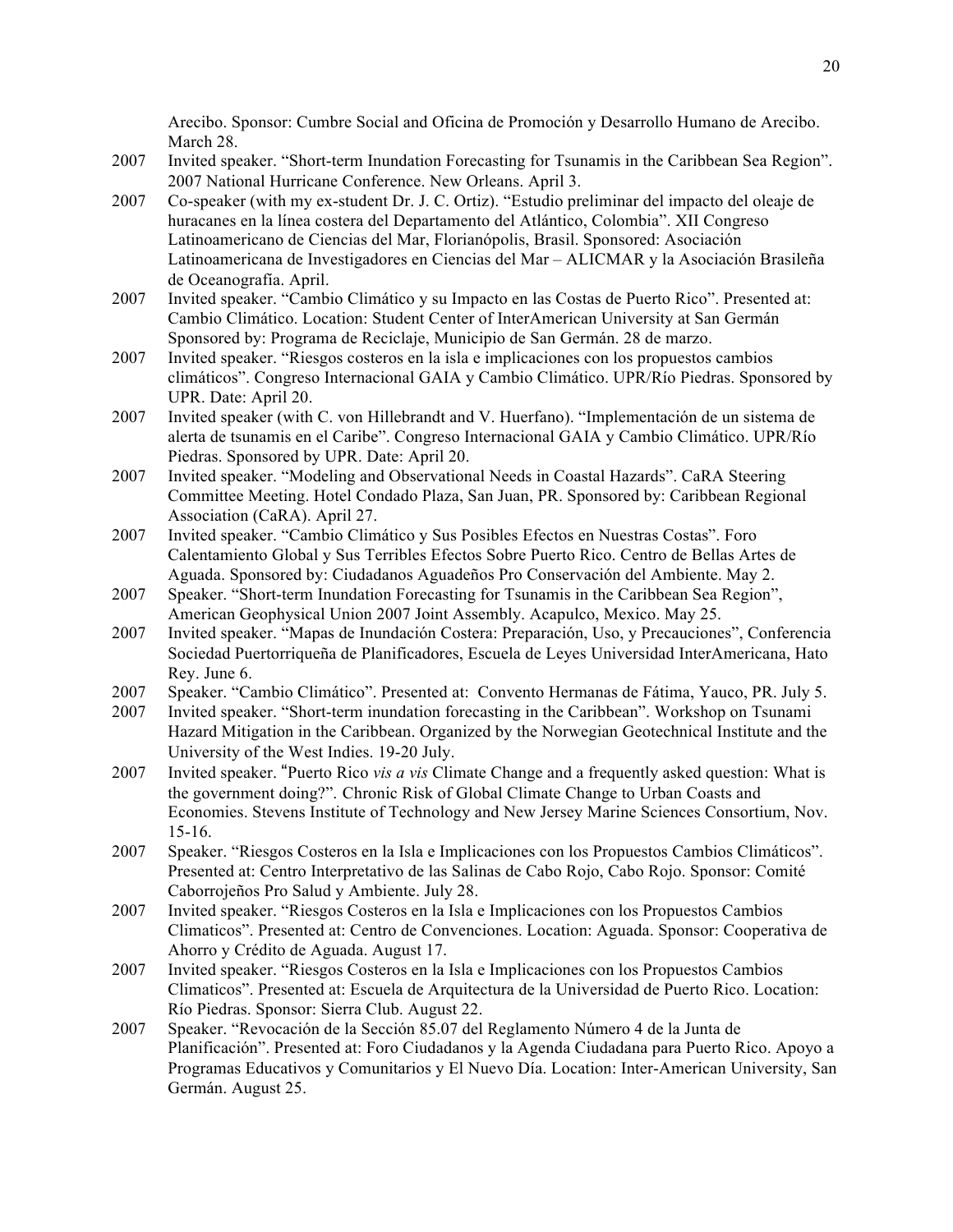Arecibo. Sponsor: Cumbre Social and Oficina de Promoción y Desarrollo Humano de Arecibo. March 28.

- 2007 Invited speaker. "Short-term Inundation Forecasting for Tsunamis in the Caribbean Sea Region". 2007 National Hurricane Conference. New Orleans. April 3.
- 2007 Co-speaker (with my ex-student Dr. J. C. Ortiz). "Estudio preliminar del impacto del oleaje de huracanes en la línea costera del Departamento del Atlántico, Colombia". XII Congreso Latinoamericano de Ciencias del Mar, Florianópolis, Brasil. Sponsored: Asociación Latinoamericana de Investigadores en Ciencias del Mar – ALICMAR y la Asociación Brasileña de Oceanografía. April.
- 2007 Invited speaker. "Cambio Climático y su Impacto en las Costas de Puerto Rico". Presented at: Cambio Climático. Location: Student Center of InterAmerican University at San Germán Sponsored by: Programa de Reciclaje, Municipio de San Germán. 28 de marzo.
- 2007 Invited speaker. "Riesgos costeros en la isla e implicaciones con los propuestos cambios climáticos". Congreso Internacional GAIA y Cambio Climático. UPR/Río Piedras. Sponsored by UPR. Date: April 20.
- 2007 Invited speaker (with C. von Hillebrandt and V. Huerfano). "Implementación de un sistema de alerta de tsunamis en el Caribe". Congreso Internacional GAIA y Cambio Climático. UPR/Río Piedras. Sponsored by UPR. Date: April 20.
- 2007 Invited speaker. "Modeling and Observational Needs in Coastal Hazards". CaRA Steering Committee Meeting. Hotel Condado Plaza, San Juan, PR. Sponsored by: Caribbean Regional Association (CaRA). April 27.
- 2007 Invited speaker. "Cambio Climático y Sus Posibles Efectos en Nuestras Costas". Foro Calentamiento Global y Sus Terribles Efectos Sobre Puerto Rico. Centro de Bellas Artes de Aguada. Sponsored by: Ciudadanos Aguadeños Pro Conservación del Ambiente. May 2.
- 2007 Speaker. "Short-term Inundation Forecasting for Tsunamis in the Caribbean Sea Region", American Geophysical Union 2007 Joint Assembly. Acapulco, Mexico. May 25.
- 2007 Invited speaker. "Mapas de Inundación Costera: Preparación, Uso, y Precauciones", Conferencia Sociedad Puertorriqueña de Planificadores, Escuela de Leyes Universidad InterAmericana, Hato Rey. June 6.
- 2007 Speaker. "Cambio Climático". Presented at: Convento Hermanas de Fátima, Yauco, PR. July 5.
- 2007 Invited speaker. "Short-term inundation forecasting in the Caribbean". Workshop on Tsunami Hazard Mitigation in the Caribbean. Organized by the Norwegian Geotechnical Institute and the University of the West Indies. 19-20 July.
- 2007 Invited speaker. "Puerto Rico *vis a vis* Climate Change and a frequently asked question: What is the government doing?". Chronic Risk of Global Climate Change to Urban Coasts and Economies. Stevens Institute of Technology and New Jersey Marine Sciences Consortium, Nov. 15-16.
- 2007 Speaker. "Riesgos Costeros en la Isla e Implicaciones con los Propuestos Cambios Climáticos". Presented at: Centro Interpretativo de las Salinas de Cabo Rojo, Cabo Rojo. Sponsor: Comité Caborrojeños Pro Salud y Ambiente. July 28.
- 2007 Invited speaker. "Riesgos Costeros en la Isla e Implicaciones con los Propuestos Cambios Climaticos". Presented at: Centro de Convenciones. Location: Aguada. Sponsor: Cooperativa de Ahorro y Crédito de Aguada. August 17.
- 2007 Invited speaker. "Riesgos Costeros en la Isla e Implicaciones con los Propuestos Cambios Climaticos". Presented at: Escuela de Arquitectura de la Universidad de Puerto Rico. Location: Río Piedras. Sponsor: Sierra Club. August 22.
- 2007 Speaker. "Revocación de la Sección 85.07 del Reglamento Número 4 de la Junta de Planificación". Presented at: Foro Ciudadanos y la Agenda Ciudadana para Puerto Rico. Apoyo a Programas Educativos y Comunitarios y El Nuevo Día. Location: Inter-American University, San Germán. August 25.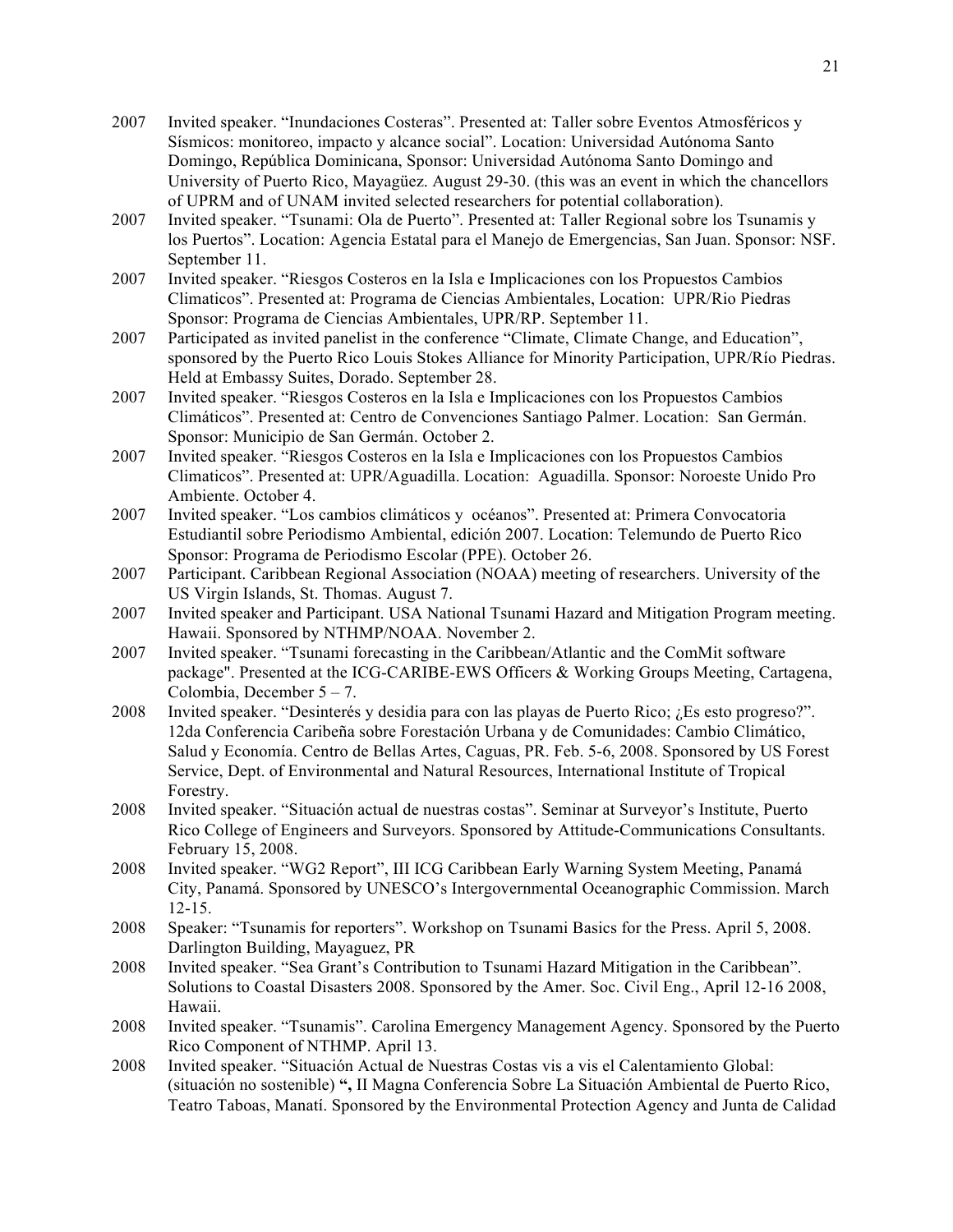- 2007 Invited speaker. "Inundaciones Costeras". Presented at: Taller sobre Eventos Atmosféricos y Sísmicos: monitoreo, impacto y alcance social". Location: Universidad Autónoma Santo Domingo, República Dominicana, Sponsor: Universidad Autónoma Santo Domingo and University of Puerto Rico, Mayagüez. August 29-30. (this was an event in which the chancellors of UPRM and of UNAM invited selected researchers for potential collaboration).
- 2007 Invited speaker. "Tsunami: Ola de Puerto". Presented at: Taller Regional sobre los Tsunamis y los Puertos". Location: Agencia Estatal para el Manejo de Emergencias, San Juan. Sponsor: NSF. September 11.
- 2007 Invited speaker. "Riesgos Costeros en la Isla e Implicaciones con los Propuestos Cambios Climaticos". Presented at: Programa de Ciencias Ambientales, Location: UPR/Rio Piedras Sponsor: Programa de Ciencias Ambientales, UPR/RP. September 11.
- 2007 Participated as invited panelist in the conference "Climate, Climate Change, and Education", sponsored by the Puerto Rico Louis Stokes Alliance for Minority Participation, UPR/Río Piedras. Held at Embassy Suites, Dorado. September 28.
- 2007 Invited speaker. "Riesgos Costeros en la Isla e Implicaciones con los Propuestos Cambios Climáticos". Presented at: Centro de Convenciones Santiago Palmer. Location: San Germán. Sponsor: Municipio de San Germán. October 2.
- 2007 Invited speaker. "Riesgos Costeros en la Isla e Implicaciones con los Propuestos Cambios Climaticos". Presented at: UPR/Aguadilla. Location: Aguadilla. Sponsor: Noroeste Unido Pro Ambiente. October 4.
- 2007 Invited speaker. "Los cambios climáticos y océanos". Presented at: Primera Convocatoria Estudiantil sobre Periodismo Ambiental, edición 2007. Location: Telemundo de Puerto Rico Sponsor: Programa de Periodismo Escolar (PPE). October 26.
- 2007 Participant. Caribbean Regional Association (NOAA) meeting of researchers. University of the US Virgin Islands, St. Thomas. August 7.
- 2007 Invited speaker and Participant. USA National Tsunami Hazard and Mitigation Program meeting. Hawaii. Sponsored by NTHMP/NOAA. November 2.
- 2007 Invited speaker. "Tsunami forecasting in the Caribbean/Atlantic and the ComMit software package". Presented at the ICG-CARIBE-EWS Officers & Working Groups Meeting, Cartagena, Colombia, December  $5 - 7$ .
- 2008 Invited speaker. "Desinterés y desidia para con las playas de Puerto Rico; ¿Es esto progreso?". 12da Conferencia Caribeña sobre Forestación Urbana y de Comunidades: Cambio Climático, Salud y Economía. Centro de Bellas Artes, Caguas, PR. Feb. 5-6, 2008. Sponsored by US Forest Service, Dept. of Environmental and Natural Resources, International Institute of Tropical Forestry.
- 2008 Invited speaker. "Situación actual de nuestras costas". Seminar at Surveyor's Institute, Puerto Rico College of Engineers and Surveyors. Sponsored by Attitude-Communications Consultants. February 15, 2008.
- 2008 Invited speaker. "WG2 Report", III ICG Caribbean Early Warning System Meeting, Panamá City, Panamá. Sponsored by UNESCO's Intergovernmental Oceanographic Commission. March 12-15.
- 2008 Speaker: "Tsunamis for reporters". Workshop on Tsunami Basics for the Press. April 5, 2008. Darlington Building, Mayaguez, PR
- 2008 Invited speaker. "Sea Grant's Contribution to Tsunami Hazard Mitigation in the Caribbean". Solutions to Coastal Disasters 2008. Sponsored by the Amer. Soc. Civil Eng., April 12-16 2008, Hawaii.
- 2008 Invited speaker. "Tsunamis". Carolina Emergency Management Agency. Sponsored by the Puerto Rico Component of NTHMP. April 13.
- 2008 Invited speaker. "Situación Actual de Nuestras Costas vis a vis el Calentamiento Global: (situación no sostenible) **",** II Magna Conferencia Sobre La Situación Ambiental de Puerto Rico, Teatro Taboas, Manatí. Sponsored by the Environmental Protection Agency and Junta de Calidad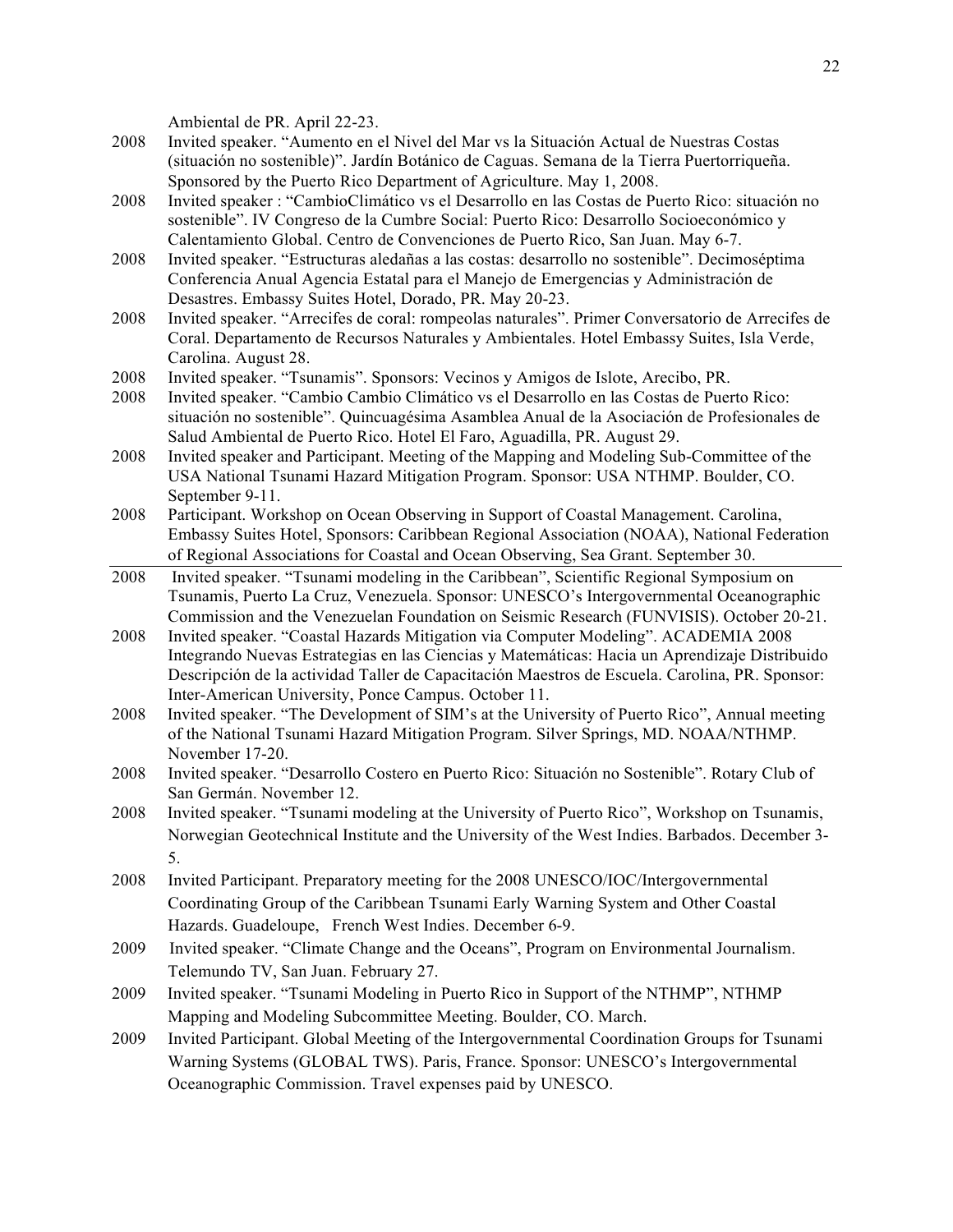Ambiental de PR. April 22-23.

- 2008 Invited speaker. "Aumento en el Nivel del Mar vs la Situación Actual de Nuestras Costas (situación no sostenible)". Jardín Botánico de Caguas. Semana de la Tierra Puertorriqueña. Sponsored by the Puerto Rico Department of Agriculture. May 1, 2008.
- 2008 Invited speaker : "CambioClimático vs el Desarrollo en las Costas de Puerto Rico: situación no sostenible". IV Congreso de la Cumbre Social: Puerto Rico: Desarrollo Socioeconómico y Calentamiento Global. Centro de Convenciones de Puerto Rico, San Juan. May 6-7.
- 2008 Invited speaker. "Estructuras aledañas a las costas: desarrollo no sostenible". Decimoséptima Conferencia Anual Agencia Estatal para el Manejo de Emergencias y Administración de Desastres. Embassy Suites Hotel, Dorado, PR. May 20-23.
- 2008 Invited speaker. "Arrecifes de coral: rompeolas naturales". Primer Conversatorio de Arrecifes de Coral. Departamento de Recursos Naturales y Ambientales. Hotel Embassy Suites, Isla Verde, Carolina. August 28.
- 2008 Invited speaker. "Tsunamis". Sponsors: Vecinos y Amigos de Islote, Arecibo, PR.
- 2008 Invited speaker. "Cambio Cambio Climático vs el Desarrollo en las Costas de Puerto Rico: situación no sostenible". Quincuagésima Asamblea Anual de la Asociación de Profesionales de Salud Ambiental de Puerto Rico. Hotel El Faro, Aguadilla, PR. August 29.
- 2008 Invited speaker and Participant. Meeting of the Mapping and Modeling Sub-Committee of the USA National Tsunami Hazard Mitigation Program. Sponsor: USA NTHMP. Boulder, CO. September 9-11.
- 2008 Participant. Workshop on Ocean Observing in Support of Coastal Management. Carolina, Embassy Suites Hotel, Sponsors: Caribbean Regional Association (NOAA), National Federation of Regional Associations for Coastal and Ocean Observing, Sea Grant. September 30.
- 2008 Invited speaker. "Tsunami modeling in the Caribbean", Scientific Regional Symposium on Tsunamis, Puerto La Cruz, Venezuela. Sponsor: UNESCO's Intergovernmental Oceanographic Commission and the Venezuelan Foundation on Seismic Research (FUNVISIS). October 20-21.
- 2008 Invited speaker. "Coastal Hazards Mitigation via Computer Modeling". ACADEMIA 2008 Integrando Nuevas Estrategias en las Ciencias y Matemáticas: Hacia un Aprendizaje Distribuido Descripción de la actividad Taller de Capacitación Maestros de Escuela. Carolina, PR. Sponsor: Inter-American University, Ponce Campus. October 11.
- 2008 Invited speaker. "The Development of SIM's at the University of Puerto Rico", Annual meeting of the National Tsunami Hazard Mitigation Program. Silver Springs, MD. NOAA/NTHMP. November 17-20.
- 2008 Invited speaker. "Desarrollo Costero en Puerto Rico: Situación no Sostenible". Rotary Club of San Germán. November 12.
- 2008 Invited speaker. "Tsunami modeling at the University of Puerto Rico", Workshop on Tsunamis, Norwegian Geotechnical Institute and the University of the West Indies. Barbados. December 3- 5.
- 2008 Invited Participant. Preparatory meeting for the 2008 UNESCO/IOC/Intergovernmental Coordinating Group of the Caribbean Tsunami Early Warning System and Other Coastal Hazards. Guadeloupe, French West Indies. December 6-9.
- 2009 Invited speaker. "Climate Change and the Oceans", Program on Environmental Journalism. Telemundo TV, San Juan. February 27.
- 2009 Invited speaker. "Tsunami Modeling in Puerto Rico in Support of the NTHMP", NTHMP Mapping and Modeling Subcommittee Meeting. Boulder, CO. March.
- 2009 Invited Participant. Global Meeting of the Intergovernmental Coordination Groups for Tsunami Warning Systems (GLOBAL TWS). Paris, France. Sponsor: UNESCO's Intergovernmental Oceanographic Commission. Travel expenses paid by UNESCO.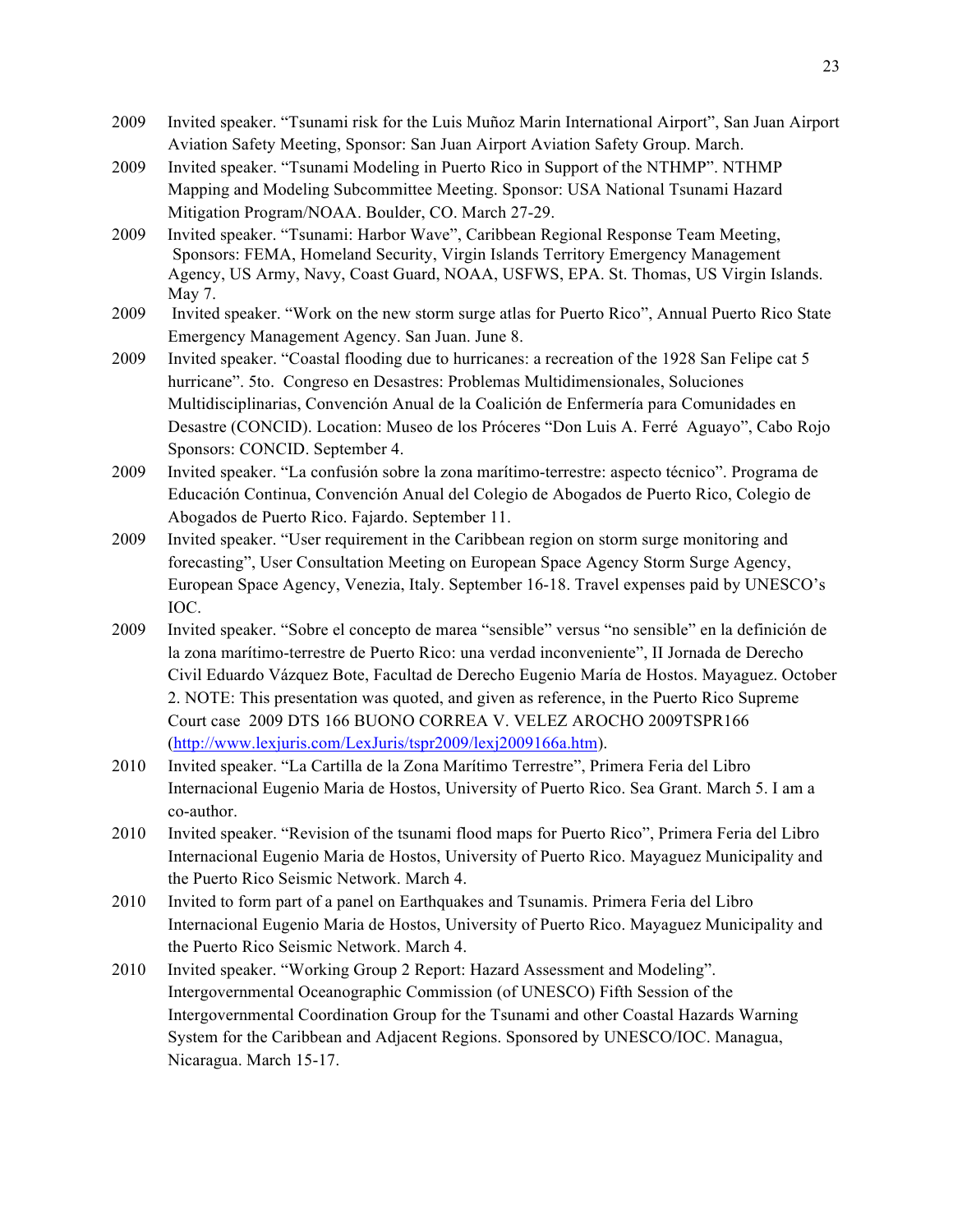- 2009 Invited speaker. "Tsunami risk for the Luis Muñoz Marin International Airport", San Juan Airport Aviation Safety Meeting, Sponsor: San Juan Airport Aviation Safety Group. March.
- 2009 Invited speaker. "Tsunami Modeling in Puerto Rico in Support of the NTHMP". NTHMP Mapping and Modeling Subcommittee Meeting. Sponsor: USA National Tsunami Hazard Mitigation Program/NOAA. Boulder, CO. March 27-29.
- 2009 Invited speaker. "Tsunami: Harbor Wave", Caribbean Regional Response Team Meeting, Sponsors: FEMA, Homeland Security, Virgin Islands Territory Emergency Management Agency, US Army, Navy, Coast Guard, NOAA, USFWS, EPA. St. Thomas, US Virgin Islands. May 7.
- 2009 Invited speaker. "Work on the new storm surge atlas for Puerto Rico", Annual Puerto Rico State Emergency Management Agency. San Juan. June 8.
- 2009 Invited speaker. "Coastal flooding due to hurricanes: a recreation of the 1928 San Felipe cat 5 hurricane". 5to. Congreso en Desastres: Problemas Multidimensionales, Soluciones Multidisciplinarias, Convención Anual de la Coalición de Enfermería para Comunidades en Desastre (CONCID). Location: Museo de los Próceres "Don Luis A. Ferré Aguayo", Cabo Rojo Sponsors: CONCID. September 4.
- 2009 Invited speaker. "La confusión sobre la zona marítimo-terrestre: aspecto técnico". Programa de Educación Continua, Convención Anual del Colegio de Abogados de Puerto Rico, Colegio de Abogados de Puerto Rico. Fajardo. September 11.
- 2009 Invited speaker. "User requirement in the Caribbean region on storm surge monitoring and forecasting", User Consultation Meeting on European Space Agency Storm Surge Agency, European Space Agency, Venezia, Italy. September 16-18. Travel expenses paid by UNESCO's IOC.
- 2009 Invited speaker. "Sobre el concepto de marea "sensible" versus "no sensible" en la definición de la zona marítimo-terrestre de Puerto Rico: una verdad inconveniente", II Jornada de Derecho Civil Eduardo Vázquez Bote, Facultad de Derecho Eugenio María de Hostos. Mayaguez. October 2. NOTE: This presentation was quoted, and given as reference, in the Puerto Rico Supreme Court case 2009 DTS 166 BUONO CORREA V. VELEZ AROCHO 2009TSPR166 (http://www.lexjuris.com/LexJuris/tspr2009/lexj2009166a.htm).
- 2010 Invited speaker. "La Cartilla de la Zona Marítimo Terrestre", Primera Feria del Libro Internacional Eugenio Maria de Hostos, University of Puerto Rico. Sea Grant. March 5. I am a co-author.
- 2010 Invited speaker. "Revision of the tsunami flood maps for Puerto Rico", Primera Feria del Libro Internacional Eugenio Maria de Hostos, University of Puerto Rico. Mayaguez Municipality and the Puerto Rico Seismic Network. March 4.
- 2010 Invited to form part of a panel on Earthquakes and Tsunamis. Primera Feria del Libro Internacional Eugenio Maria de Hostos, University of Puerto Rico. Mayaguez Municipality and the Puerto Rico Seismic Network. March 4.
- 2010 Invited speaker. "Working Group 2 Report: Hazard Assessment and Modeling". Intergovernmental Oceanographic Commission (of UNESCO) Fifth Session of the Intergovernmental Coordination Group for the Tsunami and other Coastal Hazards Warning System for the Caribbean and Adjacent Regions. Sponsored by UNESCO/IOC. Managua, Nicaragua. March 15-17.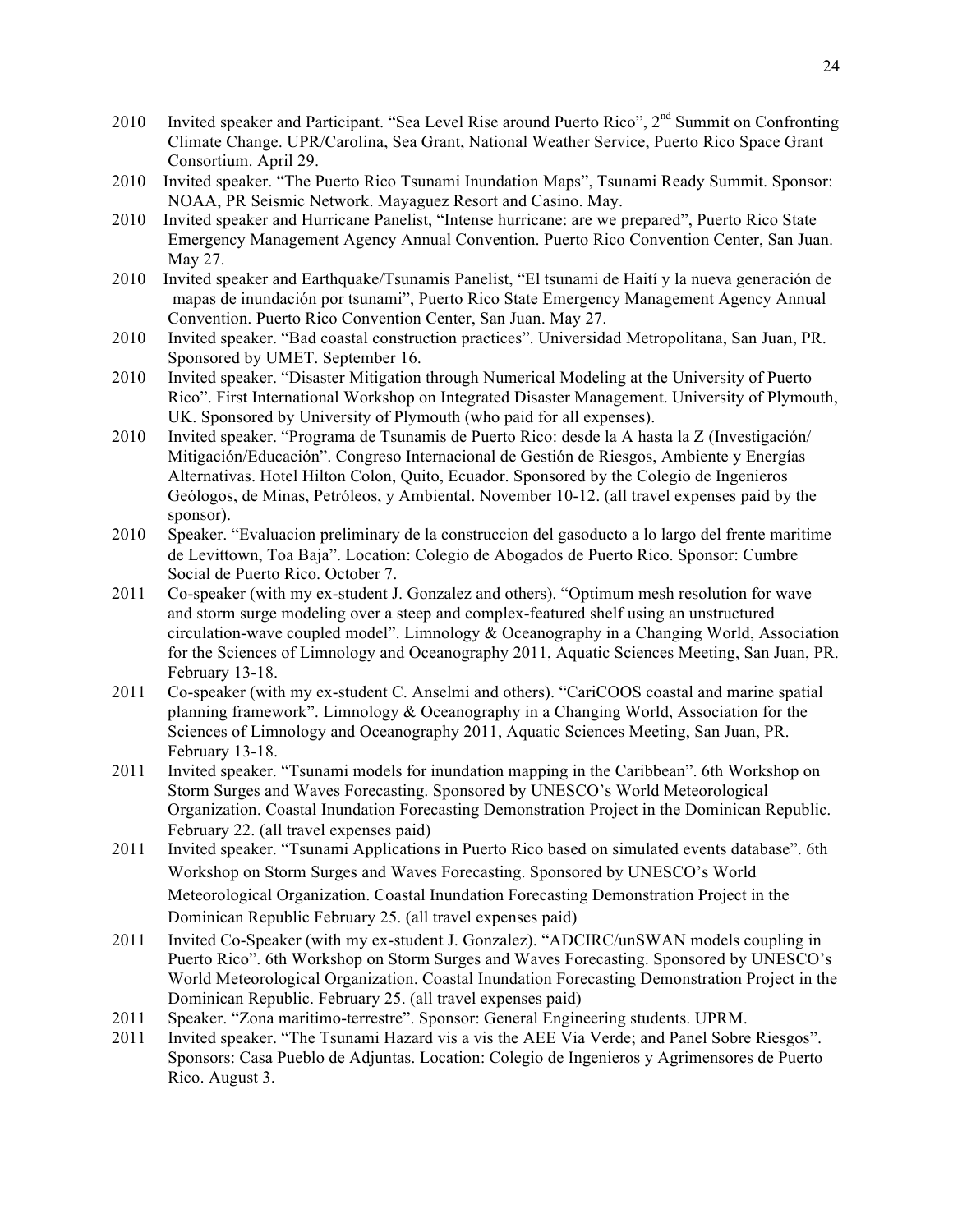- 2010 Invited speaker and Participant. "Sea Level Rise around Puerto Rico", 2<sup>nd</sup> Summit on Confronting Climate Change. UPR/Carolina, Sea Grant, National Weather Service, Puerto Rico Space Grant Consortium. April 29.
- 2010 Invited speaker. "The Puerto Rico Tsunami Inundation Maps", Tsunami Ready Summit. Sponsor: NOAA, PR Seismic Network. Mayaguez Resort and Casino. May.
- 2010 Invited speaker and Hurricane Panelist, "Intense hurricane: are we prepared", Puerto Rico State Emergency Management Agency Annual Convention. Puerto Rico Convention Center, San Juan. May 27.
- 2010 Invited speaker and Earthquake/Tsunamis Panelist, "El tsunami de Haití y la nueva generación de mapas de inundación por tsunami", Puerto Rico State Emergency Management Agency Annual Convention. Puerto Rico Convention Center, San Juan. May 27.
- 2010 Invited speaker. "Bad coastal construction practices". Universidad Metropolitana, San Juan, PR. Sponsored by UMET. September 16.
- 2010 Invited speaker. "Disaster Mitigation through Numerical Modeling at the University of Puerto Rico". First International Workshop on Integrated Disaster Management. University of Plymouth, UK. Sponsored by University of Plymouth (who paid for all expenses).
- 2010 Invited speaker. "Programa de Tsunamis de Puerto Rico: desde la A hasta la Z (Investigación/ Mitigación/Educación". Congreso Internacional de Gestión de Riesgos, Ambiente y Energías Alternativas. Hotel Hilton Colon, Quito, Ecuador. Sponsored by the Colegio de Ingenieros Geólogos, de Minas, Petróleos, y Ambiental. November 10-12. (all travel expenses paid by the sponsor).
- 2010 Speaker. "Evaluacion preliminary de la construccion del gasoducto a lo largo del frente maritime de Levittown, Toa Baja". Location: Colegio de Abogados de Puerto Rico. Sponsor: Cumbre Social de Puerto Rico. October 7.
- 2011 Co-speaker (with my ex-student J. Gonzalez and others). "Optimum mesh resolution for wave and storm surge modeling over a steep and complex-featured shelf using an unstructured circulation-wave coupled model". Limnology & Oceanography in a Changing World, Association for the Sciences of Limnology and Oceanography 2011, Aquatic Sciences Meeting, San Juan, PR. February 13-18.
- 2011 Co-speaker (with my ex-student C. Anselmi and others). "CariCOOS coastal and marine spatial planning framework". Limnology & Oceanography in a Changing World, Association for the Sciences of Limnology and Oceanography 2011, Aquatic Sciences Meeting, San Juan, PR. February 13-18.
- 2011 Invited speaker. "Tsunami models for inundation mapping in the Caribbean". 6th Workshop on Storm Surges and Waves Forecasting. Sponsored by UNESCO's World Meteorological Organization. Coastal Inundation Forecasting Demonstration Project in the Dominican Republic. February 22. (all travel expenses paid)
- 2011 Invited speaker. "Tsunami Applications in Puerto Rico based on simulated events database". 6th Workshop on Storm Surges and Waves Forecasting. Sponsored by UNESCO's World Meteorological Organization. Coastal Inundation Forecasting Demonstration Project in the Dominican Republic February 25. (all travel expenses paid)
- 2011 Invited Co-Speaker (with my ex-student J. Gonzalez). "ADCIRC/unSWAN models coupling in Puerto Rico". 6th Workshop on Storm Surges and Waves Forecasting. Sponsored by UNESCO's World Meteorological Organization. Coastal Inundation Forecasting Demonstration Project in the Dominican Republic. February 25. (all travel expenses paid)
- 2011 Speaker. "Zona maritimo-terrestre". Sponsor: General Engineering students. UPRM.
- 2011 Invited speaker. "The Tsunami Hazard vis a vis the AEE Via Verde; and Panel Sobre Riesgos". Sponsors: Casa Pueblo de Adjuntas. Location: Colegio de Ingenieros y Agrimensores de Puerto Rico. August 3.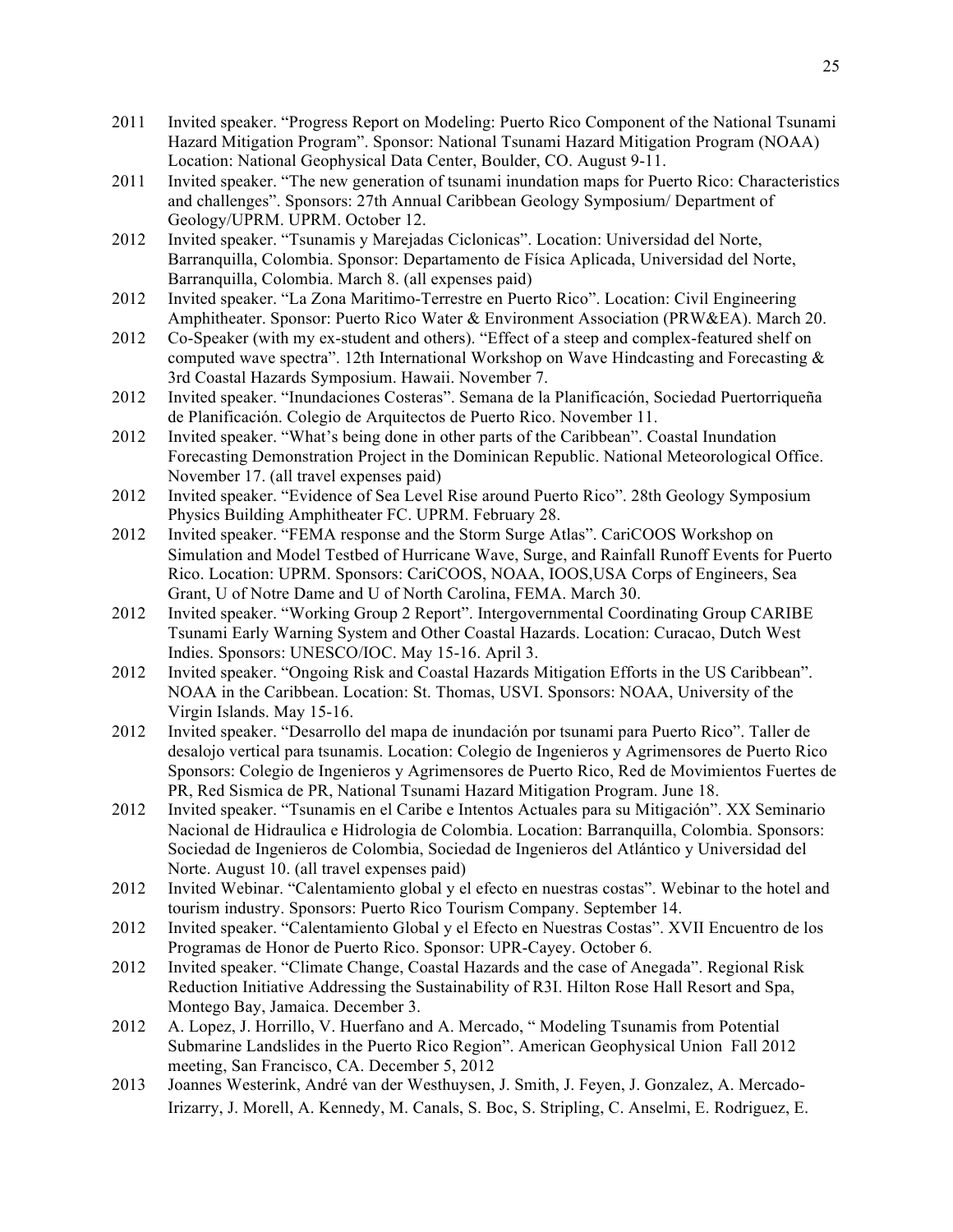- 2011 Invited speaker. "Progress Report on Modeling: Puerto Rico Component of the National Tsunami Hazard Mitigation Program". Sponsor: National Tsunami Hazard Mitigation Program (NOAA) Location: National Geophysical Data Center, Boulder, CO. August 9-11.
- 2011 Invited speaker. "The new generation of tsunami inundation maps for Puerto Rico: Characteristics and challenges". Sponsors: 27th Annual Caribbean Geology Symposium/ Department of Geology/UPRM. UPRM. October 12.
- 2012 Invited speaker. "Tsunamis y Marejadas Ciclonicas". Location: Universidad del Norte, Barranquilla, Colombia. Sponsor: Departamento de Física Aplicada, Universidad del Norte, Barranquilla, Colombia. March 8. (all expenses paid)
- 2012 Invited speaker. "La Zona Maritimo-Terrestre en Puerto Rico". Location: Civil Engineering Amphitheater. Sponsor: Puerto Rico Water & Environment Association (PRW&EA). March 20.
- 2012 Co-Speaker (with my ex-student and others). "Effect of a steep and complex-featured shelf on computed wave spectra". 12th International Workshop on Wave Hindcasting and Forecasting  $\&$ 3rd Coastal Hazards Symposium. Hawaii. November 7.
- 2012 Invited speaker. "Inundaciones Costeras". Semana de la Planificación, Sociedad Puertorriqueña de Planificación. Colegio de Arquitectos de Puerto Rico. November 11.
- 2012 Invited speaker. "What's being done in other parts of the Caribbean". Coastal Inundation Forecasting Demonstration Project in the Dominican Republic. National Meteorological Office. November 17. (all travel expenses paid)
- 2012 Invited speaker. "Evidence of Sea Level Rise around Puerto Rico". 28th Geology Symposium Physics Building Amphitheater FC. UPRM. February 28.
- 2012 Invited speaker. "FEMA response and the Storm Surge Atlas". CariCOOS Workshop on Simulation and Model Testbed of Hurricane Wave, Surge, and Rainfall Runoff Events for Puerto Rico. Location: UPRM. Sponsors: CariCOOS, NOAA, IOOS,USA Corps of Engineers, Sea Grant, U of Notre Dame and U of North Carolina, FEMA. March 30.
- 2012 Invited speaker. "Working Group 2 Report". Intergovernmental Coordinating Group CARIBE Tsunami Early Warning System and Other Coastal Hazards. Location: Curacao, Dutch West Indies. Sponsors: UNESCO/IOC. May 15-16. April 3.
- 2012 Invited speaker. "Ongoing Risk and Coastal Hazards Mitigation Efforts in the US Caribbean". NOAA in the Caribbean. Location: St. Thomas, USVI. Sponsors: NOAA, University of the Virgin Islands. May 15-16.
- 2012 Invited speaker. "Desarrollo del mapa de inundación por tsunami para Puerto Rico". Taller de desalojo vertical para tsunamis. Location: Colegio de Ingenieros y Agrimensores de Puerto Rico Sponsors: Colegio de Ingenieros y Agrimensores de Puerto Rico, Red de Movimientos Fuertes de PR, Red Sismica de PR, National Tsunami Hazard Mitigation Program. June 18.
- 2012 Invited speaker. "Tsunamis en el Caribe e Intentos Actuales para su Mitigación". XX Seminario Nacional de Hidraulica e Hidrologia de Colombia. Location: Barranquilla, Colombia. Sponsors: Sociedad de Ingenieros de Colombia, Sociedad de Ingenieros del Atlántico y Universidad del Norte. August 10. (all travel expenses paid)
- 2012 Invited Webinar. "Calentamiento global y el efecto en nuestras costas". Webinar to the hotel and tourism industry. Sponsors: Puerto Rico Tourism Company. September 14.
- 2012 Invited speaker. "Calentamiento Global y el Efecto en Nuestras Costas". XVII Encuentro de los Programas de Honor de Puerto Rico. Sponsor: UPR-Cayey. October 6.
- 2012 Invited speaker. "Climate Change, Coastal Hazards and the case of Anegada". Regional Risk Reduction Initiative Addressing the Sustainability of R3I. Hilton Rose Hall Resort and Spa, Montego Bay, Jamaica. December 3.
- 2012 A. Lopez, J. Horrillo, V. Huerfano and A. Mercado, " Modeling Tsunamis from Potential Submarine Landslides in the Puerto Rico Region". American Geophysical Union Fall 2012 meeting, San Francisco, CA. December 5, 2012
- 2013 Joannes Westerink, André van der Westhuysen, J. Smith, J. Feyen, J. Gonzalez, A. Mercado-Irizarry, J. Morell, A. Kennedy, M. Canals, S. Boc, S. Stripling, C. Anselmi, E. Rodriguez, E.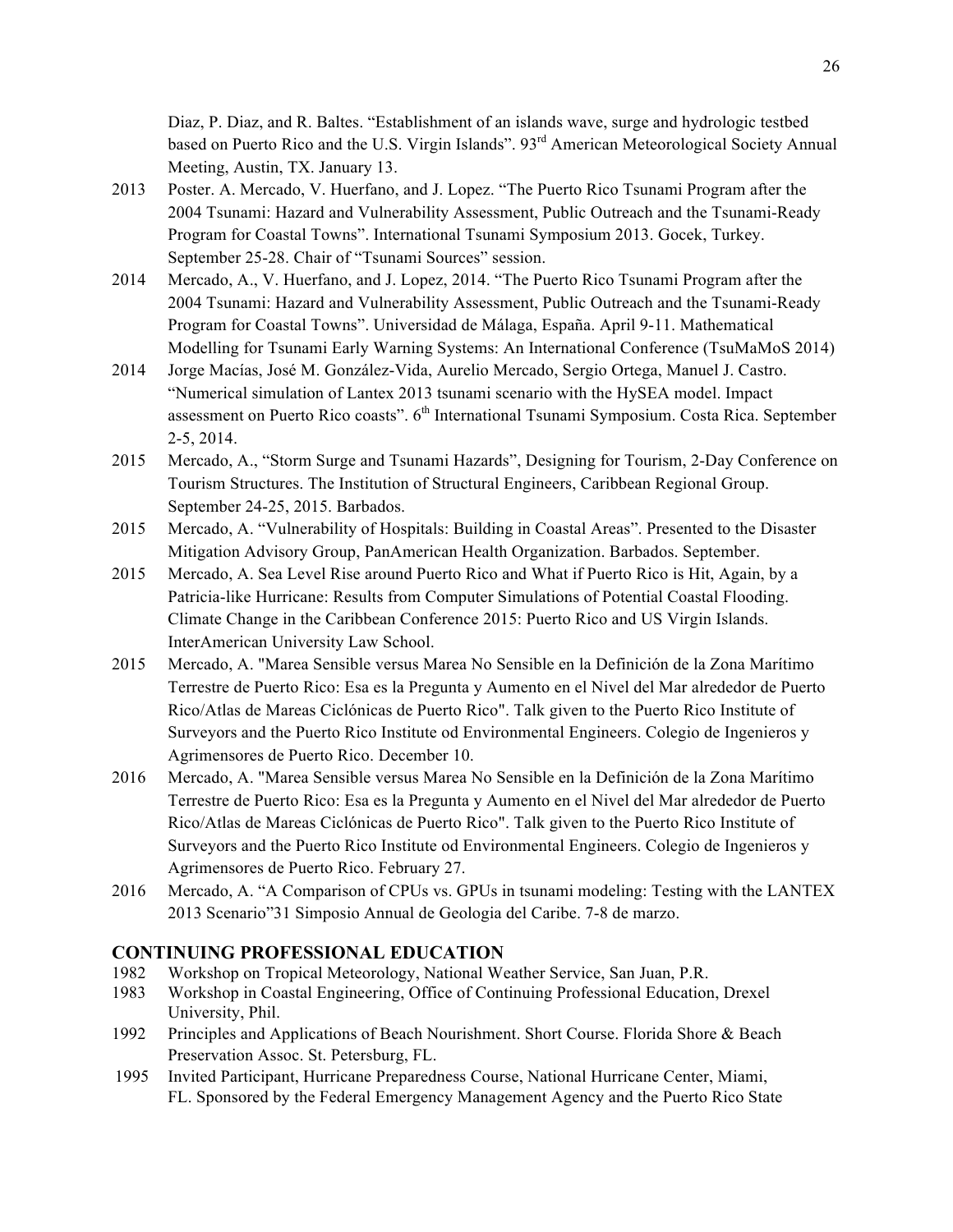Diaz, P. Diaz, and R. Baltes. "Establishment of an islands wave, surge and hydrologic testbed based on Puerto Rico and the U.S. Virgin Islands". 93<sup>rd</sup> American Meteorological Society Annual Meeting, Austin, TX. January 13.

- 2013 Poster. A. Mercado, V. Huerfano, and J. Lopez. "The Puerto Rico Tsunami Program after the 2004 Tsunami: Hazard and Vulnerability Assessment, Public Outreach and the Tsunami-Ready Program for Coastal Towns". International Tsunami Symposium 2013. Gocek, Turkey. September 25-28. Chair of "Tsunami Sources" session.
- 2014 Mercado, A., V. Huerfano, and J. Lopez, 2014. "The Puerto Rico Tsunami Program after the 2004 Tsunami: Hazard and Vulnerability Assessment, Public Outreach and the Tsunami-Ready Program for Coastal Towns". Universidad de Málaga, España. April 9-11. Mathematical Modelling for Tsunami Early Warning Systems: An International Conference (TsuMaMoS 2014)
- 2014 Jorge Macías, José M. González-Vida, Aurelio Mercado, Sergio Ortega, Manuel J. Castro. "Numerical simulation of Lantex 2013 tsunami scenario with the HySEA model. Impact assessment on Puerto Rico coasts". 6<sup>th</sup> International Tsunami Symposium. Costa Rica. September 2-5, 2014.
- 2015 Mercado, A., "Storm Surge and Tsunami Hazards", Designing for Tourism, 2-Day Conference on Tourism Structures. The Institution of Structural Engineers, Caribbean Regional Group. September 24-25, 2015. Barbados.
- 2015 Mercado, A. "Vulnerability of Hospitals: Building in Coastal Areas". Presented to the Disaster Mitigation Advisory Group, PanAmerican Health Organization. Barbados. September.
- 2015 Mercado, A. Sea Level Rise around Puerto Rico and What if Puerto Rico is Hit, Again, by a Patricia-like Hurricane: Results from Computer Simulations of Potential Coastal Flooding. Climate Change in the Caribbean Conference 2015: Puerto Rico and US Virgin Islands. InterAmerican University Law School.
- 2015 Mercado, A. "Marea Sensible versus Marea No Sensible en la Definición de la Zona Marítimo Terrestre de Puerto Rico: Esa es la Pregunta y Aumento en el Nivel del Mar alrededor de Puerto Rico/Atlas de Mareas Ciclónicas de Puerto Rico". Talk given to the Puerto Rico Institute of Surveyors and the Puerto Rico Institute od Environmental Engineers. Colegio de Ingenieros y Agrimensores de Puerto Rico. December 10.
- 2016 Mercado, A. "Marea Sensible versus Marea No Sensible en la Definición de la Zona Marítimo Terrestre de Puerto Rico: Esa es la Pregunta y Aumento en el Nivel del Mar alrededor de Puerto Rico/Atlas de Mareas Ciclónicas de Puerto Rico". Talk given to the Puerto Rico Institute of Surveyors and the Puerto Rico Institute od Environmental Engineers. Colegio de Ingenieros y Agrimensores de Puerto Rico. February 27.
- 2016 Mercado, A. "A Comparison of CPUs vs. GPUs in tsunami modeling: Testing with the LANTEX 2013 Scenario"31 Simposio Annual de Geologia del Caribe. 7-8 de marzo.

# **CONTINUING PROFESSIONAL EDUCATION**

- 1982 Workshop on Tropical Meteorology, National Weather Service, San Juan, P.R.
- 1983 Workshop in Coastal Engineering, Office of Continuing Professional Education, Drexel University, Phil.
- 1992 Principles and Applications of Beach Nourishment. Short Course. Florida Shore & Beach Preservation Assoc. St. Petersburg, FL.
- 1995 Invited Participant, Hurricane Preparedness Course, National Hurricane Center, Miami, FL. Sponsored by the Federal Emergency Management Agency and the Puerto Rico State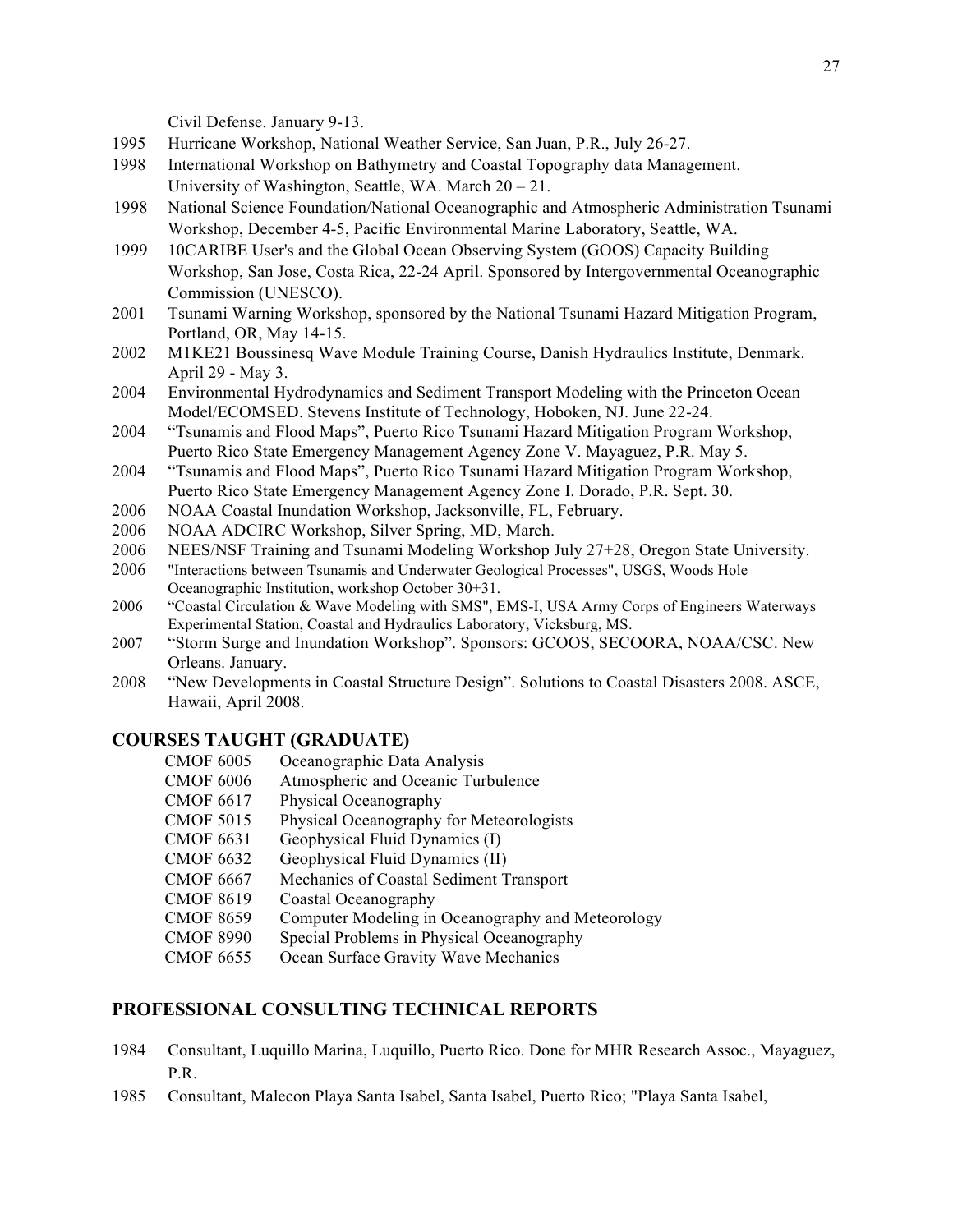Civil Defense. January 9-13.

- 1995 Hurricane Workshop, National Weather Service, San Juan, P.R., July 26-27.
- 1998 International Workshop on Bathymetry and Coastal Topography data Management. University of Washington, Seattle, WA. March  $20 - 21$ .
- 1998 National Science Foundation/National Oceanographic and Atmospheric Administration Tsunami Workshop, December 4-5, Pacific Environmental Marine Laboratory, Seattle, WA.
- 1999 10CARIBE User's and the Global Ocean Observing System (GOOS) Capacity Building Workshop, San Jose, Costa Rica, 22-24 April. Sponsored by Intergovernmental Oceanographic Commission (UNESCO).
- 2001 Tsunami Warning Workshop, sponsored by the National Tsunami Hazard Mitigation Program, Portland, OR, May 14-15.
- 2002 M1KE21 Boussinesq Wave Module Training Course, Danish Hydraulics Institute, Denmark. April 29 - May 3.
- 2004 Environmental Hydrodynamics and Sediment Transport Modeling with the Princeton Ocean Model/ECOMSED. Stevens Institute of Technology, Hoboken, NJ. June 22-24.
- 2004 "Tsunamis and Flood Maps", Puerto Rico Tsunami Hazard Mitigation Program Workshop, Puerto Rico State Emergency Management Agency Zone V. Mayaguez, P.R. May 5.
- 2004 "Tsunamis and Flood Maps", Puerto Rico Tsunami Hazard Mitigation Program Workshop, Puerto Rico State Emergency Management Agency Zone I. Dorado, P.R. Sept. 30.
- 2006 NOAA Coastal Inundation Workshop, Jacksonville, FL, February.
- 2006 NOAA ADCIRC Workshop, Silver Spring, MD, March.
- 2006 NEES/NSF Training and Tsunami Modeling Workshop July 27+28, Oregon State University.
- 2006 "Interactions between Tsunamis and Underwater Geological Processes", USGS, Woods Hole Oceanographic Institution, workshop October 30+31.
- 2006 "Coastal Circulation & Wave Modeling with SMS", EMS-I, USA Army Corps of Engineers Waterways Experimental Station, Coastal and Hydraulics Laboratory, Vicksburg, MS.
- 2007 "Storm Surge and Inundation Workshop". Sponsors: GCOOS, SECOORA, NOAA/CSC. New Orleans. January.
- 2008 "New Developments in Coastal Structure Design". Solutions to Coastal Disasters 2008. ASCE, Hawaii, April 2008.

## **COURSES TAUGHT (GRADUATE)**

- CMOF 6005 Oceanographic Data Analysis
- CMOF 6006 Atmospheric and Oceanic Turbulence
- CMOF 6617 Physical Oceanography
- CMOF 5015 Physical Oceanography for Meteorologists
- CMOF 6631 Geophysical Fluid Dynamics (I)
- CMOF 6632 Geophysical Fluid Dynamics (II)
- CMOF 6667 Mechanics of Coastal Sediment Transport
- CMOF 8619 Coastal Oceanography
- CMOF 8659 Computer Modeling in Oceanography and Meteorology
- CMOF 8990 Special Problems in Physical Oceanography
- CMOF 6655 Ocean Surface Gravity Wave Mechanics

### **PROFESSIONAL CONSULTING TECHNICAL REPORTS**

- 1984 Consultant, Luquillo Marina, Luquillo, Puerto Rico. Done for MHR Research Assoc., Mayaguez, P.R.
- 1985 Consultant, Malecon Playa Santa Isabel, Santa Isabel, Puerto Rico; "Playa Santa Isabel,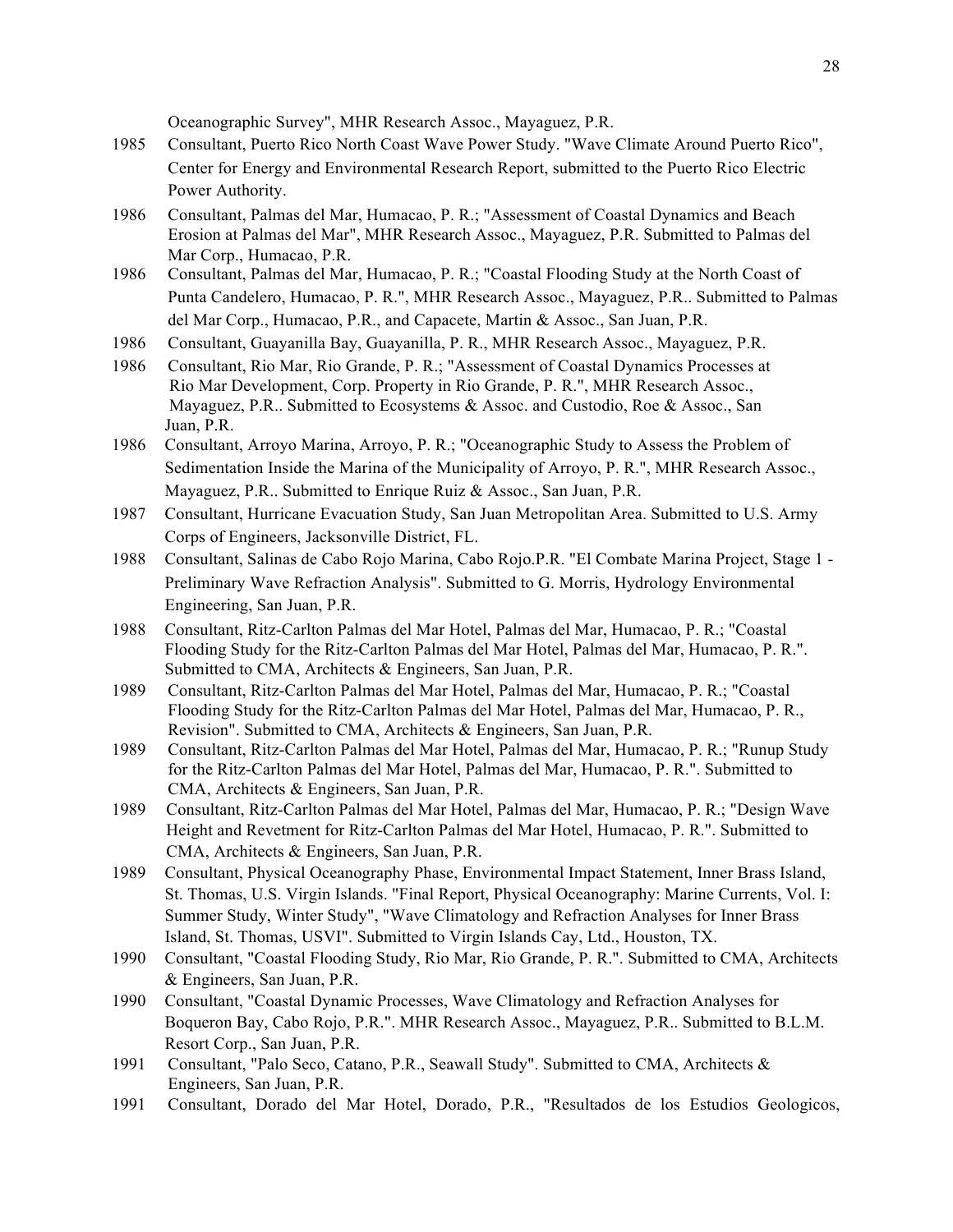Oceanographic Survey", MHR Research Assoc., Mayaguez, P.R.

- 1985 Consultant, Puerto Rico North Coast Wave Power Study. "Wave Climate Around Puerto Rico", Center for Energy and Environmental Research Report, submitted to the Puerto Rico Electric Power Authority.
- 1986 Consultant, Palmas del Mar, Humacao, P. R.; "Assessment of Coastal Dynamics and Beach Erosion at Palmas del Mar", MHR Research Assoc., Mayaguez, P.R. Submitted to Palmas del Mar Corp., Humacao, P.R.
- 1986 Consultant, Palmas del Mar, Humacao, P. R.; "Coastal Flooding Study at the North Coast of Punta Candelero, Humacao, P. R.", MHR Research Assoc., Mayaguez, P.R.. Submitted to Palmas del Mar Corp., Humacao, P.R., and Capacete, Martin & Assoc., San Juan, P.R.
- 1986 Consultant, Guayanilla Bay, Guayanilla, P. R., MHR Research Assoc., Mayaguez, P.R.
- 1986 Consultant, Rio Mar, Rio Grande, P. R.; "Assessment of Coastal Dynamics Processes at Rio Mar Development, Corp. Property in Rio Grande, P. R.", MHR Research Assoc., Mayaguez, P.R.. Submitted to Ecosystems & Assoc. and Custodio, Roe & Assoc., San Juan, P.R.
- 1986 Consultant, Arroyo Marina, Arroyo, P. R.; "Oceanographic Study to Assess the Problem of Sedimentation Inside the Marina of the Municipality of Arroyo, P. R.", MHR Research Assoc., Mayaguez, P.R.. Submitted to Enrique Ruiz & Assoc., San Juan, P.R.
- 1987 Consultant, Hurricane Evacuation Study, San Juan Metropolitan Area. Submitted to U.S. Army Corps of Engineers, Jacksonville District, FL.
- 1988 Consultant, Salinas de Cabo Rojo Marina, Cabo Rojo.P.R. "El Combate Marina Project, Stage 1 Preliminary Wave Refraction Analysis". Submitted to G. Morris, Hydrology Environmental Engineering, San Juan, P.R.
- 1988 Consultant, Ritz-Carlton Palmas del Mar Hotel, Palmas del Mar, Humacao, P. R.; "Coastal Flooding Study for the Ritz-Carlton Palmas del Mar Hotel, Palmas del Mar, Humacao, P. R.". Submitted to CMA, Architects & Engineers, San Juan, P.R.
- 1989 Consultant, Ritz-Carlton Palmas del Mar Hotel, Palmas del Mar, Humacao, P. R.; "Coastal Flooding Study for the Ritz-Carlton Palmas del Mar Hotel, Palmas del Mar, Humacao, P. R., Revision". Submitted to CMA, Architects & Engineers, San Juan, P.R.
- 1989 Consultant, Ritz-Carlton Palmas del Mar Hotel, Palmas del Mar, Humacao, P. R.; "Runup Study for the Ritz-Carlton Palmas del Mar Hotel, Palmas del Mar, Humacao, P. R.". Submitted to CMA, Architects & Engineers, San Juan, P.R.
- 1989 Consultant, Ritz-Carlton Palmas del Mar Hotel, Palmas del Mar, Humacao, P. R.; "Design Wave Height and Revetment for Ritz-Carlton Palmas del Mar Hotel, Humacao, P. R.". Submitted to CMA, Architects & Engineers, San Juan, P.R.
- 1989 Consultant, Physical Oceanography Phase, Environmental Impact Statement, Inner Brass Island, St. Thomas, U.S. Virgin Islands. "Final Report, Physical Oceanography: Marine Currents, Vol. I: Summer Study, Winter Study", "Wave Climatology and Refraction Analyses for Inner Brass Island, St. Thomas, USVI". Submitted to Virgin Islands Cay, Ltd., Houston, TX.
- 1990 Consultant, "Coastal Flooding Study, Rio Mar, Rio Grande, P. R.". Submitted to CMA, Architects & Engineers, San Juan, P.R.
- 1990 Consultant, "Coastal Dynamic Processes, Wave Climatology and Refraction Analyses for Boqueron Bay, Cabo Rojo, P.R.". MHR Research Assoc., Mayaguez, P.R.. Submitted to B.L.M. Resort Corp., San Juan, P.R.
- 1991 Consultant, "Palo Seco, Catano, P.R., Seawall Study". Submitted to CMA, Architects & Engineers, San Juan, P.R.
- 1991 Consultant, Dorado del Mar Hotel, Dorado, P.R., "Resultados de los Estudios Geologicos,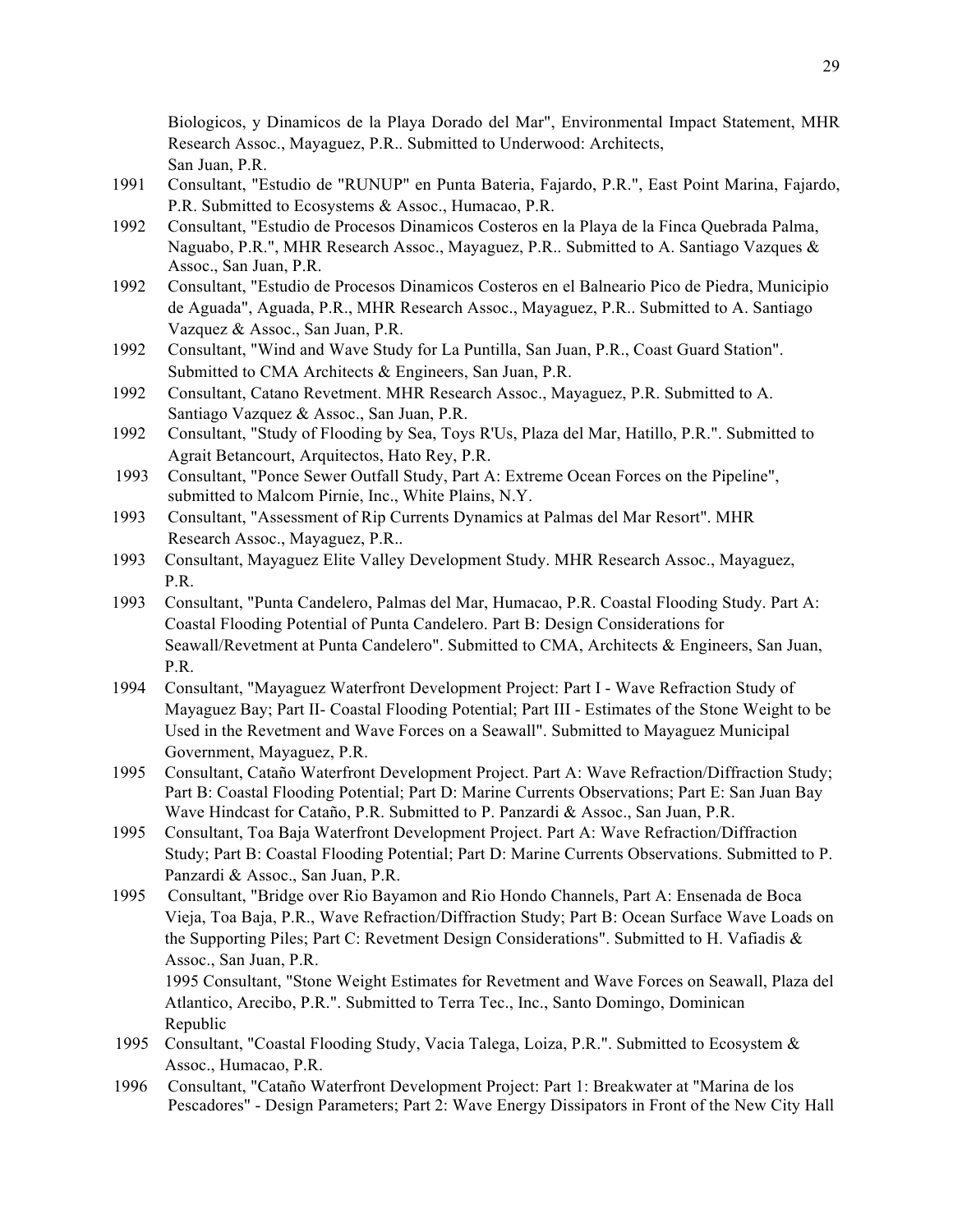Biologicos, y Dinamicos de la Playa Dorado del Mar", Environmental Impact Statement, MHR Research Assoc., Mayaguez, P.R.. Submitted to Underwood: Architects, San Juan, P.R.

- 1991 Consultant, "Estudio de "RUNUP" en Punta Bateria, Fajardo, P.R.", East Point Marina, Fajardo, P.R. Submitted to Ecosystems & Assoc., Humacao, P.R.
- 1992 Consultant, "Estudio de Procesos Dinamicos Costeros en la Playa de la Finca Quebrada Palma, Naguabo, P.R.", MHR Research Assoc., Mayaguez, P.R.. Submitted to A. Santiago Vazques & Assoc., San Juan, P.R.
- 1992 Consultant, "Estudio de Procesos Dinamicos Costeros en el Balneario Pico de Piedra, Municipio de Aguada", Aguada, P.R., MHR Research Assoc., Mayaguez, P.R.. Submitted to A. Santiago Vazquez & Assoc., San Juan, P.R.
- 1992 Consultant, "Wind and Wave Study for La Puntilla, San Juan, P.R., Coast Guard Station". Submitted to CMA Architects & Engineers, San Juan, P.R.
- 1992 Consultant, Catano Revetment. MHR Research Assoc., Mayaguez, P.R. Submitted to A. Santiago Vazquez & Assoc., San Juan, P.R.
- 1992 Consultant, "Study of Flooding by Sea, Toys R'Us, Plaza del Mar, Hatillo, P.R.". Submitted to Agrait Betancourt, Arquitectos, Hato Rey, P.R.
- 1993 Consultant, "Ponce Sewer Outfall Study, Part A: Extreme Ocean Forces on the Pipeline", submitted to Malcom Pirnie, Inc., White Plains, N.Y.
- 1993 Consultant, "Assessment of Rip Currents Dynamics at Palmas del Mar Resort". MHR Research Assoc., Mayaguez, P.R..
- 1993 Consultant, Mayaguez Elite Valley Development Study. MHR Research Assoc., Mayaguez, P.R.
- 1993 Consultant, "Punta Candelero, Palmas del Mar, Humacao, P.R. Coastal Flooding Study. Part A: Coastal Flooding Potential of Punta Candelero. Part B: Design Considerations for Seawall/Revetment at Punta Candelero". Submitted to CMA, Architects & Engineers, San Juan, P.R.
- 1994 Consultant, "Mayaguez Waterfront Development Project: Part I Wave Refraction Study of Mayaguez Bay; Part II- Coastal Flooding Potential; Part III - Estimates of the Stone Weight to be Used in the Revetment and Wave Forces on a Seawall". Submitted to Mayaguez Municipal Government, Mayaguez, P.R.
- 1995 Consultant, Cataño Waterfront Development Project. Part A: Wave Refraction/Diffraction Study; Part B: Coastal Flooding Potential; Part D: Marine Currents Observations; Part E: San Juan Bay Wave Hindcast for Cataño, P.R. Submitted to P. Panzardi & Assoc., San Juan, P.R.
- 1995 Consultant, Toa Baja Waterfront Development Project. Part A: Wave Refraction/Diffraction Study; Part B: Coastal Flooding Potential; Part D: Marine Currents Observations. Submitted to P. Panzardi & Assoc., San Juan, P.R.
- 1995 Consultant, "Bridge over Rio Bayamon and Rio Hondo Channels, Part A: Ensenada de Boca Vieja, Toa Baja, P.R., Wave Refraction/Diffraction Study; Part B: Ocean Surface Wave Loads on the Supporting Piles; Part C: Revetment Design Considerations". Submitted to H. Vafiadis & Assoc., San Juan, P.R.

1995 Consultant, "Stone Weight Estimates for Revetment and Wave Forces on Seawall, Plaza del Atlantico, Arecibo, P.R.". Submitted to Terra Tec., Inc., Santo Domingo, Dominican Republic

- 1995 Consultant, "Coastal Flooding Study, Vacia Talega, Loiza, P.R.". Submitted to Ecosystem & Assoc., Humacao, P.R.
- 1996 Consultant, "Cataño Waterfront Development Project: Part 1: Breakwater at "Marina de los Pescadores" - Design Parameters; Part 2: Wave Energy Dissipators in Front of the New City Hall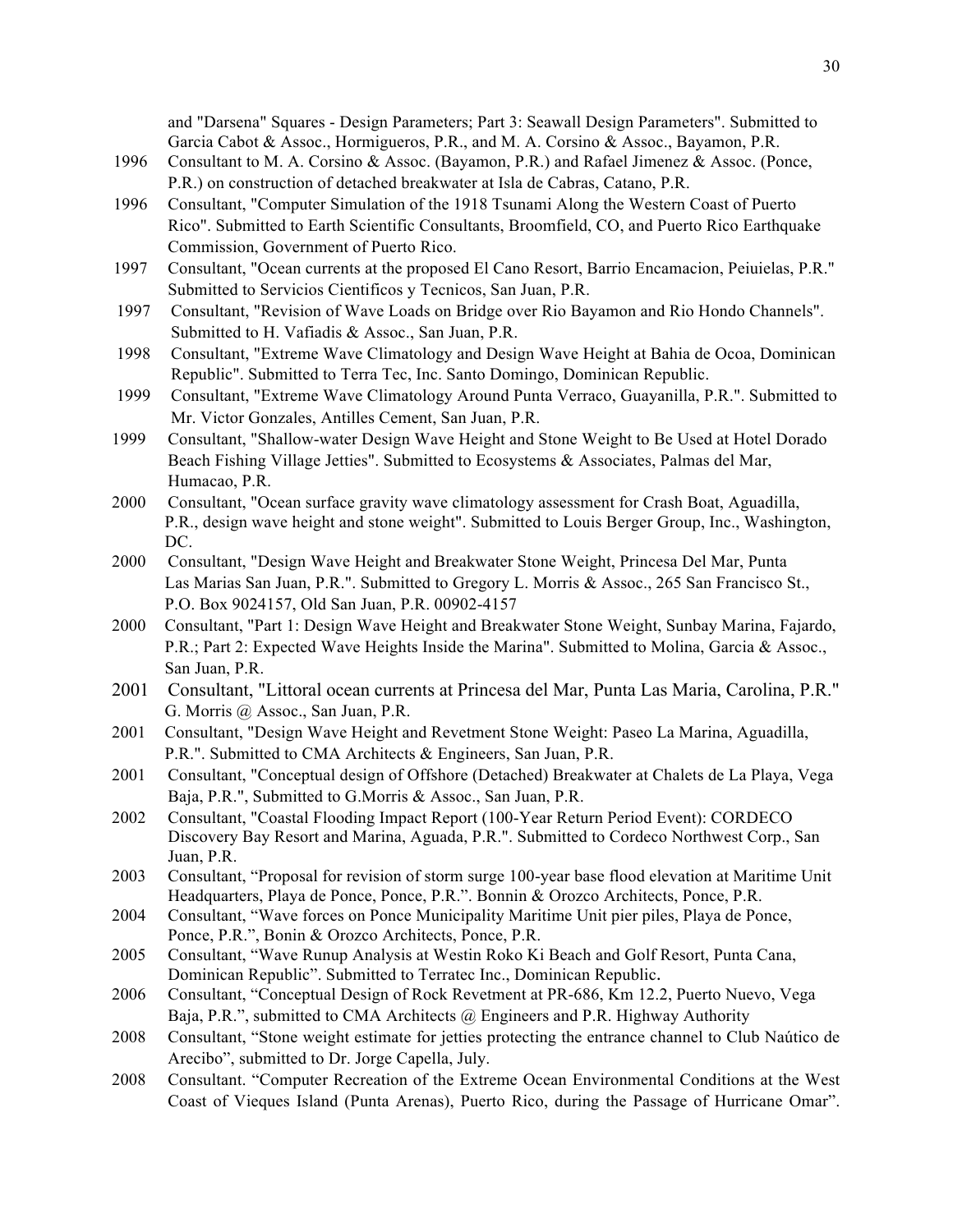and "Darsena" Squares - Design Parameters; Part 3: Seawall Design Parameters". Submitted to Garcia Cabot & Assoc., Hormigueros, P.R., and M. A. Corsino & Assoc., Bayamon, P.R.

- 1996 Consultant to M. A. Corsino & Assoc. (Bayamon, P.R.) and Rafael Jimenez & Assoc. (Ponce, P.R.) on construction of detached breakwater at Isla de Cabras, Catano, P.R.
- 1996 Consultant, "Computer Simulation of the 1918 Tsunami Along the Western Coast of Puerto Rico". Submitted to Earth Scientific Consultants, Broomfield, CO, and Puerto Rico Earthquake Commission, Government of Puerto Rico.
- 1997 Consultant, "Ocean currents at the proposed El Cano Resort, Barrio Encamacion, Peiuielas, P.R." Submitted to Servicios Cientificos y Tecnicos, San Juan, P.R.
- 1997 Consultant, "Revision of Wave Loads on Bridge over Rio Bayamon and Rio Hondo Channels". Submitted to H. Vafiadis & Assoc., San Juan, P.R.
- 1998 Consultant, "Extreme Wave Climatology and Design Wave Height at Bahia de Ocoa, Dominican Republic". Submitted to Terra Tec, Inc. Santo Domingo, Dominican Republic.
- 1999 Consultant, "Extreme Wave Climatology Around Punta Verraco, Guayanilla, P.R.". Submitted to Mr. Victor Gonzales, Antilles Cement, San Juan, P.R.
- 1999 Consultant, "Shallow-water Design Wave Height and Stone Weight to Be Used at Hotel Dorado Beach Fishing Village Jetties". Submitted to Ecosystems & Associates, Palmas del Mar, Humacao, P.R.
- 2000 Consultant, "Ocean surface gravity wave climatology assessment for Crash Boat, Aguadilla, P.R., design wave height and stone weight". Submitted to Louis Berger Group, Inc., Washington, DC.
- 2000 Consultant, "Design Wave Height and Breakwater Stone Weight, Princesa Del Mar, Punta Las Marias San Juan, P.R.". Submitted to Gregory L. Morris & Assoc., 265 San Francisco St., P.O. Box 9024157, Old San Juan, P.R. 00902-4157
- 2000 Consultant, "Part 1: Design Wave Height and Breakwater Stone Weight, Sunbay Marina, Fajardo, P.R.; Part 2: Expected Wave Heights Inside the Marina". Submitted to Molina, Garcia & Assoc., San Juan, P.R.
- 2001 Consultant, "Littoral ocean currents at Princesa del Mar, Punta Las Maria, Carolina, P.R." G. Morris @ Assoc., San Juan, P.R.
- 2001 Consultant, "Design Wave Height and Revetment Stone Weight: Paseo La Marina, Aguadilla, P.R.". Submitted to CMA Architects & Engineers, San Juan, P.R.
- 2001 Consultant, "Conceptual design of Offshore (Detached) Breakwater at Chalets de La Playa, Vega Baja, P.R.", Submitted to G.Morris & Assoc., San Juan, P.R.
- 2002 Consultant, "Coastal Flooding Impact Report (100-Year Return Period Event): CORDECO Discovery Bay Resort and Marina, Aguada, P.R.". Submitted to Cordeco Northwest Corp., San Juan, P.R.
- 2003 Consultant, "Proposal for revision of storm surge 100-year base flood elevation at Maritime Unit Headquarters, Playa de Ponce, Ponce, P.R.". Bonnin & Orozco Architects, Ponce, P.R.
- 2004 Consultant, "Wave forces on Ponce Municipality Maritime Unit pier piles, Playa de Ponce, Ponce, P.R.", Bonin & Orozco Architects, Ponce, P.R.
- 2005 Consultant, "Wave Runup Analysis at Westin Roko Ki Beach and Golf Resort, Punta Cana, Dominican Republic". Submitted to Terratec Inc., Dominican Republic.
- 2006 Consultant, "Conceptual Design of Rock Revetment at PR-686, Km 12.2, Puerto Nuevo, Vega Baja, P.R.", submitted to CMA Architects @ Engineers and P.R. Highway Authority
- 2008 Consultant, "Stone weight estimate for jetties protecting the entrance channel to Club Naútico de Arecibo", submitted to Dr. Jorge Capella, July.
- 2008 Consultant. "Computer Recreation of the Extreme Ocean Environmental Conditions at the West Coast of Vieques Island (Punta Arenas), Puerto Rico, during the Passage of Hurricane Omar".